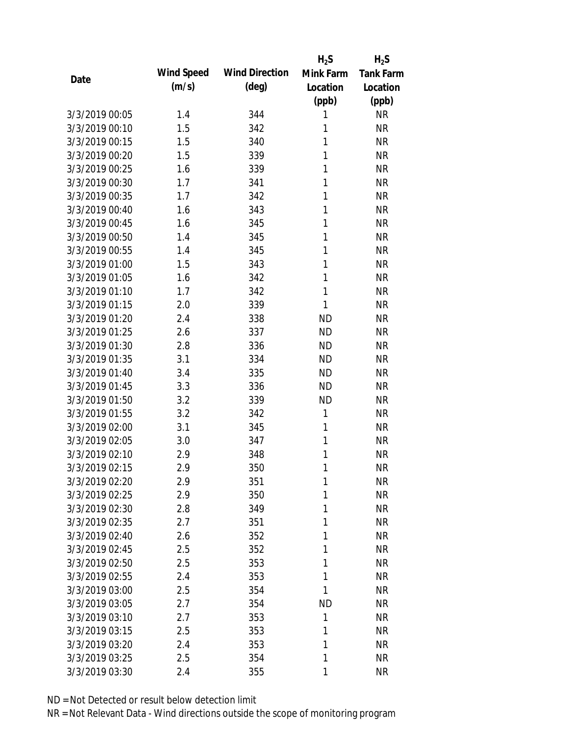|                |            |                       | $H_2S$    | $H_2S$           |
|----------------|------------|-----------------------|-----------|------------------|
|                | Wind Speed | <b>Wind Direction</b> | Mink Farm | <b>Tank Farm</b> |
| Date           | (m/s)      | $(\text{deg})$        | Location  | Location         |
|                |            |                       | (ppb)     | (ppb)            |
| 3/3/2019 00:05 | 1.4        | 344                   | 1         | <b>NR</b>        |
| 3/3/2019 00:10 | 1.5        | 342                   | 1         | <b>NR</b>        |
| 3/3/2019 00:15 | 1.5        | 340                   | 1         | <b>NR</b>        |
| 3/3/2019 00:20 | 1.5        | 339                   | 1         | <b>NR</b>        |
| 3/3/2019 00:25 | 1.6        | 339                   | 1         | <b>NR</b>        |
| 3/3/2019 00:30 | 1.7        | 341                   | 1         | <b>NR</b>        |
| 3/3/2019 00:35 | 1.7        | 342                   | 1         | <b>NR</b>        |
| 3/3/2019 00:40 | 1.6        | 343                   | 1         | <b>NR</b>        |
| 3/3/2019 00:45 | 1.6        | 345                   | 1         | <b>NR</b>        |
| 3/3/2019 00:50 | 1.4        | 345                   | 1         | <b>NR</b>        |
| 3/3/2019 00:55 | 1.4        | 345                   | 1         | <b>NR</b>        |
| 3/3/2019 01:00 | 1.5        | 343                   | 1         | <b>NR</b>        |
| 3/3/2019 01:05 | 1.6        | 342                   | 1         | <b>NR</b>        |
| 3/3/2019 01:10 | 1.7        | 342                   | 1         | <b>NR</b>        |
| 3/3/2019 01:15 | 2.0        | 339                   | 1         | <b>NR</b>        |
| 3/3/2019 01:20 | 2.4        | 338                   | <b>ND</b> | <b>NR</b>        |
| 3/3/2019 01:25 | 2.6        | 337                   | <b>ND</b> | <b>NR</b>        |
| 3/3/2019 01:30 | 2.8        | 336                   | <b>ND</b> | <b>NR</b>        |
| 3/3/2019 01:35 | 3.1        | 334                   | <b>ND</b> | <b>NR</b>        |
| 3/3/2019 01:40 | 3.4        | 335                   | <b>ND</b> | <b>NR</b>        |
| 3/3/2019 01:45 | 3.3        | 336                   | <b>ND</b> | <b>NR</b>        |
| 3/3/2019 01:50 | 3.2        | 339                   | <b>ND</b> | <b>NR</b>        |
| 3/3/2019 01:55 | 3.2        | 342                   | 1         | <b>NR</b>        |
| 3/3/2019 02:00 | 3.1        | 345                   | 1         | <b>NR</b>        |
| 3/3/2019 02:05 | 3.0        | 347                   | 1         | <b>NR</b>        |
| 3/3/2019 02:10 | 2.9        | 348                   | 1         | <b>NR</b>        |
| 3/3/2019 02:15 | 2.9        | 350                   | 1         | <b>NR</b>        |
| 3/3/2019 02:20 | 2.9        | 351                   | 1         | <b>NR</b>        |
| 3/3/2019 02:25 | 2.9        | 350                   | 1         | <b>NR</b>        |
| 3/3/2019 02:30 | 2.8        | 349                   | 1         | <b>NR</b>        |
| 3/3/2019 02:35 | 2.7        | 351                   | 1         | <b>NR</b>        |
| 3/3/2019 02:40 | 2.6        | 352                   | 1         | <b>NR</b>        |
| 3/3/2019 02:45 | 2.5        | 352                   | 1         | <b>NR</b>        |
| 3/3/2019 02:50 | 2.5        | 353                   | 1         | <b>NR</b>        |
| 3/3/2019 02:55 | 2.4        | 353                   | 1         | <b>NR</b>        |
| 3/3/2019 03:00 | 2.5        | 354                   | 1         | <b>NR</b>        |
| 3/3/2019 03:05 | 2.7        | 354                   | <b>ND</b> | <b>NR</b>        |
| 3/3/2019 03:10 | 2.7        | 353                   | 1         | <b>NR</b>        |
| 3/3/2019 03:15 | 2.5        | 353                   | 1         | <b>NR</b>        |
| 3/3/2019 03:20 | 2.4        | 353                   | 1         | <b>NR</b>        |
| 3/3/2019 03:25 | 2.5        | 354                   | 1         | <b>NR</b>        |
| 3/3/2019 03:30 | 2.4        | 355                   | 1         | <b>NR</b>        |
|                |            |                       |           |                  |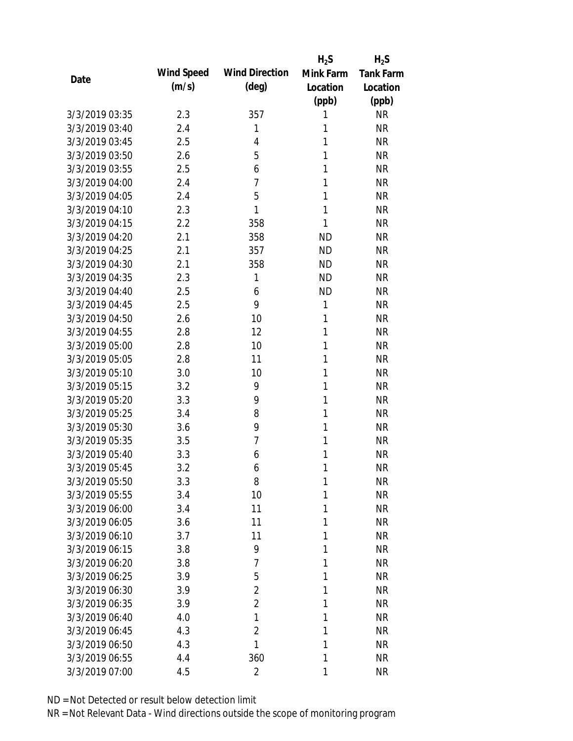|                |            |                       | $H_2S$       | $H_2S$    |
|----------------|------------|-----------------------|--------------|-----------|
| Date           | Wind Speed | <b>Wind Direction</b> | Mink Farm    | Tank Farm |
|                | (m/s)      | $(\text{deg})$        | Location     | Location  |
|                |            |                       | (ppb)        | (ppb)     |
| 3/3/2019 03:35 | 2.3        | 357                   | 1            | <b>NR</b> |
| 3/3/2019 03:40 | 2.4        | 1                     | 1            | <b>NR</b> |
| 3/3/2019 03:45 | 2.5        | 4                     | $\mathbf{1}$ | <b>NR</b> |
| 3/3/2019 03:50 | 2.6        | 5                     | 1            | <b>NR</b> |
| 3/3/2019 03:55 | 2.5        | 6                     | 1            | <b>NR</b> |
| 3/3/2019 04:00 | 2.4        | $\overline{7}$        | 1            | <b>NR</b> |
| 3/3/2019 04:05 | 2.4        | 5                     | 1            | <b>NR</b> |
| 3/3/2019 04:10 | 2.3        | 1                     | $\mathbf{1}$ | <b>NR</b> |
| 3/3/2019 04:15 | 2.2        | 358                   | 1            | <b>NR</b> |
| 3/3/2019 04:20 | 2.1        | 358                   | <b>ND</b>    | <b>NR</b> |
| 3/3/2019 04:25 | 2.1        | 357                   | <b>ND</b>    | <b>NR</b> |
| 3/3/2019 04:30 | 2.1        | 358                   | <b>ND</b>    | <b>NR</b> |
| 3/3/2019 04:35 | 2.3        | 1                     | <b>ND</b>    | <b>NR</b> |
| 3/3/2019 04:40 | 2.5        | 6                     | <b>ND</b>    | <b>NR</b> |
| 3/3/2019 04:45 | 2.5        | 9                     | 1            | <b>NR</b> |
| 3/3/2019 04:50 | 2.6        | 10                    | 1            | <b>NR</b> |
| 3/3/2019 04:55 | 2.8        | 12                    | 1            | <b>NR</b> |
| 3/3/2019 05:00 | 2.8        | 10                    | 1            | <b>NR</b> |
| 3/3/2019 05:05 | 2.8        | 11                    | 1            | <b>NR</b> |
| 3/3/2019 05:10 | 3.0        | 10                    | 1            | <b>NR</b> |
| 3/3/2019 05:15 | 3.2        | 9                     | 1            | <b>NR</b> |
| 3/3/2019 05:20 | 3.3        | 9                     | 1            | <b>NR</b> |
| 3/3/2019 05:25 | 3.4        | 8                     | 1            | <b>NR</b> |
| 3/3/2019 05:30 | 3.6        | 9                     | 1            | <b>NR</b> |
| 3/3/2019 05:35 | 3.5        | $\overline{7}$        | 1            | <b>NR</b> |
| 3/3/2019 05:40 | 3.3        | 6                     | 1            | <b>NR</b> |
| 3/3/2019 05:45 | 3.2        | 6                     | 1            | <b>NR</b> |
| 3/3/2019 05:50 | 3.3        | 8                     | 1            | <b>NR</b> |
| 3/3/2019 05:55 | 3.4        | 10                    | 1            | <b>NR</b> |
| 3/3/2019 06:00 | 3.4        | 11                    | 1            | <b>NR</b> |
| 3/3/2019 06:05 | 3.6        | 11                    | 1            | <b>NR</b> |
| 3/3/2019 06:10 | 3.7        | 11                    | 1            | <b>NR</b> |
| 3/3/2019 06:15 | 3.8        | 9                     | 1            | <b>NR</b> |
| 3/3/2019 06:20 | 3.8        | 7                     | 1            | <b>NR</b> |
| 3/3/2019 06:25 | 3.9        | 5                     | 1            | <b>NR</b> |
| 3/3/2019 06:30 | 3.9        | $\overline{2}$        | 1            | <b>NR</b> |
| 3/3/2019 06:35 | 3.9        | $\overline{2}$        | 1            | <b>NR</b> |
| 3/3/2019 06:40 | 4.0        | 1                     | 1            | <b>NR</b> |
| 3/3/2019 06:45 | 4.3        | $\overline{2}$        | 1            | <b>NR</b> |
| 3/3/2019 06:50 | 4.3        | 1                     | 1            | <b>NR</b> |
| 3/3/2019 06:55 | 4.4        | 360                   | 1            | <b>NR</b> |
| 3/3/2019 07:00 | 4.5        | $\overline{2}$        | 1            | <b>NR</b> |
|                |            |                       |              |           |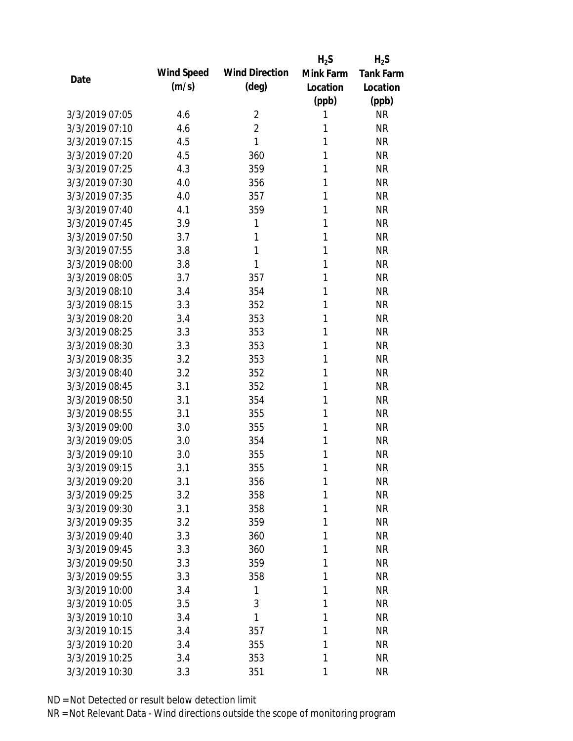|                |            |                       | $H_2S$    | $H_2S$           |
|----------------|------------|-----------------------|-----------|------------------|
| Date           | Wind Speed | <b>Wind Direction</b> | Mink Farm | <b>Tank Farm</b> |
|                | (m/s)      | $(\text{deg})$        | Location  | Location         |
|                |            |                       | (ppb)     | (ppb)            |
| 3/3/2019 07:05 | 4.6        | $\overline{2}$        | 1         | <b>NR</b>        |
| 3/3/2019 07:10 | 4.6        | $\overline{2}$        | 1         | <b>NR</b>        |
| 3/3/2019 07:15 | 4.5        | 1                     | 1         | <b>NR</b>        |
| 3/3/2019 07:20 | 4.5        | 360                   | 1         | <b>NR</b>        |
| 3/3/2019 07:25 | 4.3        | 359                   | 1         | <b>NR</b>        |
| 3/3/2019 07:30 | 4.0        | 356                   | 1         | <b>NR</b>        |
| 3/3/2019 07:35 | 4.0        | 357                   | 1         | <b>NR</b>        |
| 3/3/2019 07:40 | 4.1        | 359                   | 1         | <b>NR</b>        |
| 3/3/2019 07:45 | 3.9        | 1                     | 1         | <b>NR</b>        |
| 3/3/2019 07:50 | 3.7        | 1                     | 1         | <b>NR</b>        |
| 3/3/2019 07:55 | 3.8        | 1                     | 1         | <b>NR</b>        |
| 3/3/2019 08:00 | 3.8        | 1                     | 1         | <b>NR</b>        |
| 3/3/2019 08:05 | 3.7        | 357                   | 1         | <b>NR</b>        |
| 3/3/2019 08:10 | 3.4        | 354                   | 1         | <b>NR</b>        |
| 3/3/2019 08:15 | 3.3        | 352                   | 1         | <b>NR</b>        |
| 3/3/2019 08:20 | 3.4        | 353                   | 1         | <b>NR</b>        |
| 3/3/2019 08:25 | 3.3        | 353                   | 1         | <b>NR</b>        |
| 3/3/2019 08:30 | 3.3        | 353                   | 1         | <b>NR</b>        |
| 3/3/2019 08:35 | 3.2        | 353                   | 1         | <b>NR</b>        |
| 3/3/2019 08:40 | 3.2        | 352                   | 1         | <b>NR</b>        |
| 3/3/2019 08:45 | 3.1        | 352                   | 1         | <b>NR</b>        |
| 3/3/2019 08:50 | 3.1        | 354                   | 1         | <b>NR</b>        |
| 3/3/2019 08:55 | 3.1        | 355                   | 1         | <b>NR</b>        |
| 3/3/2019 09:00 | 3.0        | 355                   | 1         | <b>NR</b>        |
| 3/3/2019 09:05 | 3.0        | 354                   | 1         | <b>NR</b>        |
| 3/3/2019 09:10 | 3.0        | 355                   | 1         | <b>NR</b>        |
| 3/3/2019 09:15 | 3.1        | 355                   | 1         | <b>NR</b>        |
| 3/3/2019 09:20 | 3.1        | 356                   | 1         | <b>NR</b>        |
| 3/3/2019 09:25 | 3.2        | 358                   | 1         | <b>NR</b>        |
| 3/3/2019 09:30 | 3.1        | 358                   | 1         | <b>NR</b>        |
| 3/3/2019 09:35 | 3.2        | 359                   | 1         | <b>NR</b>        |
| 3/3/2019 09:40 | 3.3        | 360                   | 1         | <b>NR</b>        |
| 3/3/2019 09:45 | 3.3        | 360                   | 1         | <b>NR</b>        |
| 3/3/2019 09:50 | 3.3        | 359                   | 1         | <b>NR</b>        |
| 3/3/2019 09:55 | 3.3        | 358                   | 1         | <b>NR</b>        |
| 3/3/2019 10:00 | 3.4        | 1                     | 1         | <b>NR</b>        |
| 3/3/2019 10:05 | 3.5        | 3                     | 1         | <b>NR</b>        |
| 3/3/2019 10:10 | 3.4        | 1                     | 1         | <b>NR</b>        |
| 3/3/2019 10:15 | 3.4        | 357                   | 1         | <b>NR</b>        |
| 3/3/2019 10:20 | 3.4        | 355                   | 1         | <b>NR</b>        |
| 3/3/2019 10:25 | 3.4        | 353                   | 1         | <b>NR</b>        |
| 3/3/2019 10:30 | 3.3        | 351                   | 1         | <b>NR</b>        |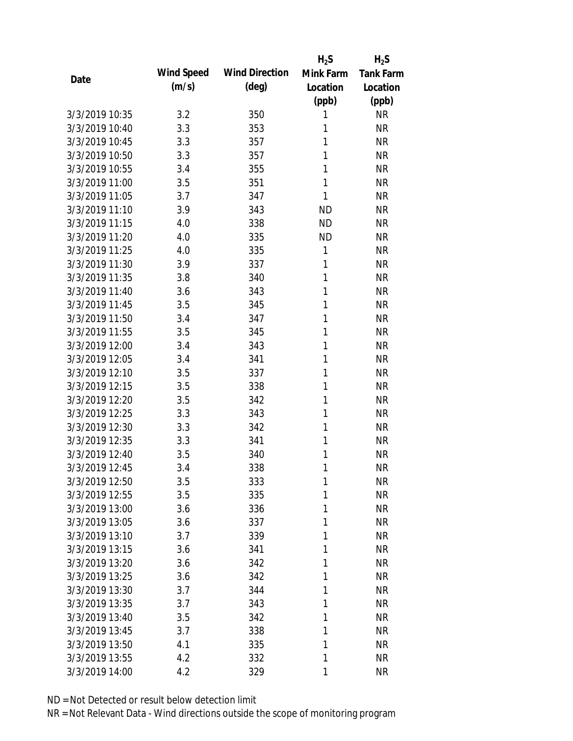|                |            |                       | $H_2S$    | $H_2S$           |
|----------------|------------|-----------------------|-----------|------------------|
| Date           | Wind Speed | <b>Wind Direction</b> | Mink Farm | <b>Tank Farm</b> |
|                | (m/s)      | $(\text{deg})$        | Location  | Location         |
|                |            |                       | (ppb)     | (ppb)            |
| 3/3/2019 10:35 | 3.2        | 350                   | 1         | <b>NR</b>        |
| 3/3/2019 10:40 | 3.3        | 353                   | 1         | <b>NR</b>        |
| 3/3/2019 10:45 | 3.3        | 357                   | 1         | <b>NR</b>        |
| 3/3/2019 10:50 | 3.3        | 357                   | 1         | <b>NR</b>        |
| 3/3/2019 10:55 | 3.4        | 355                   | 1         | <b>NR</b>        |
| 3/3/2019 11:00 | 3.5        | 351                   | 1         | <b>NR</b>        |
| 3/3/2019 11:05 | 3.7        | 347                   | 1         | <b>NR</b>        |
| 3/3/2019 11:10 | 3.9        | 343                   | <b>ND</b> | <b>NR</b>        |
| 3/3/2019 11:15 | 4.0        | 338                   | <b>ND</b> | <b>NR</b>        |
| 3/3/2019 11:20 | 4.0        | 335                   | <b>ND</b> | <b>NR</b>        |
| 3/3/2019 11:25 | 4.0        | 335                   | 1         | <b>NR</b>        |
| 3/3/2019 11:30 | 3.9        | 337                   | 1         | <b>NR</b>        |
| 3/3/2019 11:35 | 3.8        | 340                   | 1         | <b>NR</b>        |
| 3/3/2019 11:40 | 3.6        | 343                   | 1         | <b>NR</b>        |
| 3/3/2019 11:45 | 3.5        | 345                   | 1         | <b>NR</b>        |
| 3/3/2019 11:50 | 3.4        | 347                   | 1         | <b>NR</b>        |
| 3/3/2019 11:55 | 3.5        | 345                   | 1         | <b>NR</b>        |
| 3/3/2019 12:00 | 3.4        | 343                   | 1         | <b>NR</b>        |
| 3/3/2019 12:05 | 3.4        | 341                   | 1         | <b>NR</b>        |
| 3/3/2019 12:10 | 3.5        | 337                   | 1         | <b>NR</b>        |
| 3/3/2019 12:15 | 3.5        | 338                   | 1         | <b>NR</b>        |
| 3/3/2019 12:20 | 3.5        | 342                   | 1         | <b>NR</b>        |
| 3/3/2019 12:25 | 3.3        | 343                   | 1         | <b>NR</b>        |
| 3/3/2019 12:30 | 3.3        | 342                   | 1         | <b>NR</b>        |
| 3/3/2019 12:35 | 3.3        | 341                   | 1         | <b>NR</b>        |
| 3/3/2019 12:40 | 3.5        | 340                   | 1         | <b>NR</b>        |
| 3/3/2019 12:45 | 3.4        | 338                   | 1         | <b>NR</b>        |
| 3/3/2019 12:50 | 3.5        | 333                   | 1         | <b>NR</b>        |
| 3/3/2019 12:55 | 3.5        | 335                   | 1         | <b>NR</b>        |
| 3/3/2019 13:00 | 3.6        | 336                   | 1         | <b>NR</b>        |
| 3/3/2019 13:05 | 3.6        | 337                   | 1         | <b>NR</b>        |
| 3/3/2019 13:10 | 3.7        | 339                   | 1         | <b>NR</b>        |
| 3/3/2019 13:15 | 3.6        | 341                   | 1         | <b>NR</b>        |
| 3/3/2019 13:20 | 3.6        | 342                   | 1         | <b>NR</b>        |
| 3/3/2019 13:25 | 3.6        | 342                   | 1         | <b>NR</b>        |
| 3/3/2019 13:30 | 3.7        | 344                   | 1         | <b>NR</b>        |
| 3/3/2019 13:35 | 3.7        | 343                   | 1         | <b>NR</b>        |
| 3/3/2019 13:40 | 3.5        | 342                   | 1         | <b>NR</b>        |
| 3/3/2019 13:45 | 3.7        | 338                   | 1         | <b>NR</b>        |
| 3/3/2019 13:50 | 4.1        | 335                   | 1         | <b>NR</b>        |
| 3/3/2019 13:55 | 4.2        | 332                   | 1         | <b>NR</b>        |
| 3/3/2019 14:00 | 4.2        | 329                   | 1         | <b>NR</b>        |
|                |            |                       |           |                  |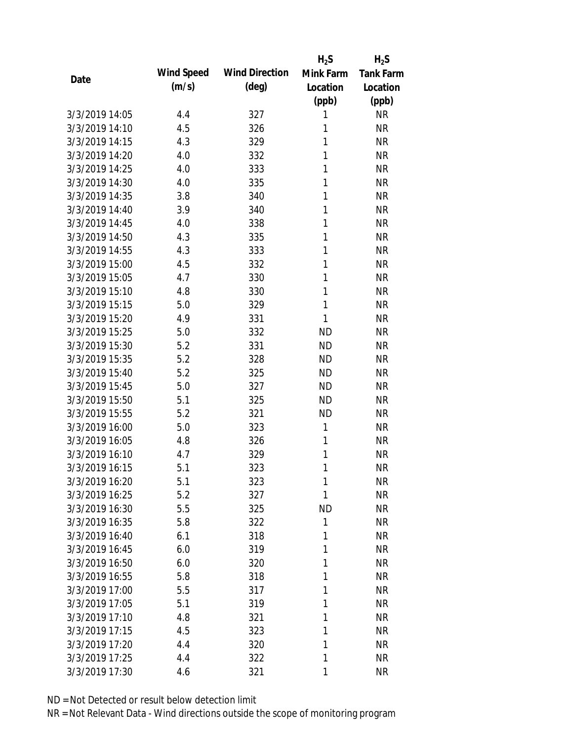|                |            |                       | $H_2S$    | $H_2S$           |
|----------------|------------|-----------------------|-----------|------------------|
| Date           | Wind Speed | <b>Wind Direction</b> | Mink Farm | <b>Tank Farm</b> |
|                | (m/s)      | $(\text{deg})$        | Location  | Location         |
|                |            |                       | (ppb)     | (ppb)            |
| 3/3/2019 14:05 | 4.4        | 327                   | 1         | <b>NR</b>        |
| 3/3/2019 14:10 | 4.5        | 326                   | 1         | <b>NR</b>        |
| 3/3/2019 14:15 | 4.3        | 329                   | 1         | <b>NR</b>        |
| 3/3/2019 14:20 | 4.0        | 332                   | 1         | <b>NR</b>        |
| 3/3/2019 14:25 | 4.0        | 333                   | 1         | <b>NR</b>        |
| 3/3/2019 14:30 | 4.0        | 335                   | 1         | <b>NR</b>        |
| 3/3/2019 14:35 | 3.8        | 340                   | 1         | <b>NR</b>        |
| 3/3/2019 14:40 | 3.9        | 340                   | 1         | <b>NR</b>        |
| 3/3/2019 14:45 | 4.0        | 338                   | 1         | <b>NR</b>        |
| 3/3/2019 14:50 | 4.3        | 335                   | 1         | <b>NR</b>        |
| 3/3/2019 14:55 | 4.3        | 333                   | 1         | <b>NR</b>        |
| 3/3/2019 15:00 | 4.5        | 332                   | 1         | <b>NR</b>        |
| 3/3/2019 15:05 | 4.7        | 330                   | 1         | <b>NR</b>        |
| 3/3/2019 15:10 | 4.8        | 330                   | 1         | <b>NR</b>        |
| 3/3/2019 15:15 | 5.0        | 329                   | 1         | <b>NR</b>        |
| 3/3/2019 15:20 | 4.9        | 331                   | 1         | <b>NR</b>        |
| 3/3/2019 15:25 | 5.0        | 332                   | <b>ND</b> | <b>NR</b>        |
| 3/3/2019 15:30 | 5.2        | 331                   | <b>ND</b> | <b>NR</b>        |
| 3/3/2019 15:35 | 5.2        | 328                   | <b>ND</b> | <b>NR</b>        |
| 3/3/2019 15:40 | 5.2        | 325                   | <b>ND</b> | <b>NR</b>        |
| 3/3/2019 15:45 | 5.0        | 327                   | <b>ND</b> | <b>NR</b>        |
| 3/3/2019 15:50 | 5.1        | 325                   | <b>ND</b> | <b>NR</b>        |
| 3/3/2019 15:55 | 5.2        | 321                   | <b>ND</b> | <b>NR</b>        |
| 3/3/2019 16:00 | 5.0        | 323                   | 1         | <b>NR</b>        |
| 3/3/2019 16:05 | 4.8        | 326                   | 1         | <b>NR</b>        |
| 3/3/2019 16:10 | 4.7        | 329                   | 1         | <b>NR</b>        |
| 3/3/2019 16:15 | 5.1        | 323                   | 1         | <b>NR</b>        |
| 3/3/2019 16:20 | 5.1        | 323                   | 1         | <b>NR</b>        |
| 3/3/2019 16:25 | 5.2        | 327                   | 1         | <b>NR</b>        |
| 3/3/2019 16:30 | 5.5        | 325                   | <b>ND</b> | <b>NR</b>        |
| 3/3/2019 16:35 | 5.8        | 322                   | 1         | <b>NR</b>        |
| 3/3/2019 16:40 | 6.1        | 318                   | 1         | <b>NR</b>        |
| 3/3/2019 16:45 | 6.0        | 319                   | 1         | <b>NR</b>        |
| 3/3/2019 16:50 | 6.0        | 320                   | 1         | <b>NR</b>        |
| 3/3/2019 16:55 | 5.8        | 318                   | 1         | <b>NR</b>        |
| 3/3/2019 17:00 | 5.5        | 317                   | 1         | <b>NR</b>        |
| 3/3/2019 17:05 | 5.1        | 319                   | 1         | <b>NR</b>        |
| 3/3/2019 17:10 | 4.8        | 321                   | 1         | <b>NR</b>        |
| 3/3/2019 17:15 | 4.5        | 323                   | 1         | <b>NR</b>        |
| 3/3/2019 17:20 | 4.4        | 320                   | 1         | <b>NR</b>        |
| 3/3/2019 17:25 | 4.4        | 322                   | 1         | <b>NR</b>        |
| 3/3/2019 17:30 | 4.6        | 321                   | 1         | <b>NR</b>        |
|                |            |                       |           |                  |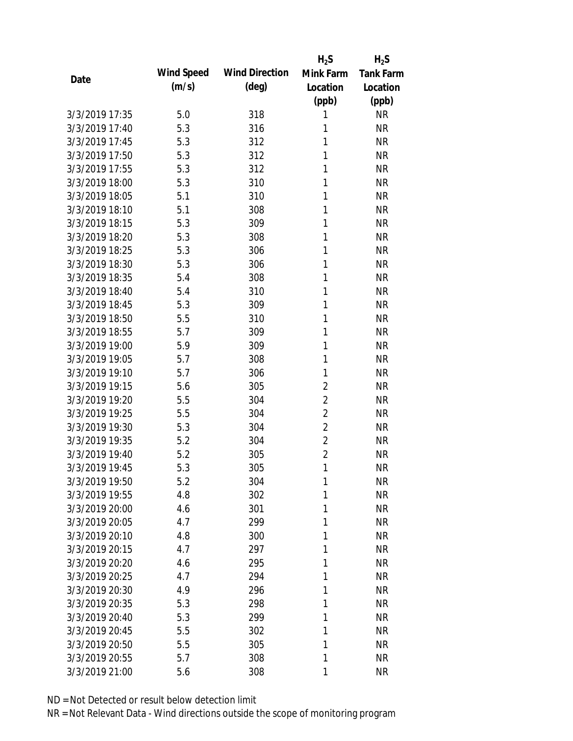|                |            |                       | $H_2S$         | $H_2S$           |
|----------------|------------|-----------------------|----------------|------------------|
|                | Wind Speed | <b>Wind Direction</b> | Mink Farm      | <b>Tank Farm</b> |
| Date           | (m/s)      | $(\text{deg})$        | Location       | Location         |
|                |            |                       | (ppb)          | (ppb)            |
| 3/3/2019 17:35 | 5.0        | 318                   | 1              | <b>NR</b>        |
| 3/3/2019 17:40 | 5.3        | 316                   | 1              | <b>NR</b>        |
| 3/3/2019 17:45 | 5.3        | 312                   | 1              | <b>NR</b>        |
| 3/3/2019 17:50 | 5.3        | 312                   | 1              | <b>NR</b>        |
| 3/3/2019 17:55 | 5.3        | 312                   | 1              | <b>NR</b>        |
| 3/3/2019 18:00 | 5.3        | 310                   | 1              | <b>NR</b>        |
| 3/3/2019 18:05 | 5.1        | 310                   | 1              | <b>NR</b>        |
| 3/3/2019 18:10 | 5.1        | 308                   | 1              | <b>NR</b>        |
| 3/3/2019 18:15 | 5.3        | 309                   | 1              | <b>NR</b>        |
| 3/3/2019 18:20 | 5.3        | 308                   | 1              | <b>NR</b>        |
| 3/3/2019 18:25 | 5.3        | 306                   | 1              | <b>NR</b>        |
| 3/3/2019 18:30 | 5.3        | 306                   | 1              | <b>NR</b>        |
| 3/3/2019 18:35 | 5.4        | 308                   | 1              | <b>NR</b>        |
| 3/3/2019 18:40 | 5.4        | 310                   | 1              | <b>NR</b>        |
| 3/3/2019 18:45 | 5.3        | 309                   | 1              | <b>NR</b>        |
| 3/3/2019 18:50 | 5.5        | 310                   | 1              | <b>NR</b>        |
| 3/3/2019 18:55 | 5.7        | 309                   | 1              | <b>NR</b>        |
| 3/3/2019 19:00 | 5.9        | 309                   | 1              | <b>NR</b>        |
| 3/3/2019 19:05 | 5.7        | 308                   | 1              | <b>NR</b>        |
| 3/3/2019 19:10 | 5.7        | 306                   | 1              | <b>NR</b>        |
| 3/3/2019 19:15 | 5.6        | 305                   | $\overline{2}$ | <b>NR</b>        |
| 3/3/2019 19:20 | 5.5        | 304                   | $\overline{2}$ | <b>NR</b>        |
| 3/3/2019 19:25 | 5.5        | 304                   | $\overline{2}$ | <b>NR</b>        |
| 3/3/2019 19:30 | 5.3        | 304                   | $\overline{2}$ | <b>NR</b>        |
| 3/3/2019 19:35 | 5.2        | 304                   | $\overline{2}$ | <b>NR</b>        |
| 3/3/2019 19:40 | 5.2        | 305                   | $\overline{2}$ | <b>NR</b>        |
| 3/3/2019 19:45 | 5.3        | 305                   | 1              | <b>NR</b>        |
| 3/3/2019 19:50 | 5.2        | 304                   | 1              | <b>NR</b>        |
| 3/3/2019 19:55 | 4.8        | 302                   | 1              | <b>NR</b>        |
| 3/3/2019 20:00 | 4.6        | 301                   | 1              | <b>NR</b>        |
| 3/3/2019 20:05 | 4.7        | 299                   | 1              | <b>NR</b>        |
| 3/3/2019 20:10 | 4.8        | 300                   | 1              | <b>NR</b>        |
| 3/3/2019 20:15 | 4.7        | 297                   | 1              | <b>NR</b>        |
| 3/3/2019 20:20 | 4.6        | 295                   | 1              | <b>NR</b>        |
| 3/3/2019 20:25 | 4.7        | 294                   | 1              | <b>NR</b>        |
| 3/3/2019 20:30 | 4.9        | 296                   | 1              | <b>NR</b>        |
| 3/3/2019 20:35 | 5.3        | 298                   | 1              | <b>NR</b>        |
| 3/3/2019 20:40 | 5.3        | 299                   | 1              | <b>NR</b>        |
| 3/3/2019 20:45 | 5.5        | 302                   | 1              | <b>NR</b>        |
| 3/3/2019 20:50 | 5.5        | 305                   | 1              | <b>NR</b>        |
| 3/3/2019 20:55 | 5.7        | 308                   | 1              | <b>NR</b>        |
| 3/3/2019 21:00 | 5.6        | 308                   | 1              | <b>NR</b>        |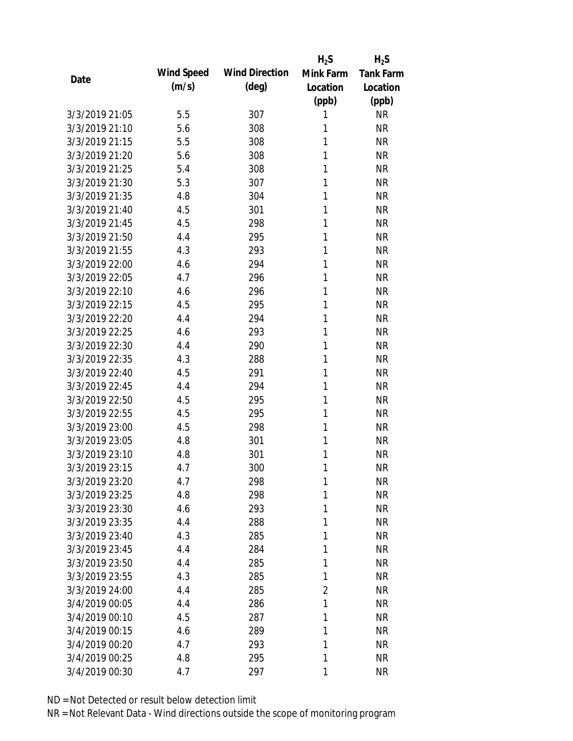|                |            |                       | $H_2S$         | $H_2S$           |
|----------------|------------|-----------------------|----------------|------------------|
| Date           | Wind Speed | <b>Wind Direction</b> | Mink Farm      | <b>Tank Farm</b> |
|                | (m/s)      | $(\text{deg})$        | Location       | Location         |
|                |            |                       | (ppb)          | (ppb)            |
| 3/3/2019 21:05 | 5.5        | 307                   | 1              | <b>NR</b>        |
| 3/3/2019 21:10 | 5.6        | 308                   | 1              | <b>NR</b>        |
| 3/3/2019 21:15 | 5.5        | 308                   | 1              | <b>NR</b>        |
| 3/3/2019 21:20 | 5.6        | 308                   | 1              | <b>NR</b>        |
| 3/3/2019 21:25 | 5.4        | 308                   | 1              | <b>NR</b>        |
| 3/3/2019 21:30 | 5.3        | 307                   | 1              | <b>NR</b>        |
| 3/3/2019 21:35 | 4.8        | 304                   | 1              | <b>NR</b>        |
| 3/3/2019 21:40 | 4.5        | 301                   | 1              | <b>NR</b>        |
| 3/3/2019 21:45 | 4.5        | 298                   | 1              | <b>NR</b>        |
| 3/3/2019 21:50 | 4.4        | 295                   | 1              | <b>NR</b>        |
| 3/3/2019 21:55 | 4.3        | 293                   | 1              | <b>NR</b>        |
| 3/3/2019 22:00 | 4.6        | 294                   | 1              | <b>NR</b>        |
| 3/3/2019 22:05 | 4.7        | 296                   | 1              | <b>NR</b>        |
| 3/3/2019 22:10 | 4.6        | 296                   | 1              | <b>NR</b>        |
| 3/3/2019 22:15 | 4.5        | 295                   | 1              | <b>NR</b>        |
| 3/3/2019 22:20 | 4.4        | 294                   | 1              | <b>NR</b>        |
| 3/3/2019 22:25 | 4.6        | 293                   | 1              | <b>NR</b>        |
| 3/3/2019 22:30 | 4.4        | 290                   | 1              | <b>NR</b>        |
| 3/3/2019 22:35 | 4.3        | 288                   | 1              | <b>NR</b>        |
| 3/3/2019 22:40 | 4.5        | 291                   | 1              | <b>NR</b>        |
| 3/3/2019 22:45 | 4.4        | 294                   | 1              | <b>NR</b>        |
| 3/3/2019 22:50 | 4.5        | 295                   | 1              | <b>NR</b>        |
| 3/3/2019 22:55 | 4.5        | 295                   | 1              | <b>NR</b>        |
| 3/3/2019 23:00 | 4.5        | 298                   | 1              | <b>NR</b>        |
| 3/3/2019 23:05 | 4.8        | 301                   | 1              | <b>NR</b>        |
| 3/3/2019 23:10 | 4.8        | 301                   | 1              | <b>NR</b>        |
| 3/3/2019 23:15 | 4.7        | 300                   | 1              | <b>NR</b>        |
| 3/3/2019 23:20 | 4.7        | 298                   | 1              | <b>NR</b>        |
| 3/3/2019 23:25 | 4.8        | 298                   | 1              | <b>NR</b>        |
| 3/3/2019 23:30 | 4.6        | 293                   | 1              | <b>NR</b>        |
| 3/3/2019 23:35 | 4.4        | 288                   | 1              | <b>NR</b>        |
| 3/3/2019 23:40 | 4.3        | 285                   | 1              | <b>NR</b>        |
| 3/3/2019 23:45 | 4.4        | 284                   | 1              | <b>NR</b>        |
| 3/3/2019 23:50 | 4.4        | 285                   | 1              | <b>NR</b>        |
| 3/3/2019 23:55 | 4.3        | 285                   | 1              | <b>NR</b>        |
| 3/3/2019 24:00 | 4.4        | 285                   | $\overline{2}$ | <b>NR</b>        |
| 3/4/2019 00:05 | 4.4        | 286                   | 1              | <b>NR</b>        |
| 3/4/2019 00:10 | 4.5        | 287                   | 1              | <b>NR</b>        |
| 3/4/2019 00:15 | 4.6        | 289                   | 1              | <b>NR</b>        |
| 3/4/2019 00:20 | 4.7        | 293                   | 1              | <b>NR</b>        |
| 3/4/2019 00:25 | 4.8        | 295                   | 1              | <b>NR</b>        |
| 3/4/2019 00:30 | 4.7        | 297                   | 1              | <b>NR</b>        |
|                |            |                       |                |                  |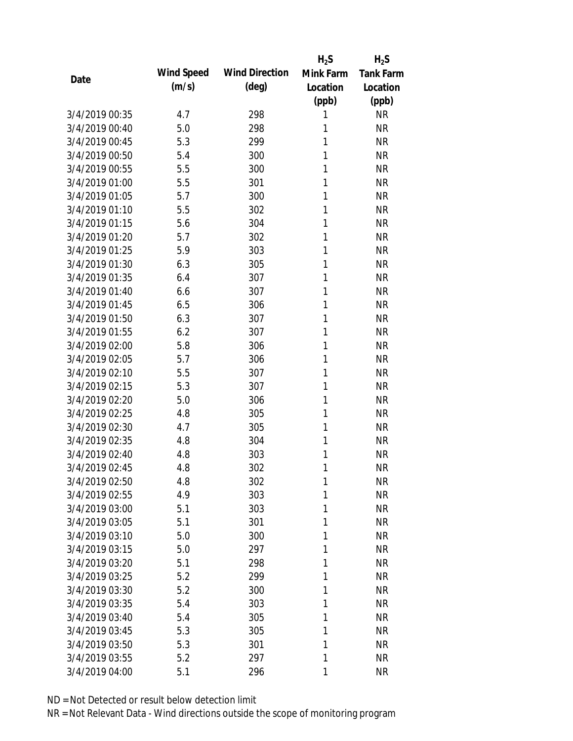|                |            |                       | $H_2S$    | $H_2S$           |
|----------------|------------|-----------------------|-----------|------------------|
| Date           | Wind Speed | <b>Wind Direction</b> | Mink Farm | <b>Tank Farm</b> |
|                | (m/s)      | $(\text{deg})$        | Location  | Location         |
|                |            |                       | (ppb)     | (ppb)            |
| 3/4/2019 00:35 | 4.7        | 298                   | 1         | <b>NR</b>        |
| 3/4/2019 00:40 | 5.0        | 298                   | 1         | <b>NR</b>        |
| 3/4/2019 00:45 | 5.3        | 299                   | 1         | <b>NR</b>        |
| 3/4/2019 00:50 | 5.4        | 300                   | 1         | <b>NR</b>        |
| 3/4/2019 00:55 | 5.5        | 300                   | 1         | <b>NR</b>        |
| 3/4/2019 01:00 | 5.5        | 301                   | 1         | <b>NR</b>        |
| 3/4/2019 01:05 | 5.7        | 300                   | 1         | <b>NR</b>        |
| 3/4/2019 01:10 | 5.5        | 302                   | 1         | <b>NR</b>        |
| 3/4/2019 01:15 | 5.6        | 304                   | 1         | <b>NR</b>        |
| 3/4/2019 01:20 | 5.7        | 302                   | 1         | <b>NR</b>        |
| 3/4/2019 01:25 | 5.9        | 303                   | 1         | <b>NR</b>        |
| 3/4/2019 01:30 | 6.3        | 305                   | 1         | <b>NR</b>        |
| 3/4/2019 01:35 | 6.4        | 307                   | 1         | <b>NR</b>        |
| 3/4/2019 01:40 | 6.6        | 307                   | 1         | <b>NR</b>        |
| 3/4/2019 01:45 | 6.5        | 306                   | 1         | <b>NR</b>        |
| 3/4/2019 01:50 | 6.3        | 307                   | 1         | <b>NR</b>        |
| 3/4/2019 01:55 | 6.2        | 307                   | 1         | <b>NR</b>        |
| 3/4/2019 02:00 | 5.8        | 306                   | 1         | <b>NR</b>        |
| 3/4/2019 02:05 | 5.7        | 306                   | 1         | <b>NR</b>        |
| 3/4/2019 02:10 | 5.5        | 307                   | 1         | <b>NR</b>        |
| 3/4/2019 02:15 | 5.3        | 307                   | 1         | <b>NR</b>        |
| 3/4/2019 02:20 | 5.0        | 306                   | 1         | <b>NR</b>        |
| 3/4/2019 02:25 | 4.8        | 305                   | 1         | <b>NR</b>        |
| 3/4/2019 02:30 | 4.7        | 305                   | 1         | <b>NR</b>        |
| 3/4/2019 02:35 | 4.8        | 304                   | 1         | <b>NR</b>        |
| 3/4/2019 02:40 | 4.8        | 303                   | 1         | <b>NR</b>        |
| 3/4/2019 02:45 | 4.8        | 302                   | 1         | <b>NR</b>        |
| 3/4/2019 02:50 | 4.8        | 302                   | 1         | <b>NR</b>        |
| 3/4/2019 02:55 | 4.9        | 303                   | 1         | <b>NR</b>        |
| 3/4/2019 03:00 | 5.1        | 303                   | 1         | <b>NR</b>        |
| 3/4/2019 03:05 | 5.1        | 301                   | 1         | <b>NR</b>        |
| 3/4/2019 03:10 | 5.0        | 300                   | 1         | <b>NR</b>        |
| 3/4/2019 03:15 | 5.0        | 297                   | 1         | <b>NR</b>        |
| 3/4/2019 03:20 | 5.1        | 298                   | 1         | <b>NR</b>        |
| 3/4/2019 03:25 | 5.2        | 299                   | 1         | <b>NR</b>        |
| 3/4/2019 03:30 | 5.2        | 300                   | 1         | <b>NR</b>        |
| 3/4/2019 03:35 | 5.4        | 303                   | 1         | <b>NR</b>        |
| 3/4/2019 03:40 | 5.4        | 305                   | 1         | <b>NR</b>        |
| 3/4/2019 03:45 | 5.3        | 305                   | 1         | <b>NR</b>        |
| 3/4/2019 03:50 | 5.3        | 301                   | 1         | <b>NR</b>        |
| 3/4/2019 03:55 | 5.2        | 297                   | 1         | <b>NR</b>        |
| 3/4/2019 04:00 | 5.1        | 296                   | 1         | <b>NR</b>        |
|                |            |                       |           |                  |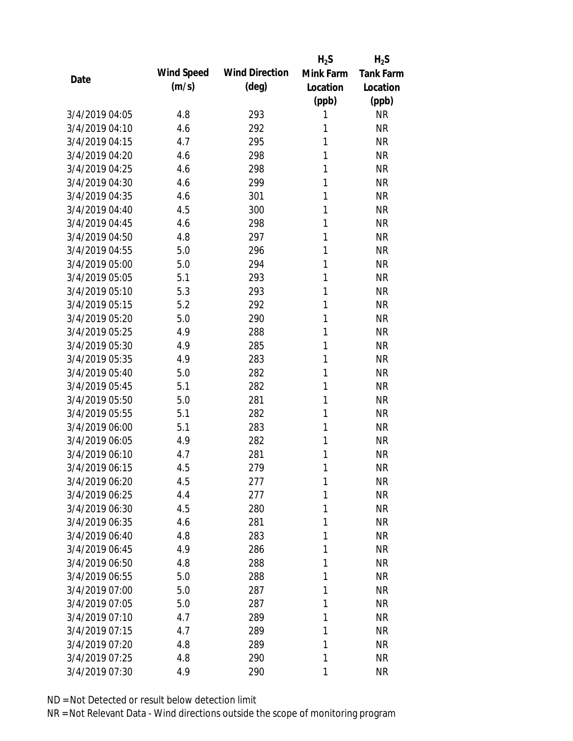|                |            |                       | $H_2S$    | $H_2S$           |
|----------------|------------|-----------------------|-----------|------------------|
| Date           | Wind Speed | <b>Wind Direction</b> | Mink Farm | <b>Tank Farm</b> |
|                | (m/s)      | $(\text{deg})$        | Location  | Location         |
|                |            |                       | (ppb)     | (ppb)            |
| 3/4/2019 04:05 | 4.8        | 293                   | 1         | <b>NR</b>        |
| 3/4/2019 04:10 | 4.6        | 292                   | 1         | <b>NR</b>        |
| 3/4/2019 04:15 | 4.7        | 295                   | 1         | <b>NR</b>        |
| 3/4/2019 04:20 | 4.6        | 298                   | 1         | <b>NR</b>        |
| 3/4/2019 04:25 | 4.6        | 298                   | 1         | <b>NR</b>        |
| 3/4/2019 04:30 | 4.6        | 299                   | 1         | <b>NR</b>        |
| 3/4/2019 04:35 | 4.6        | 301                   | 1         | <b>NR</b>        |
| 3/4/2019 04:40 | 4.5        | 300                   | 1         | <b>NR</b>        |
| 3/4/2019 04:45 | 4.6        | 298                   | 1         | <b>NR</b>        |
| 3/4/2019 04:50 | 4.8        | 297                   | 1         | <b>NR</b>        |
| 3/4/2019 04:55 | 5.0        | 296                   | 1         | <b>NR</b>        |
| 3/4/2019 05:00 | 5.0        | 294                   | 1         | <b>NR</b>        |
| 3/4/2019 05:05 | 5.1        | 293                   | 1         | <b>NR</b>        |
| 3/4/2019 05:10 | 5.3        | 293                   | 1         | <b>NR</b>        |
| 3/4/2019 05:15 | 5.2        | 292                   | 1         | <b>NR</b>        |
| 3/4/2019 05:20 | 5.0        | 290                   | 1         | <b>NR</b>        |
| 3/4/2019 05:25 | 4.9        | 288                   | 1         | <b>NR</b>        |
| 3/4/2019 05:30 | 4.9        | 285                   | 1         | <b>NR</b>        |
| 3/4/2019 05:35 | 4.9        | 283                   | 1         | <b>NR</b>        |
| 3/4/2019 05:40 | 5.0        | 282                   | 1         | <b>NR</b>        |
| 3/4/2019 05:45 | 5.1        | 282                   | 1         | <b>NR</b>        |
| 3/4/2019 05:50 | 5.0        | 281                   | 1         | <b>NR</b>        |
| 3/4/2019 05:55 | 5.1        | 282                   | 1         | <b>NR</b>        |
| 3/4/2019 06:00 | 5.1        | 283                   | 1         | <b>NR</b>        |
| 3/4/2019 06:05 | 4.9        | 282                   | 1         | <b>NR</b>        |
| 3/4/2019 06:10 | 4.7        | 281                   | 1         | <b>NR</b>        |
| 3/4/2019 06:15 | 4.5        | 279                   | 1         | <b>NR</b>        |
| 3/4/2019 06:20 | 4.5        | 277                   | 1         | <b>NR</b>        |
| 3/4/2019 06:25 | 4.4        | 277                   | 1         | <b>NR</b>        |
| 3/4/2019 06:30 | 4.5        | 280                   | 1         | <b>NR</b>        |
| 3/4/2019 06:35 | 4.6        | 281                   | 1         | <b>NR</b>        |
| 3/4/2019 06:40 | 4.8        | 283                   | 1         | <b>NR</b>        |
| 3/4/2019 06:45 | 4.9        | 286                   | 1         | <b>NR</b>        |
| 3/4/2019 06:50 | 4.8        | 288                   | 1         | <b>NR</b>        |
| 3/4/2019 06:55 | 5.0        | 288                   | 1         | <b>NR</b>        |
| 3/4/2019 07:00 | 5.0        | 287                   | 1         | <b>NR</b>        |
| 3/4/2019 07:05 | 5.0        | 287                   | 1         | <b>NR</b>        |
| 3/4/2019 07:10 | 4.7        | 289                   | 1         | <b>NR</b>        |
| 3/4/2019 07:15 | 4.7        | 289                   | 1         | <b>NR</b>        |
| 3/4/2019 07:20 | 4.8        | 289                   | 1         | <b>NR</b>        |
| 3/4/2019 07:25 | 4.8        | 290                   | 1         | <b>NR</b>        |
| 3/4/2019 07:30 | 4.9        | 290                   | 1         | <b>NR</b>        |
|                |            |                       |           |                  |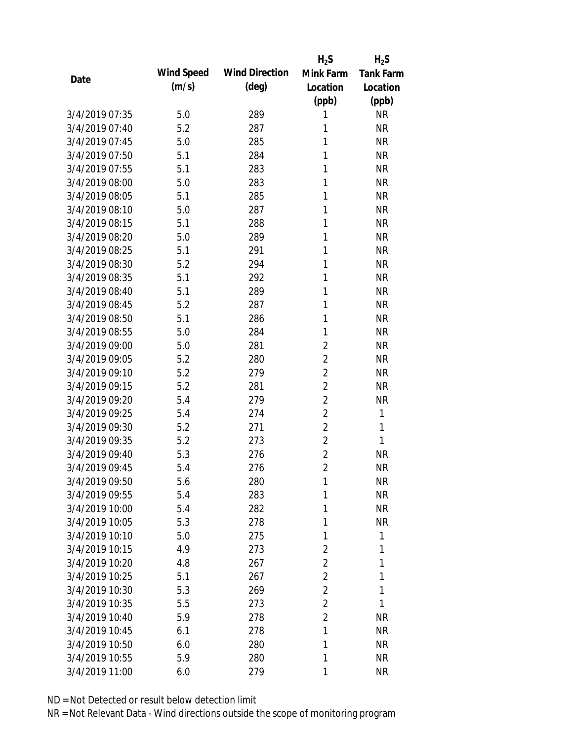|                |            |                       | $H_2S$         | $H_2S$           |
|----------------|------------|-----------------------|----------------|------------------|
| Date           | Wind Speed | <b>Wind Direction</b> | Mink Farm      | <b>Tank Farm</b> |
|                | (m/s)      | (deg)                 | Location       | Location         |
|                |            |                       | (ppb)          | (ppb)            |
| 3/4/2019 07:35 | 5.0        | 289                   | 1              | <b>NR</b>        |
| 3/4/2019 07:40 | 5.2        | 287                   | 1              | <b>NR</b>        |
| 3/4/2019 07:45 | 5.0        | 285                   | 1              | <b>NR</b>        |
| 3/4/2019 07:50 | 5.1        | 284                   | 1              | <b>NR</b>        |
| 3/4/2019 07:55 | 5.1        | 283                   | 1              | <b>NR</b>        |
| 3/4/2019 08:00 | 5.0        | 283                   | 1              | <b>NR</b>        |
| 3/4/2019 08:05 | 5.1        | 285                   | 1              | <b>NR</b>        |
| 3/4/2019 08:10 | 5.0        | 287                   | 1              | <b>NR</b>        |
| 3/4/2019 08:15 | 5.1        | 288                   | 1              | <b>NR</b>        |
| 3/4/2019 08:20 | 5.0        | 289                   | 1              | <b>NR</b>        |
| 3/4/2019 08:25 | 5.1        | 291                   | 1              | <b>NR</b>        |
| 3/4/2019 08:30 | 5.2        | 294                   | 1              | <b>NR</b>        |
| 3/4/2019 08:35 | 5.1        | 292                   | 1              | <b>NR</b>        |
| 3/4/2019 08:40 | 5.1        | 289                   | 1              | <b>NR</b>        |
| 3/4/2019 08:45 | 5.2        | 287                   | 1              | <b>NR</b>        |
| 3/4/2019 08:50 | 5.1        | 286                   | 1              | <b>NR</b>        |
| 3/4/2019 08:55 | 5.0        | 284                   | 1              | <b>NR</b>        |
| 3/4/2019 09:00 | 5.0        | 281                   | $\overline{2}$ | <b>NR</b>        |
| 3/4/2019 09:05 | 5.2        | 280                   | $\overline{2}$ | <b>NR</b>        |
| 3/4/2019 09:10 | 5.2        | 279                   | $\overline{2}$ | <b>NR</b>        |
| 3/4/2019 09:15 | 5.2        | 281                   | $\overline{2}$ | <b>NR</b>        |
| 3/4/2019 09:20 | 5.4        | 279                   | $\overline{2}$ | <b>NR</b>        |
| 3/4/2019 09:25 | 5.4        | 274                   | $\overline{2}$ | 1                |
| 3/4/2019 09:30 | 5.2        | 271                   | $\overline{2}$ | 1                |
| 3/4/2019 09:35 | 5.2        | 273                   | $\overline{2}$ | 1                |
| 3/4/2019 09:40 | 5.3        | 276                   | $\overline{2}$ | <b>NR</b>        |
| 3/4/2019 09:45 | 5.4        | 276                   | $\overline{2}$ | <b>NR</b>        |
| 3/4/2019 09:50 | 5.6        | 280                   | 1              | <b>NR</b>        |
| 3/4/2019 09:55 | 5.4        | 283                   | 1              | <b>NR</b>        |
| 3/4/2019 10:00 | 5.4        | 282                   | 1              | <b>NR</b>        |
| 3/4/2019 10:05 | 5.3        | 278                   | 1              | <b>NR</b>        |
| 3/4/2019 10:10 | 5.0        | 275                   | 1              | 1                |
| 3/4/2019 10:15 | 4.9        | 273                   | 2              | 1                |
| 3/4/2019 10:20 | 4.8        | 267                   | $\overline{2}$ | 1                |
| 3/4/2019 10:25 | 5.1        | 267                   | $\overline{2}$ | 1                |
| 3/4/2019 10:30 | 5.3        | 269                   | $\overline{2}$ | 1                |
| 3/4/2019 10:35 | 5.5        | 273                   | $\overline{2}$ | 1                |
| 3/4/2019 10:40 | 5.9        | 278                   | $\overline{2}$ | <b>NR</b>        |
| 3/4/2019 10:45 | 6.1        | 278                   | 1              | <b>NR</b>        |
| 3/4/2019 10:50 | 6.0        | 280                   | 1              | <b>NR</b>        |
| 3/4/2019 10:55 | 5.9        | 280                   | 1              | <b>NR</b>        |
| 3/4/2019 11:00 | 6.0        | 279                   | 1              | <b>NR</b>        |
|                |            |                       |                |                  |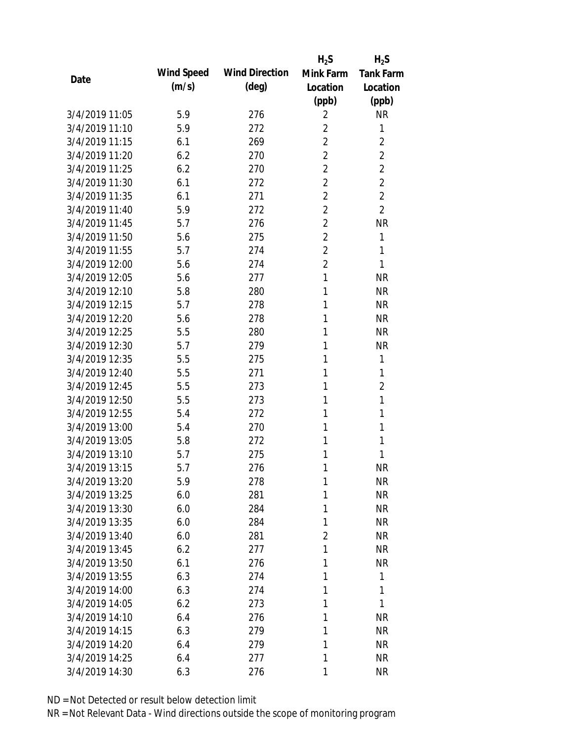|                |            |                       | $H_2S$         | $H_2S$           |
|----------------|------------|-----------------------|----------------|------------------|
| Date           | Wind Speed | <b>Wind Direction</b> | Mink Farm      | <b>Tank Farm</b> |
|                | (m/s)      | $(\text{deg})$        | Location       | Location         |
|                |            |                       | (ppb)          | (ppb)            |
| 3/4/2019 11:05 | 5.9        | 276                   | 2              | <b>NR</b>        |
| 3/4/2019 11:10 | 5.9        | 272                   | $\overline{2}$ | 1                |
| 3/4/2019 11:15 | 6.1        | 269                   | $\overline{2}$ | $\overline{2}$   |
| 3/4/2019 11:20 | 6.2        | 270                   | $\overline{2}$ | $\overline{2}$   |
| 3/4/2019 11:25 | 6.2        | 270                   | $\overline{2}$ | $\overline{2}$   |
| 3/4/2019 11:30 | 6.1        | 272                   | $\overline{2}$ | $\overline{2}$   |
| 3/4/2019 11:35 | 6.1        | 271                   | $\overline{2}$ | $\overline{2}$   |
| 3/4/2019 11:40 | 5.9        | 272                   | $\overline{2}$ | $\overline{2}$   |
| 3/4/2019 11:45 | 5.7        | 276                   | $\overline{2}$ | <b>NR</b>        |
| 3/4/2019 11:50 | 5.6        | 275                   | $\overline{2}$ | 1                |
| 3/4/2019 11:55 | 5.7        | 274                   | $\overline{2}$ | 1                |
| 3/4/2019 12:00 | 5.6        | 274                   | $\overline{2}$ | 1                |
| 3/4/2019 12:05 | 5.6        | 277                   | 1              | <b>NR</b>        |
| 3/4/2019 12:10 | 5.8        | 280                   | 1              | <b>NR</b>        |
| 3/4/2019 12:15 | 5.7        | 278                   | 1              | <b>NR</b>        |
| 3/4/2019 12:20 | 5.6        | 278                   | 1              | <b>NR</b>        |
| 3/4/2019 12:25 | 5.5        | 280                   | 1              | <b>NR</b>        |
| 3/4/2019 12:30 | 5.7        | 279                   | 1              | <b>NR</b>        |
| 3/4/2019 12:35 | 5.5        | 275                   | 1              | 1                |
| 3/4/2019 12:40 | 5.5        | 271                   | 1              | 1                |
| 3/4/2019 12:45 | 5.5        | 273                   | 1              | $\overline{2}$   |
| 3/4/2019 12:50 | 5.5        | 273                   | 1              | 1                |
| 3/4/2019 12:55 | 5.4        | 272                   | 1              | 1                |
| 3/4/2019 13:00 | 5.4        | 270                   | 1              | 1                |
| 3/4/2019 13:05 | 5.8        | 272                   | 1              | 1                |
| 3/4/2019 13:10 | 5.7        | 275                   | 1              | 1                |
| 3/4/2019 13:15 | 5.7        | 276                   | 1              | <b>NR</b>        |
| 3/4/2019 13:20 | 5.9        | 278                   | 1              | <b>NR</b>        |
| 3/4/2019 13:25 | 6.0        | 281                   | 1              | <b>NR</b>        |
| 3/4/2019 13:30 | 6.0        | 284                   | 1              | <b>NR</b>        |
| 3/4/2019 13:35 | 6.0        | 284                   | 1              | <b>NR</b>        |
| 3/4/2019 13:40 | 6.0        | 281                   | $\overline{2}$ | <b>NR</b>        |
| 3/4/2019 13:45 | 6.2        | 277                   | 1              | <b>NR</b>        |
| 3/4/2019 13:50 | 6.1        | 276                   | 1              | <b>NR</b>        |
| 3/4/2019 13:55 | 6.3        | 274                   | 1              | 1                |
| 3/4/2019 14:00 | 6.3        | 274                   | 1              | 1                |
| 3/4/2019 14:05 | 6.2        | 273                   | 1              | 1                |
| 3/4/2019 14:10 | 6.4        | 276                   | 1              | <b>NR</b>        |
| 3/4/2019 14:15 |            |                       | 1              |                  |
|                | 6.3        | 279                   |                | <b>NR</b>        |
| 3/4/2019 14:20 | 6.4        | 279                   | 1              | <b>NR</b>        |
| 3/4/2019 14:25 | 6.4        | 277                   | 1              | <b>NR</b>        |
| 3/4/2019 14:30 | 6.3        | 276                   | 1              | <b>NR</b>        |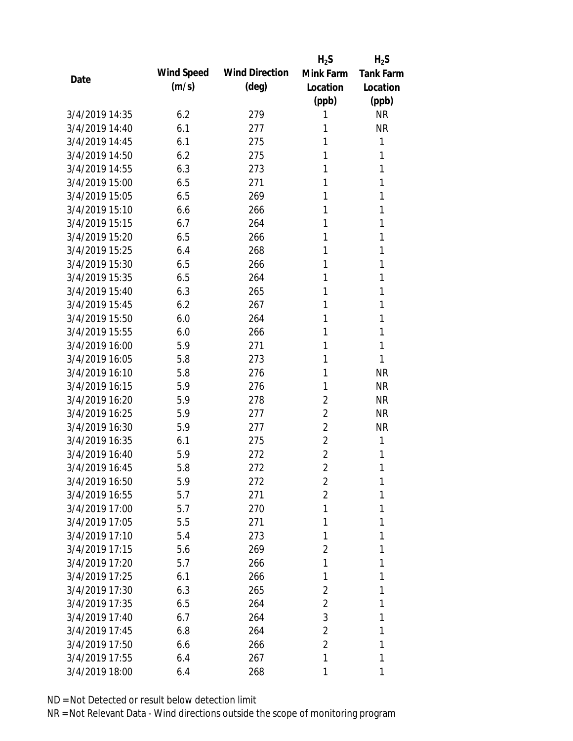|                |            |                       | $H_2S$         | $H_2S$           |
|----------------|------------|-----------------------|----------------|------------------|
| Date           | Wind Speed | <b>Wind Direction</b> | Mink Farm      | <b>Tank Farm</b> |
|                | (m/s)      | (deg)                 | Location       | Location         |
|                |            |                       | (ppb)          | (ppb)            |
| 3/4/2019 14:35 | 6.2        | 279                   | 1              | <b>NR</b>        |
| 3/4/2019 14:40 | 6.1        | 277                   | 1              | <b>NR</b>        |
| 3/4/2019 14:45 | 6.1        | 275                   | 1              | $\mathbf{1}$     |
| 3/4/2019 14:50 | 6.2        | 275                   | 1              | 1                |
| 3/4/2019 14:55 | 6.3        | 273                   | 1              | 1                |
| 3/4/2019 15:00 | 6.5        | 271                   | 1              | 1                |
| 3/4/2019 15:05 | 6.5        | 269                   | 1              | 1                |
| 3/4/2019 15:10 | 6.6        | 266                   | 1              | 1                |
| 3/4/2019 15:15 | 6.7        | 264                   | 1              | 1                |
| 3/4/2019 15:20 | 6.5        | 266                   | 1              | 1                |
| 3/4/2019 15:25 | 6.4        | 268                   | 1              | 1                |
| 3/4/2019 15:30 | 6.5        | 266                   | 1              | 1                |
| 3/4/2019 15:35 | 6.5        | 264                   | 1              | 1                |
| 3/4/2019 15:40 | 6.3        | 265                   | 1              | 1                |
| 3/4/2019 15:45 | 6.2        | 267                   | 1              | 1                |
| 3/4/2019 15:50 | 6.0        | 264                   | 1              | 1                |
| 3/4/2019 15:55 | 6.0        | 266                   | 1              | 1                |
| 3/4/2019 16:00 | 5.9        | 271                   | 1              | 1                |
| 3/4/2019 16:05 | 5.8        | 273                   | 1              | 1                |
| 3/4/2019 16:10 | 5.8        | 276                   | 1              | <b>NR</b>        |
| 3/4/2019 16:15 | 5.9        | 276                   | 1              | <b>NR</b>        |
| 3/4/2019 16:20 | 5.9        | 278                   | $\overline{2}$ | <b>NR</b>        |
| 3/4/2019 16:25 | 5.9        | 277                   | $\overline{2}$ | <b>NR</b>        |
| 3/4/2019 16:30 | 5.9        | 277                   | $\overline{2}$ | <b>NR</b>        |
| 3/4/2019 16:35 | 6.1        | 275                   | $\overline{2}$ | 1                |
| 3/4/2019 16:40 | 5.9        | 272                   | $\overline{2}$ | 1                |
| 3/4/2019 16:45 | 5.8        | 272                   | $\overline{2}$ | 1                |
| 3/4/2019 16:50 | 5.9        | 272                   | 2              | 1                |
| 3/4/2019 16:55 | 5.7        | 271                   | $\overline{2}$ | 1                |
| 3/4/2019 17:00 | 5.7        | 270                   | 1              | 1                |
| 3/4/2019 17:05 | 5.5        | 271                   | 1              | 1                |
| 3/4/2019 17:10 | 5.4        | 273                   | 1              | 1                |
| 3/4/2019 17:15 | 5.6        | 269                   | 2              | 1                |
| 3/4/2019 17:20 | 5.7        | 266                   | 1              | 1                |
| 3/4/2019 17:25 | 6.1        | 266                   | 1              | 1                |
| 3/4/2019 17:30 | 6.3        | 265                   | $\overline{2}$ | 1                |
| 3/4/2019 17:35 | 6.5        | 264                   | 2              | 1                |
| 3/4/2019 17:40 | 6.7        | 264                   | 3              | 1                |
| 3/4/2019 17:45 | 6.8        | 264                   | $\overline{2}$ | 1                |
| 3/4/2019 17:50 | 6.6        | 266                   | 2              | 1                |
| 3/4/2019 17:55 | 6.4        | 267                   | 1              | 1                |
| 3/4/2019 18:00 | 6.4        | 268                   | 1              | 1                |
|                |            |                       |                |                  |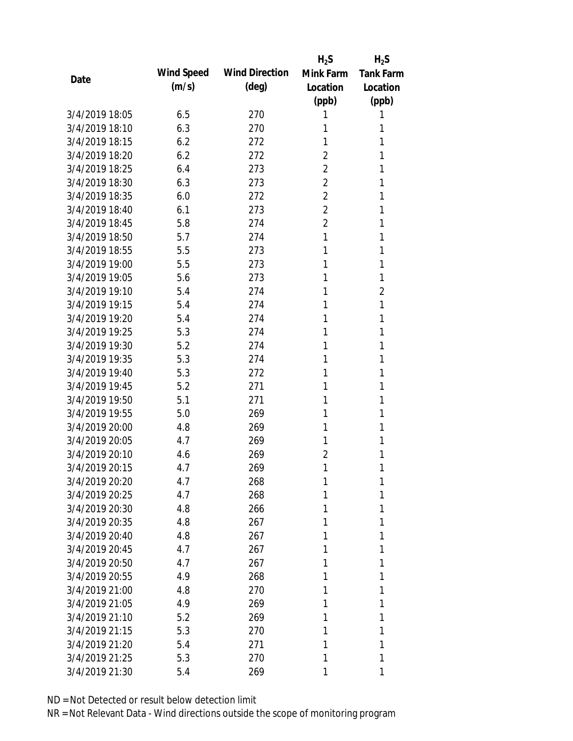|                |            |                       | $H_2S$         | $H_2S$           |
|----------------|------------|-----------------------|----------------|------------------|
| Date           | Wind Speed | <b>Wind Direction</b> | Mink Farm      | <b>Tank Farm</b> |
|                | (m/s)      | (deg)                 | Location       | Location         |
|                |            |                       | (ppb)          | (ppb)            |
| 3/4/2019 18:05 | 6.5        | 270                   | 1              | 1                |
| 3/4/2019 18:10 | 6.3        | 270                   | 1              | 1                |
| 3/4/2019 18:15 | 6.2        | 272                   | 1              | 1                |
| 3/4/2019 18:20 | 6.2        | 272                   | $\overline{2}$ | 1                |
| 3/4/2019 18:25 | 6.4        | 273                   | $\overline{2}$ | 1                |
| 3/4/2019 18:30 | 6.3        | 273                   | $\overline{2}$ | 1                |
| 3/4/2019 18:35 | 6.0        | 272                   | $\overline{2}$ | 1                |
| 3/4/2019 18:40 | 6.1        | 273                   | $\overline{2}$ | 1                |
| 3/4/2019 18:45 | 5.8        | 274                   | $\overline{2}$ | 1                |
| 3/4/2019 18:50 | 5.7        | 274                   | 1              | 1                |
| 3/4/2019 18:55 | 5.5        | 273                   | 1              | 1                |
| 3/4/2019 19:00 | 5.5        | 273                   | 1              | 1                |
| 3/4/2019 19:05 | 5.6        | 273                   | 1              | 1                |
| 3/4/2019 19:10 | 5.4        | 274                   | 1              | $\overline{2}$   |
| 3/4/2019 19:15 | 5.4        | 274                   | 1              | 1                |
| 3/4/2019 19:20 | 5.4        | 274                   | 1              | 1                |
| 3/4/2019 19:25 | 5.3        | 274                   | 1              | 1                |
| 3/4/2019 19:30 | 5.2        | 274                   | 1              | 1                |
| 3/4/2019 19:35 | 5.3        | 274                   | 1              | 1                |
| 3/4/2019 19:40 | 5.3        | 272                   | 1              | 1                |
| 3/4/2019 19:45 | 5.2        | 271                   | 1              | 1                |
| 3/4/2019 19:50 | 5.1        | 271                   | 1              | 1                |
| 3/4/2019 19:55 | 5.0        | 269                   | 1              | 1                |
| 3/4/2019 20:00 | 4.8        | 269                   | 1              | 1                |
| 3/4/2019 20:05 | 4.7        | 269                   | 1              | 1                |
| 3/4/2019 20:10 | 4.6        | 269                   | $\overline{2}$ | 1                |
| 3/4/2019 20:15 | 4.7        | 269                   | 1              | 1                |
| 3/4/2019 20:20 | 4.7        | 268                   | 1              | 1                |
| 3/4/2019 20:25 | 4.7        | 268                   | 1              | 1                |
| 3/4/2019 20:30 | 4.8        | 266                   | 1              | 1                |
| 3/4/2019 20:35 | 4.8        | 267                   | 1              | 1                |
| 3/4/2019 20:40 | 4.8        | 267                   | 1              | 1                |
| 3/4/2019 20:45 | 4.7        | 267                   | 1              | 1                |
| 3/4/2019 20:50 | 4.7        | 267                   | 1              | 1                |
| 3/4/2019 20:55 | 4.9        | 268                   | 1              | 1                |
| 3/4/2019 21:00 | 4.8        | 270                   | 1              | 1                |
| 3/4/2019 21:05 | 4.9        | 269                   | 1              | 1                |
| 3/4/2019 21:10 | 5.2        | 269                   | 1              | 1                |
| 3/4/2019 21:15 | 5.3        | 270                   | 1              | 1                |
| 3/4/2019 21:20 | 5.4        | 271                   | 1              | 1                |
| 3/4/2019 21:25 | 5.3        | 270                   | 1              | 1                |
| 3/4/2019 21:30 | 5.4        | 269                   | 1              | 1                |
|                |            |                       |                |                  |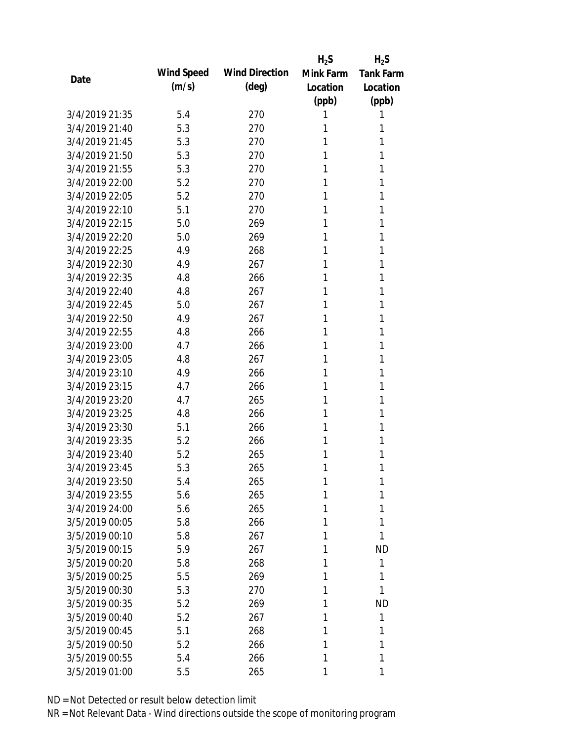|                |            |                       | $H_2S$    | $H_2S$           |
|----------------|------------|-----------------------|-----------|------------------|
| Date           | Wind Speed | <b>Wind Direction</b> | Mink Farm | <b>Tank Farm</b> |
|                | (m/s)      | (deg)                 | Location  | Location         |
|                |            |                       | (ppb)     | (ppb)            |
| 3/4/2019 21:35 | 5.4        | 270                   | 1         | 1                |
| 3/4/2019 21:40 | 5.3        | 270                   | 1         | 1                |
| 3/4/2019 21:45 | 5.3        | 270                   | 1         | 1                |
| 3/4/2019 21:50 | 5.3        | 270                   | 1         | 1                |
| 3/4/2019 21:55 | 5.3        | 270                   | 1         | 1                |
| 3/4/2019 22:00 | 5.2        | 270                   | 1         | 1                |
| 3/4/2019 22:05 | 5.2        | 270                   | 1         | 1                |
| 3/4/2019 22:10 | 5.1        | 270                   | 1         | 1                |
| 3/4/2019 22:15 | 5.0        | 269                   | 1         | 1                |
| 3/4/2019 22:20 | 5.0        | 269                   | 1         | 1                |
| 3/4/2019 22:25 | 4.9        | 268                   | 1         | 1                |
| 3/4/2019 22:30 | 4.9        | 267                   | 1         | 1                |
| 3/4/2019 22:35 | 4.8        | 266                   | 1         | 1                |
| 3/4/2019 22:40 | 4.8        | 267                   | 1         | 1                |
| 3/4/2019 22:45 | 5.0        | 267                   | 1         | 1                |
| 3/4/2019 22:50 | 4.9        | 267                   | 1         | 1                |
| 3/4/2019 22:55 | 4.8        | 266                   | 1         | 1                |
| 3/4/2019 23:00 | 4.7        | 266                   | 1         | 1                |
| 3/4/2019 23:05 | 4.8        | 267                   | 1         | 1                |
| 3/4/2019 23:10 | 4.9        | 266                   | 1         | 1                |
| 3/4/2019 23:15 | 4.7        | 266                   | 1         | 1                |
| 3/4/2019 23:20 | 4.7        | 265                   | 1         | 1                |
| 3/4/2019 23:25 | 4.8        | 266                   | 1         | 1                |
| 3/4/2019 23:30 | 5.1        | 266                   | 1         | 1                |
| 3/4/2019 23:35 | 5.2        | 266                   | 1         | 1                |
| 3/4/2019 23:40 | 5.2        | 265                   | 1         | 1                |
| 3/4/2019 23:45 | 5.3        | 265                   | 1         | 1                |
| 3/4/2019 23:50 | 5.4        | 265                   | 1         | 1                |
| 3/4/2019 23:55 | 5.6        | 265                   | 1         | 1                |
| 3/4/2019 24:00 | 5.6        | 265                   | 1         | 1                |
| 3/5/2019 00:05 | 5.8        | 266                   | 1         | 1                |
| 3/5/2019 00:10 | 5.8        | 267                   | 1         | 1                |
| 3/5/2019 00:15 | 5.9        | 267                   | 1         | <b>ND</b>        |
| 3/5/2019 00:20 | 5.8        | 268                   | 1         | 1                |
| 3/5/2019 00:25 | 5.5        | 269                   | 1         | 1                |
| 3/5/2019 00:30 | 5.3        | 270                   | 1         | 1                |
| 3/5/2019 00:35 | 5.2        | 269                   | 1         | <b>ND</b>        |
| 3/5/2019 00:40 | 5.2        | 267                   | 1         | 1                |
| 3/5/2019 00:45 | 5.1        | 268                   | 1         | 1                |
| 3/5/2019 00:50 | 5.2        | 266                   | 1         | 1                |
| 3/5/2019 00:55 | 5.4        | 266                   | 1         | 1                |
| 3/5/2019 01:00 | 5.5        | 265                   | 1         | 1                |
|                |            |                       |           |                  |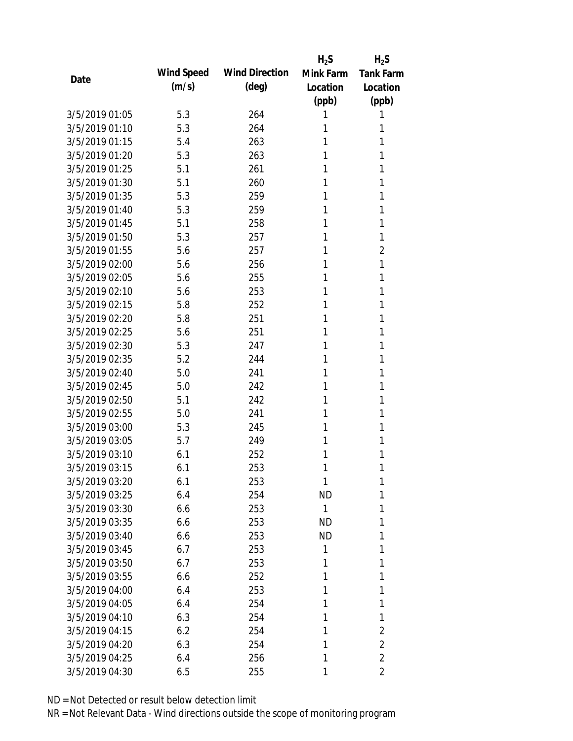|                |            |                       | $H_2S$       | $H_2S$           |
|----------------|------------|-----------------------|--------------|------------------|
| Date           | Wind Speed | <b>Wind Direction</b> | Mink Farm    | <b>Tank Farm</b> |
|                | (m/s)      | (deg)                 | Location     | Location         |
|                |            |                       | (ppb)        | (ppb)            |
| 3/5/2019 01:05 | 5.3        | 264                   | 1            | 1                |
| 3/5/2019 01:10 | 5.3        | 264                   | 1            | 1                |
| 3/5/2019 01:15 | 5.4        | 263                   | 1            | 1                |
| 3/5/2019 01:20 | 5.3        | 263                   | 1            | 1                |
| 3/5/2019 01:25 | 5.1        | 261                   | 1            | 1                |
| 3/5/2019 01:30 | 5.1        | 260                   | 1            | 1                |
| 3/5/2019 01:35 | 5.3        | 259                   | 1            | 1                |
| 3/5/2019 01:40 | 5.3        | 259                   | 1            | 1                |
| 3/5/2019 01:45 | 5.1        | 258                   | 1            | 1                |
| 3/5/2019 01:50 | 5.3        | 257                   | 1            | 1                |
| 3/5/2019 01:55 | 5.6        | 257                   | 1            | 2                |
| 3/5/2019 02:00 | 5.6        | 256                   | 1            | 1                |
| 3/5/2019 02:05 | 5.6        | 255                   | 1            | 1                |
| 3/5/2019 02:10 | 5.6        | 253                   | 1            | 1                |
| 3/5/2019 02:15 | 5.8        | 252                   | 1            | 1                |
| 3/5/2019 02:20 | 5.8        | 251                   | 1            | 1                |
| 3/5/2019 02:25 | 5.6        | 251                   | 1            | 1                |
| 3/5/2019 02:30 | 5.3        | 247                   | 1            | 1                |
| 3/5/2019 02:35 | 5.2        | 244                   | 1            | 1                |
| 3/5/2019 02:40 | 5.0        | 241                   | 1            | 1                |
| 3/5/2019 02:45 | 5.0        | 242                   | 1            | 1                |
| 3/5/2019 02:50 | 5.1        | 242                   | 1            | 1                |
| 3/5/2019 02:55 | 5.0        | 241                   | 1            | 1                |
| 3/5/2019 03:00 | 5.3        | 245                   | 1            | 1                |
| 3/5/2019 03:05 | 5.7        | 249                   | 1            | 1                |
| 3/5/2019 03:10 | 6.1        | 252                   | 1            | 1                |
| 3/5/2019 03:15 | 6.1        | 253                   | 1            | 1                |
| 3/5/2019 03:20 | 6.1        | 253                   | 1            | 1                |
| 3/5/2019 03:25 | 6.4        | 254                   | <b>ND</b>    | 1                |
| 3/5/2019 03:30 | 6.6        | 253                   | $\mathbf{1}$ | 1                |
| 3/5/2019 03:35 | 6.6        | 253                   | <b>ND</b>    | 1                |
| 3/5/2019 03:40 | 6.6        | 253                   | <b>ND</b>    | 1                |
| 3/5/2019 03:45 | 6.7        | 253                   | 1            | 1                |
| 3/5/2019 03:50 | 6.7        | 253                   | 1            | 1                |
| 3/5/2019 03:55 | 6.6        | 252                   | 1            | 1                |
| 3/5/2019 04:00 | 6.4        | 253                   | 1            | 1                |
| 3/5/2019 04:05 | 6.4        | 254                   | 1            | 1                |
| 3/5/2019 04:10 | 6.3        | 254                   | 1            | 1                |
| 3/5/2019 04:15 | 6.2        | 254                   | 1            | 2                |
| 3/5/2019 04:20 | 6.3        | 254                   | 1            | $\overline{2}$   |
| 3/5/2019 04:25 | 6.4        | 256                   | 1            | $\overline{2}$   |
| 3/5/2019 04:30 | 6.5        | 255                   | 1            | 2                |
|                |            |                       |              |                  |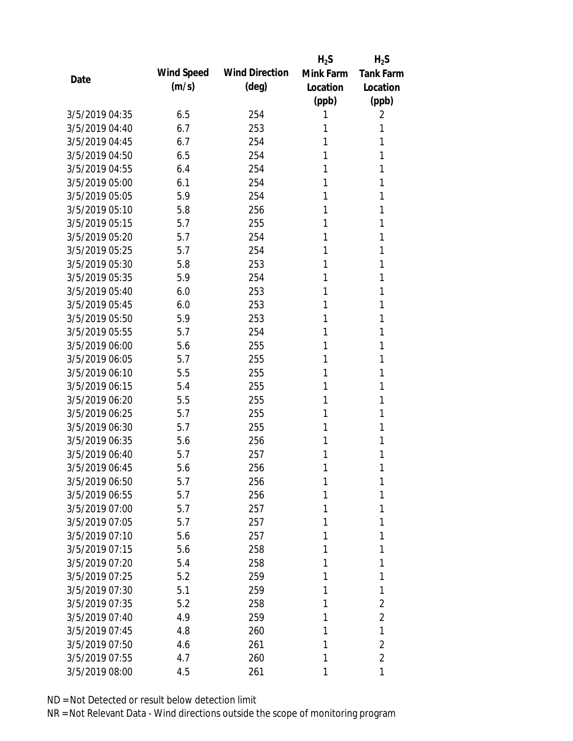|                |            |                       | $H_2S$    | $H_2S$           |
|----------------|------------|-----------------------|-----------|------------------|
| Date           | Wind Speed | <b>Wind Direction</b> | Mink Farm | <b>Tank Farm</b> |
|                | (m/s)      | $(\text{deg})$        | Location  | Location         |
|                |            |                       | (ppb)     | (ppb)            |
| 3/5/2019 04:35 | 6.5        | 254                   | 1         | 2                |
| 3/5/2019 04:40 | 6.7        | 253                   | 1         | 1                |
| 3/5/2019 04:45 | 6.7        | 254                   | 1         | 1                |
| 3/5/2019 04:50 | 6.5        | 254                   | 1         | 1                |
| 3/5/2019 04:55 | 6.4        | 254                   | 1         | 1                |
| 3/5/2019 05:00 | 6.1        | 254                   | 1         | 1                |
| 3/5/2019 05:05 | 5.9        | 254                   | 1         | 1                |
| 3/5/2019 05:10 | 5.8        | 256                   | 1         | 1                |
| 3/5/2019 05:15 | 5.7        | 255                   | 1         | 1                |
| 3/5/2019 05:20 | 5.7        | 254                   | 1         | 1                |
| 3/5/2019 05:25 | 5.7        | 254                   | 1         | 1                |
| 3/5/2019 05:30 | 5.8        | 253                   | 1         | 1                |
| 3/5/2019 05:35 | 5.9        | 254                   | 1         | 1                |
| 3/5/2019 05:40 | 6.0        | 253                   | 1         | 1                |
| 3/5/2019 05:45 | 6.0        | 253                   | 1         | 1                |
| 3/5/2019 05:50 | 5.9        | 253                   | 1         | 1                |
| 3/5/2019 05:55 | 5.7        | 254                   | 1         | 1                |
| 3/5/2019 06:00 | 5.6        | 255                   | 1         | 1                |
| 3/5/2019 06:05 | 5.7        | 255                   | 1         | 1                |
| 3/5/2019 06:10 | 5.5        | 255                   | 1         | 1                |
| 3/5/2019 06:15 | 5.4        | 255                   | 1         | 1                |
| 3/5/2019 06:20 | 5.5        | 255                   | 1         | 1                |
| 3/5/2019 06:25 | 5.7        | 255                   | 1         | 1                |
| 3/5/2019 06:30 | 5.7        | 255                   | 1         | 1                |
| 3/5/2019 06:35 | 5.6        | 256                   | 1         | 1                |
| 3/5/2019 06:40 | 5.7        | 257                   | 1         | 1                |
| 3/5/2019 06:45 | 5.6        | 256                   | 1         | 1                |
| 3/5/2019 06:50 | 5.7        | 256                   | 1         | 1                |
| 3/5/2019 06:55 | 5.7        | 256                   | 1         | 1                |
| 3/5/2019 07:00 | 5.7        | 257                   | 1         | 1                |
| 3/5/2019 07:05 | 5.7        | 257                   | 1         | 1                |
| 3/5/2019 07:10 | 5.6        | 257                   | 1         | 1                |
| 3/5/2019 07:15 | 5.6        | 258                   | 1         | 1                |
| 3/5/2019 07:20 | 5.4        | 258                   | 1         | 1                |
| 3/5/2019 07:25 | 5.2        | 259                   | 1         | 1                |
| 3/5/2019 07:30 | 5.1        | 259                   | 1         | 1                |
| 3/5/2019 07:35 | 5.2        | 258                   | 1         | 2                |
| 3/5/2019 07:40 | 4.9        | 259                   | 1         | 2                |
| 3/5/2019 07:45 | 4.8        | 260                   | 1         | 1                |
| 3/5/2019 07:50 | 4.6        | 261                   | 1         | $\overline{2}$   |
| 3/5/2019 07:55 | 4.7        | 260                   | 1         | $\overline{2}$   |
| 3/5/2019 08:00 | 4.5        | 261                   | 1         | 1                |
|                |            |                       |           |                  |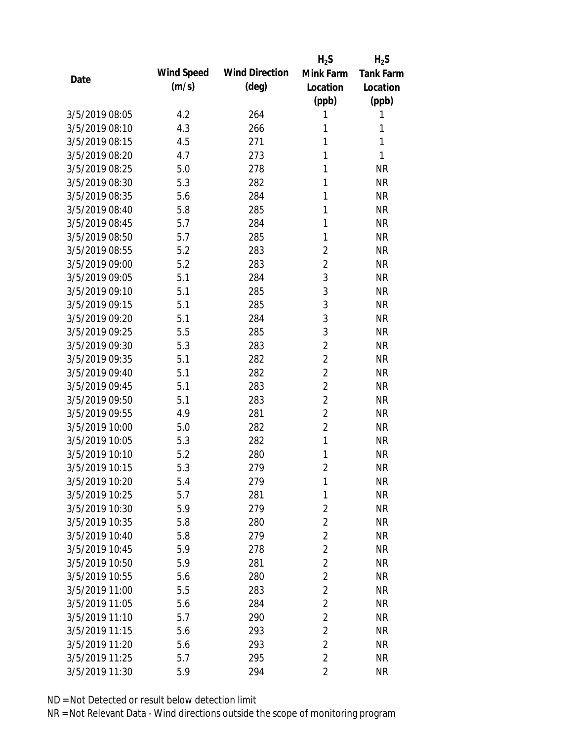|                |            |                       | $H_2S$         | $H_2S$           |
|----------------|------------|-----------------------|----------------|------------------|
| Date           | Wind Speed | <b>Wind Direction</b> | Mink Farm      | <b>Tank Farm</b> |
|                | (m/s)      | $(\text{deg})$        | Location       | Location         |
|                |            |                       | (ppb)          | (ppb)            |
| 3/5/2019 08:05 | 4.2        | 264                   | 1              | 1                |
| 3/5/2019 08:10 | 4.3        | 266                   | 1              | 1                |
| 3/5/2019 08:15 | 4.5        | 271                   | 1              | 1                |
| 3/5/2019 08:20 | 4.7        | 273                   | 1              | 1                |
| 3/5/2019 08:25 | 5.0        | 278                   | 1              | <b>NR</b>        |
| 3/5/2019 08:30 | 5.3        | 282                   | 1              | <b>NR</b>        |
| 3/5/2019 08:35 | 5.6        | 284                   | 1              | <b>NR</b>        |
| 3/5/2019 08:40 | 5.8        | 285                   | 1              | <b>NR</b>        |
| 3/5/2019 08:45 | 5.7        | 284                   | 1              | <b>NR</b>        |
| 3/5/2019 08:50 | 5.7        | 285                   | 1              | <b>NR</b>        |
| 3/5/2019 08:55 | 5.2        | 283                   | $\overline{2}$ | <b>NR</b>        |
| 3/5/2019 09:00 | 5.2        | 283                   | $\overline{2}$ | <b>NR</b>        |
| 3/5/2019 09:05 | 5.1        | 284                   | $\mathfrak{Z}$ | <b>NR</b>        |
| 3/5/2019 09:10 | 5.1        | 285                   | 3              | <b>NR</b>        |
| 3/5/2019 09:15 | 5.1        | 285                   | 3              | <b>NR</b>        |
| 3/5/2019 09:20 | 5.1        | 284                   | 3              | <b>NR</b>        |
| 3/5/2019 09:25 | 5.5        | 285                   | 3              | <b>NR</b>        |
| 3/5/2019 09:30 | 5.3        | 283                   | $\overline{2}$ | <b>NR</b>        |
| 3/5/2019 09:35 | 5.1        | 282                   | $\overline{2}$ | <b>NR</b>        |
| 3/5/2019 09:40 | 5.1        | 282                   | $\overline{2}$ | <b>NR</b>        |
| 3/5/2019 09:45 | 5.1        | 283                   | $\overline{2}$ | <b>NR</b>        |
| 3/5/2019 09:50 | 5.1        | 283                   | $\overline{2}$ | <b>NR</b>        |
| 3/5/2019 09:55 | 4.9        | 281                   | $\overline{2}$ | <b>NR</b>        |
| 3/5/2019 10:00 | 5.0        | 282                   | $\overline{2}$ | <b>NR</b>        |
| 3/5/2019 10:05 | 5.3        | 282                   | $\mathbf{1}$   | <b>NR</b>        |
| 3/5/2019 10:10 | 5.2        | 280                   | 1              | <b>NR</b>        |
| 3/5/2019 10:15 | 5.3        | 279                   | $\overline{2}$ | <b>NR</b>        |
| 3/5/2019 10:20 | 5.4        | 279                   | 1              | <b>NR</b>        |
| 3/5/2019 10:25 | 5.7        | 281                   | 1              | <b>NR</b>        |
| 3/5/2019 10:30 | 5.9        | 279                   | $\overline{2}$ | <b>NR</b>        |
| 3/5/2019 10:35 | 5.8        | 280                   | $\overline{2}$ | <b>NR</b>        |
| 3/5/2019 10:40 | 5.8        | 279                   | $\overline{2}$ | <b>NR</b>        |
| 3/5/2019 10:45 | 5.9        | 278                   | $\overline{2}$ | <b>NR</b>        |
| 3/5/2019 10:50 | 5.9        | 281                   | $\overline{2}$ | <b>NR</b>        |
| 3/5/2019 10:55 | 5.6        | 280                   | $\overline{2}$ | <b>NR</b>        |
| 3/5/2019 11:00 | 5.5        | 283                   | $\overline{2}$ | <b>NR</b>        |
| 3/5/2019 11:05 | 5.6        | 284                   | $\overline{2}$ | <b>NR</b>        |
| 3/5/2019 11:10 | 5.7        | 290                   | $\overline{2}$ | <b>NR</b>        |
| 3/5/2019 11:15 | 5.6        | 293                   | $\overline{2}$ | <b>NR</b>        |
| 3/5/2019 11:20 | 5.6        | 293                   | $\overline{2}$ | <b>NR</b>        |
| 3/5/2019 11:25 | 5.7        | 295                   | $\overline{2}$ | <b>NR</b>        |
| 3/5/2019 11:30 | 5.9        | 294                   | $\overline{2}$ | <b>NR</b>        |
|                |            |                       |                |                  |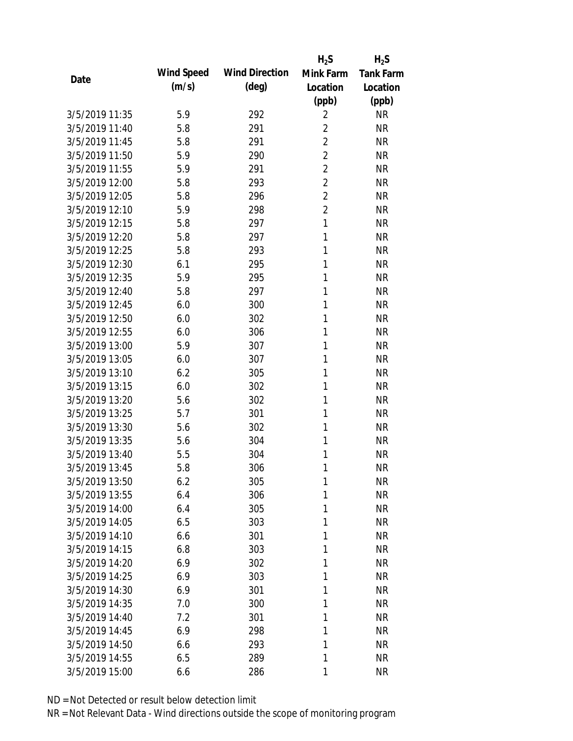|                |            |                       | $H_2S$         | $H_2S$           |
|----------------|------------|-----------------------|----------------|------------------|
|                | Wind Speed | <b>Wind Direction</b> | Mink Farm      | <b>Tank Farm</b> |
| Date           | (m/s)      | $(\text{deg})$        | Location       | Location         |
|                |            |                       | (ppb)          | (ppb)            |
| 3/5/2019 11:35 | 5.9        | 292                   | $\overline{2}$ | <b>NR</b>        |
| 3/5/2019 11:40 | 5.8        | 291                   | $\overline{2}$ | <b>NR</b>        |
| 3/5/2019 11:45 | 5.8        | 291                   | $\overline{2}$ | <b>NR</b>        |
| 3/5/2019 11:50 | 5.9        | 290                   | $\overline{2}$ | <b>NR</b>        |
| 3/5/2019 11:55 | 5.9        | 291                   | $\overline{2}$ | <b>NR</b>        |
| 3/5/2019 12:00 | 5.8        | 293                   | $\overline{2}$ | <b>NR</b>        |
| 3/5/2019 12:05 | 5.8        | 296                   | $\overline{2}$ | <b>NR</b>        |
| 3/5/2019 12:10 | 5.9        | 298                   | $\overline{2}$ | <b>NR</b>        |
| 3/5/2019 12:15 | 5.8        | 297                   | $\mathbf{1}$   | <b>NR</b>        |
| 3/5/2019 12:20 | 5.8        | 297                   | 1              | <b>NR</b>        |
| 3/5/2019 12:25 | 5.8        | 293                   | 1              | <b>NR</b>        |
| 3/5/2019 12:30 | 6.1        | 295                   | 1              | <b>NR</b>        |
| 3/5/2019 12:35 | 5.9        | 295                   | 1              | <b>NR</b>        |
| 3/5/2019 12:40 | 5.8        | 297                   | 1              | <b>NR</b>        |
| 3/5/2019 12:45 | 6.0        | 300                   | 1              | <b>NR</b>        |
| 3/5/2019 12:50 | 6.0        | 302                   | 1              | <b>NR</b>        |
| 3/5/2019 12:55 | 6.0        | 306                   | 1              | <b>NR</b>        |
| 3/5/2019 13:00 | 5.9        | 307                   | 1              | <b>NR</b>        |
| 3/5/2019 13:05 | 6.0        | 307                   | 1              | <b>NR</b>        |
| 3/5/2019 13:10 | 6.2        | 305                   | 1              | <b>NR</b>        |
| 3/5/2019 13:15 | 6.0        | 302                   | 1              | <b>NR</b>        |
| 3/5/2019 13:20 | 5.6        | 302                   | 1              | <b>NR</b>        |
| 3/5/2019 13:25 | 5.7        | 301                   | 1              | <b>NR</b>        |
| 3/5/2019 13:30 | 5.6        | 302                   | 1              | <b>NR</b>        |
| 3/5/2019 13:35 | 5.6        | 304                   | 1              | <b>NR</b>        |
| 3/5/2019 13:40 | 5.5        | 304                   | 1              | <b>NR</b>        |
| 3/5/2019 13:45 | 5.8        | 306                   | 1              | <b>NR</b>        |
| 3/5/2019 13:50 | 6.2        | 305                   | 1              | <b>NR</b>        |
| 3/5/2019 13:55 | 6.4        | 306                   | 1              | <b>NR</b>        |
| 3/5/2019 14:00 | 6.4        | 305                   | 1              | <b>NR</b>        |
| 3/5/2019 14:05 | 6.5        | 303                   | 1              | <b>NR</b>        |
| 3/5/2019 14:10 | 6.6        | 301                   | 1              | <b>NR</b>        |
| 3/5/2019 14:15 | 6.8        | 303                   | 1              | <b>NR</b>        |
| 3/5/2019 14:20 | 6.9        | 302                   | 1              | <b>NR</b>        |
| 3/5/2019 14:25 | 6.9        | 303                   | 1              | <b>NR</b>        |
| 3/5/2019 14:30 | 6.9        | 301                   | 1              | <b>NR</b>        |
| 3/5/2019 14:35 | 7.0        | 300                   | 1              | <b>NR</b>        |
| 3/5/2019 14:40 | 7.2        | 301                   | 1              | <b>NR</b>        |
| 3/5/2019 14:45 | 6.9        | 298                   | 1              | <b>NR</b>        |
| 3/5/2019 14:50 | 6.6        | 293                   | 1              | <b>NR</b>        |
| 3/5/2019 14:55 | 6.5        | 289                   | 1              | <b>NR</b>        |
| 3/5/2019 15:00 | 6.6        | 286                   | 1              | <b>NR</b>        |
|                |            |                       |                |                  |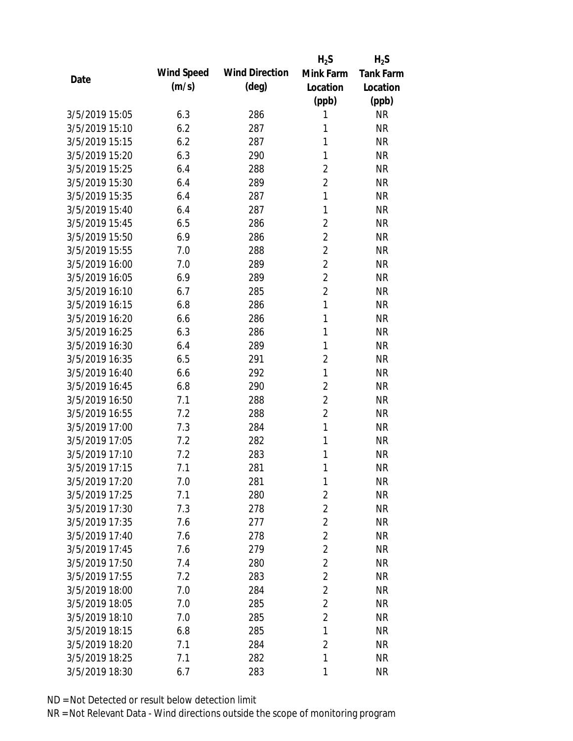|                |            |                       | $H_2S$         | $H_2S$           |
|----------------|------------|-----------------------|----------------|------------------|
| Date           | Wind Speed | <b>Wind Direction</b> | Mink Farm      | <b>Tank Farm</b> |
|                | (m/s)      | $(\text{deg})$        | Location       | Location         |
|                |            |                       | (ppb)          | (ppb)            |
| 3/5/2019 15:05 | 6.3        | 286                   | 1              | <b>NR</b>        |
| 3/5/2019 15:10 | 6.2        | 287                   | 1              | <b>NR</b>        |
| 3/5/2019 15:15 | 6.2        | 287                   | 1              | <b>NR</b>        |
| 3/5/2019 15:20 | 6.3        | 290                   | 1              | <b>NR</b>        |
| 3/5/2019 15:25 | 6.4        | 288                   | $\overline{2}$ | <b>NR</b>        |
| 3/5/2019 15:30 | 6.4        | 289                   | $\overline{2}$ | <b>NR</b>        |
| 3/5/2019 15:35 | 6.4        | 287                   | 1              | <b>NR</b>        |
| 3/5/2019 15:40 | 6.4        | 287                   | 1              | <b>NR</b>        |
| 3/5/2019 15:45 | 6.5        | 286                   | $\overline{2}$ | <b>NR</b>        |
| 3/5/2019 15:50 | 6.9        | 286                   | $\overline{2}$ | <b>NR</b>        |
| 3/5/2019 15:55 | 7.0        | 288                   | $\overline{2}$ | <b>NR</b>        |
| 3/5/2019 16:00 | 7.0        | 289                   | $\overline{2}$ | <b>NR</b>        |
| 3/5/2019 16:05 | 6.9        | 289                   | $\overline{2}$ | <b>NR</b>        |
| 3/5/2019 16:10 | 6.7        | 285                   | $\overline{2}$ | <b>NR</b>        |
| 3/5/2019 16:15 | 6.8        | 286                   | $\mathbf{1}$   | <b>NR</b>        |
| 3/5/2019 16:20 | 6.6        | 286                   | 1              | <b>NR</b>        |
| 3/5/2019 16:25 | 6.3        | 286                   | 1              | <b>NR</b>        |
| 3/5/2019 16:30 | 6.4        | 289                   | 1              | <b>NR</b>        |
| 3/5/2019 16:35 | 6.5        | 291                   | $\overline{2}$ | <b>NR</b>        |
| 3/5/2019 16:40 | 6.6        | 292                   | $\mathbf{1}$   | <b>NR</b>        |
| 3/5/2019 16:45 | 6.8        | 290                   | $\overline{2}$ | <b>NR</b>        |
| 3/5/2019 16:50 | 7.1        | 288                   | $\overline{2}$ | <b>NR</b>        |
| 3/5/2019 16:55 | 7.2        | 288                   | $\overline{2}$ | <b>NR</b>        |
| 3/5/2019 17:00 | 7.3        | 284                   | $\mathbf{1}$   | <b>NR</b>        |
| 3/5/2019 17:05 | 7.2        | 282                   | 1              | <b>NR</b>        |
| 3/5/2019 17:10 | 7.2        | 283                   | 1              | <b>NR</b>        |
| 3/5/2019 17:15 | 7.1        | 281                   | 1              | <b>NR</b>        |
| 3/5/2019 17:20 | 7.0        | 281                   | 1              | <b>NR</b>        |
| 3/5/2019 17:25 | 7.1        | 280                   | $\overline{2}$ | <b>NR</b>        |
| 3/5/2019 17:30 | 7.3        | 278                   | 2              | <b>NR</b>        |
| 3/5/2019 17:35 | 7.6        | 277                   | $\overline{2}$ | <b>NR</b>        |
| 3/5/2019 17:40 | 7.6        | 278                   | 2              | <b>NR</b>        |
| 3/5/2019 17:45 | 7.6        | 279                   | $\overline{2}$ | <b>NR</b>        |
| 3/5/2019 17:50 | 7.4        | 280                   | $\overline{2}$ | <b>NR</b>        |
| 3/5/2019 17:55 | 7.2        | 283                   | $\overline{2}$ | <b>NR</b>        |
| 3/5/2019 18:00 | 7.0        | 284                   | $\overline{2}$ | <b>NR</b>        |
| 3/5/2019 18:05 | 7.0        | 285                   | $\overline{2}$ | <b>NR</b>        |
| 3/5/2019 18:10 | 7.0        | 285                   | $\overline{2}$ | <b>NR</b>        |
| 3/5/2019 18:15 | 6.8        | 285                   | 1              | <b>NR</b>        |
| 3/5/2019 18:20 | 7.1        | 284                   | $\overline{2}$ | <b>NR</b>        |
| 3/5/2019 18:25 | 7.1        | 282                   | 1              | <b>NR</b>        |
| 3/5/2019 18:30 | 6.7        | 283                   | 1              | <b>NR</b>        |
|                |            |                       |                |                  |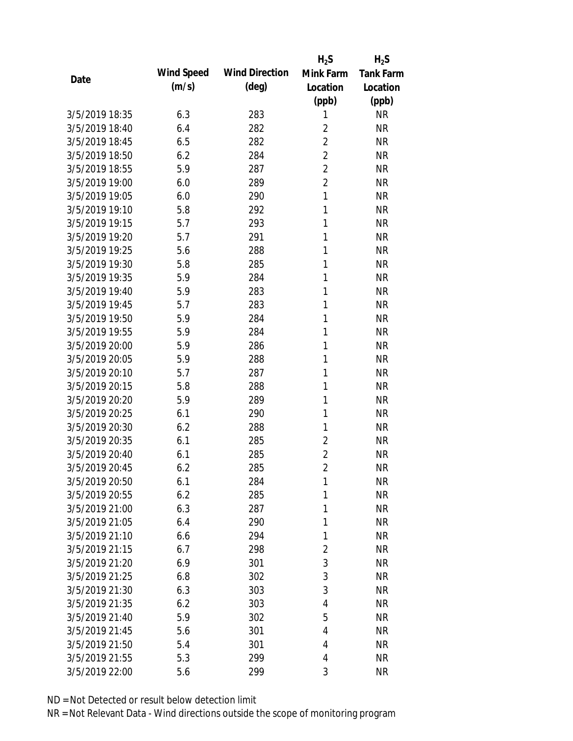|                |            |                       | $H_2S$         | $H_2S$           |
|----------------|------------|-----------------------|----------------|------------------|
|                | Wind Speed | <b>Wind Direction</b> | Mink Farm      | <b>Tank Farm</b> |
| Date           | (m/s)      | $(\text{deg})$        | Location       | Location         |
|                |            |                       | (ppb)          | (ppb)            |
| 3/5/2019 18:35 | 6.3        | 283                   | 1              | <b>NR</b>        |
| 3/5/2019 18:40 | 6.4        | 282                   | $\overline{2}$ | <b>NR</b>        |
| 3/5/2019 18:45 | 6.5        | 282                   | $\overline{2}$ | <b>NR</b>        |
| 3/5/2019 18:50 | 6.2        | 284                   | $\overline{2}$ | <b>NR</b>        |
| 3/5/2019 18:55 | 5.9        | 287                   | $\overline{2}$ | <b>NR</b>        |
| 3/5/2019 19:00 | 6.0        | 289                   | $\overline{2}$ | <b>NR</b>        |
| 3/5/2019 19:05 | 6.0        | 290                   | 1              | <b>NR</b>        |
| 3/5/2019 19:10 | 5.8        | 292                   | $\mathbf{1}$   | <b>NR</b>        |
| 3/5/2019 19:15 | 5.7        | 293                   | 1              | <b>NR</b>        |
| 3/5/2019 19:20 | 5.7        | 291                   | 1              | <b>NR</b>        |
| 3/5/2019 19:25 | 5.6        | 288                   | 1              | <b>NR</b>        |
| 3/5/2019 19:30 | 5.8        | 285                   | 1              | <b>NR</b>        |
| 3/5/2019 19:35 | 5.9        | 284                   | 1              | <b>NR</b>        |
| 3/5/2019 19:40 | 5.9        | 283                   | 1              | <b>NR</b>        |
| 3/5/2019 19:45 | 5.7        | 283                   | 1              | <b>NR</b>        |
| 3/5/2019 19:50 | 5.9        | 284                   | 1              | <b>NR</b>        |
| 3/5/2019 19:55 | 5.9        | 284                   | 1              | <b>NR</b>        |
| 3/5/2019 20:00 | 5.9        | 286                   | 1              | <b>NR</b>        |
| 3/5/2019 20:05 | 5.9        | 288                   | 1              | <b>NR</b>        |
| 3/5/2019 20:10 | 5.7        | 287                   | 1              | <b>NR</b>        |
| 3/5/2019 20:15 | 5.8        | 288                   | 1              | <b>NR</b>        |
| 3/5/2019 20:20 | 5.9        | 289                   | 1              | <b>NR</b>        |
| 3/5/2019 20:25 | 6.1        | 290                   | 1              | <b>NR</b>        |
| 3/5/2019 20:30 | 6.2        | 288                   | 1              | <b>NR</b>        |
| 3/5/2019 20:35 | 6.1        | 285                   | $\overline{2}$ | <b>NR</b>        |
| 3/5/2019 20:40 | 6.1        | 285                   | $\overline{2}$ | <b>NR</b>        |
| 3/5/2019 20:45 | 6.2        | 285                   | $\overline{2}$ | <b>NR</b>        |
| 3/5/2019 20:50 | 6.1        | 284                   | 1              | <b>NR</b>        |
| 3/5/2019 20:55 | 6.2        | 285                   | 1              | <b>NR</b>        |
| 3/5/2019 21:00 | 6.3        | 287                   | 1              | <b>NR</b>        |
| 3/5/2019 21:05 | 6.4        | 290                   | 1              | <b>NR</b>        |
| 3/5/2019 21:10 | 6.6        | 294                   | 1              | <b>NR</b>        |
| 3/5/2019 21:15 | 6.7        | 298                   | $\overline{2}$ | <b>NR</b>        |
| 3/5/2019 21:20 | 6.9        | 301                   | 3              | <b>NR</b>        |
| 3/5/2019 21:25 | 6.8        | 302                   | 3              | <b>NR</b>        |
| 3/5/2019 21:30 | 6.3        | 303                   | 3              | <b>NR</b>        |
| 3/5/2019 21:35 | 6.2        | 303                   | 4              | <b>NR</b>        |
| 3/5/2019 21:40 | 5.9        | 302                   | 5              | <b>NR</b>        |
| 3/5/2019 21:45 | 5.6        | 301                   | 4              | <b>NR</b>        |
| 3/5/2019 21:50 | 5.4        | 301                   | 4              | <b>NR</b>        |
| 3/5/2019 21:55 | 5.3        | 299                   | 4              | <b>NR</b>        |
| 3/5/2019 22:00 | 5.6        | 299                   | 3              | <b>NR</b>        |
|                |            |                       |                |                  |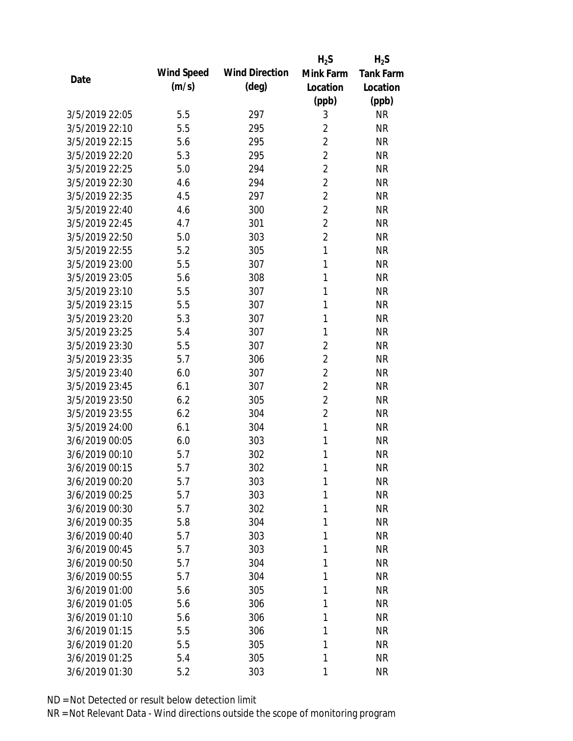|                |            |                       | $H_2S$         | $H_2S$           |
|----------------|------------|-----------------------|----------------|------------------|
|                | Wind Speed | <b>Wind Direction</b> | Mink Farm      | <b>Tank Farm</b> |
| Date           | (m/s)      | $(\text{deg})$        | Location       | Location         |
|                |            |                       | (ppb)          | (ppb)            |
| 3/5/2019 22:05 | 5.5        | 297                   | 3              | <b>NR</b>        |
| 3/5/2019 22:10 | 5.5        | 295                   | $\overline{2}$ | <b>NR</b>        |
| 3/5/2019 22:15 | 5.6        | 295                   | $\overline{2}$ | <b>NR</b>        |
| 3/5/2019 22:20 | 5.3        | 295                   | $\overline{2}$ | <b>NR</b>        |
| 3/5/2019 22:25 | 5.0        | 294                   | $\overline{2}$ | <b>NR</b>        |
| 3/5/2019 22:30 | 4.6        | 294                   | $\overline{2}$ | <b>NR</b>        |
| 3/5/2019 22:35 | 4.5        | 297                   | $\overline{2}$ | <b>NR</b>        |
| 3/5/2019 22:40 | 4.6        | 300                   | $\overline{2}$ | <b>NR</b>        |
| 3/5/2019 22:45 | 4.7        | 301                   | $\overline{2}$ | <b>NR</b>        |
| 3/5/2019 22:50 | 5.0        | 303                   | $\overline{2}$ | <b>NR</b>        |
| 3/5/2019 22:55 | 5.2        | 305                   | 1              | <b>NR</b>        |
| 3/5/2019 23:00 | 5.5        | 307                   | $\mathbf{1}$   | <b>NR</b>        |
| 3/5/2019 23:05 | 5.6        | 308                   | 1              | <b>NR</b>        |
| 3/5/2019 23:10 | 5.5        | 307                   | 1              | <b>NR</b>        |
| 3/5/2019 23:15 | 5.5        | 307                   | 1              | <b>NR</b>        |
| 3/5/2019 23:20 | 5.3        | 307                   | 1              | <b>NR</b>        |
| 3/5/2019 23:25 | 5.4        | 307                   | 1              | <b>NR</b>        |
| 3/5/2019 23:30 | 5.5        | 307                   | $\overline{2}$ | <b>NR</b>        |
| 3/5/2019 23:35 | 5.7        | 306                   | $\overline{2}$ | <b>NR</b>        |
| 3/5/2019 23:40 | 6.0        | 307                   | $\overline{2}$ | <b>NR</b>        |
| 3/5/2019 23:45 | 6.1        | 307                   | $\overline{2}$ | <b>NR</b>        |
| 3/5/2019 23:50 | 6.2        | 305                   | $\overline{2}$ | <b>NR</b>        |
| 3/5/2019 23:55 | 6.2        | 304                   | $\overline{2}$ | <b>NR</b>        |
| 3/5/2019 24:00 | 6.1        | 304                   | $\mathbf{1}$   | <b>NR</b>        |
| 3/6/2019 00:05 | 6.0        | 303                   | 1              | <b>NR</b>        |
| 3/6/2019 00:10 | 5.7        | 302                   | 1              | <b>NR</b>        |
| 3/6/2019 00:15 | 5.7        | 302                   | 1              | <b>NR</b>        |
| 3/6/2019 00:20 | 5.7        | 303                   | 1              | <b>NR</b>        |
| 3/6/2019 00:25 | 5.7        | 303                   | 1              | <b>NR</b>        |
| 3/6/2019 00:30 | 5.7        | 302                   | 1              | <b>NR</b>        |
| 3/6/2019 00:35 | 5.8        | 304                   | 1              | <b>NR</b>        |
| 3/6/2019 00:40 | 5.7        | 303                   | 1              | <b>NR</b>        |
| 3/6/2019 00:45 | 5.7        | 303                   | 1              | <b>NR</b>        |
| 3/6/2019 00:50 | 5.7        | 304                   | 1              | <b>NR</b>        |
| 3/6/2019 00:55 | 5.7        | 304                   | 1              | <b>NR</b>        |
| 3/6/2019 01:00 | 5.6        | 305                   | 1              | <b>NR</b>        |
| 3/6/2019 01:05 | 5.6        | 306                   | 1              | <b>NR</b>        |
| 3/6/2019 01:10 | 5.6        | 306                   | 1              | <b>NR</b>        |
| 3/6/2019 01:15 | 5.5        | 306                   | 1              | <b>NR</b>        |
| 3/6/2019 01:20 | 5.5        | 305                   | 1              | <b>NR</b>        |
| 3/6/2019 01:25 | 5.4        | 305                   | 1              | <b>NR</b>        |
| 3/6/2019 01:30 | 5.2        | 303                   | 1              | <b>NR</b>        |
|                |            |                       |                |                  |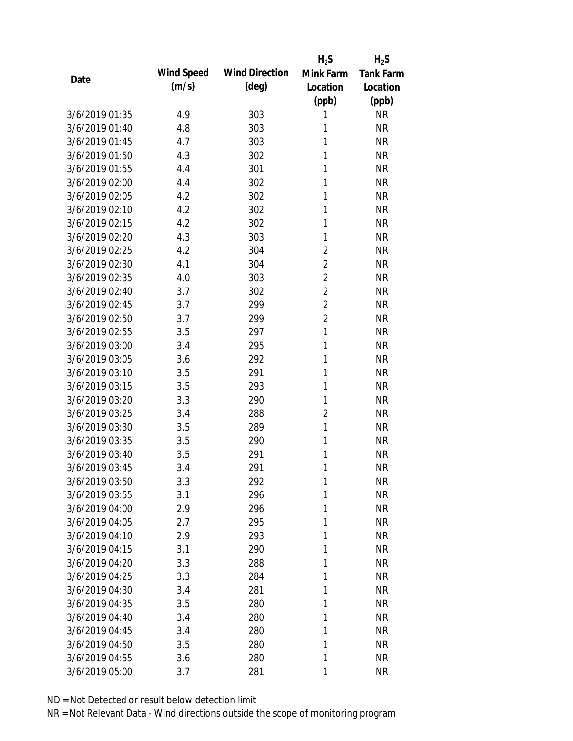|                |            |                       | $H_2S$         | $H_2S$           |
|----------------|------------|-----------------------|----------------|------------------|
| Date           | Wind Speed | <b>Wind Direction</b> | Mink Farm      | <b>Tank Farm</b> |
|                | (m/s)      | $(\text{deg})$        | Location       | Location         |
|                |            |                       | (ppb)          | (ppb)            |
| 3/6/2019 01:35 | 4.9        | 303                   | 1              | <b>NR</b>        |
| 3/6/2019 01:40 | 4.8        | 303                   | 1              | <b>NR</b>        |
| 3/6/2019 01:45 | 4.7        | 303                   | 1              | <b>NR</b>        |
| 3/6/2019 01:50 | 4.3        | 302                   | 1              | <b>NR</b>        |
| 3/6/2019 01:55 | 4.4        | 301                   | 1              | <b>NR</b>        |
| 3/6/2019 02:00 | 4.4        | 302                   | 1              | <b>NR</b>        |
| 3/6/2019 02:05 | 4.2        | 302                   | 1              | <b>NR</b>        |
| 3/6/2019 02:10 | 4.2        | 302                   | 1              | <b>NR</b>        |
| 3/6/2019 02:15 | 4.2        | 302                   | 1              | <b>NR</b>        |
| 3/6/2019 02:20 | 4.3        | 303                   | 1              | <b>NR</b>        |
| 3/6/2019 02:25 | 4.2        | 304                   | $\overline{2}$ | <b>NR</b>        |
| 3/6/2019 02:30 | 4.1        | 304                   | $\overline{2}$ | <b>NR</b>        |
| 3/6/2019 02:35 | 4.0        | 303                   | $\overline{2}$ | <b>NR</b>        |
| 3/6/2019 02:40 | 3.7        | 302                   | $\overline{2}$ | <b>NR</b>        |
| 3/6/2019 02:45 | 3.7        | 299                   | $\overline{2}$ | <b>NR</b>        |
| 3/6/2019 02:50 | 3.7        | 299                   | $\overline{2}$ | <b>NR</b>        |
| 3/6/2019 02:55 | 3.5        | 297                   | $\mathbf{1}$   | <b>NR</b>        |
| 3/6/2019 03:00 | 3.4        | 295                   | 1              | <b>NR</b>        |
| 3/6/2019 03:05 | 3.6        | 292                   | 1              | <b>NR</b>        |
| 3/6/2019 03:10 | 3.5        | 291                   | 1              | <b>NR</b>        |
| 3/6/2019 03:15 | 3.5        | 293                   | 1              | <b>NR</b>        |
| 3/6/2019 03:20 | 3.3        | 290                   | 1              | <b>NR</b>        |
| 3/6/2019 03:25 | 3.4        | 288                   | $\overline{2}$ | <b>NR</b>        |
| 3/6/2019 03:30 | 3.5        | 289                   | $\mathbf{1}$   | <b>NR</b>        |
| 3/6/2019 03:35 | 3.5        | 290                   | 1              | <b>NR</b>        |
| 3/6/2019 03:40 | 3.5        | 291                   | 1              | <b>NR</b>        |
| 3/6/2019 03:45 | 3.4        | 291                   | 1              | <b>NR</b>        |
| 3/6/2019 03:50 | 3.3        | 292                   | 1              | <b>NR</b>        |
| 3/6/2019 03:55 | 3.1        | 296                   | 1              | <b>NR</b>        |
| 3/6/2019 04:00 | 2.9        | 296                   | 1              | <b>NR</b>        |
| 3/6/2019 04:05 | 2.7        | 295                   | 1              | <b>NR</b>        |
| 3/6/2019 04:10 | 2.9        | 293                   | 1              | <b>NR</b>        |
| 3/6/2019 04:15 | 3.1        | 290                   | 1              | <b>NR</b>        |
| 3/6/2019 04:20 | 3.3        | 288                   | 1              | <b>NR</b>        |
| 3/6/2019 04:25 | 3.3        | 284                   | 1              | <b>NR</b>        |
| 3/6/2019 04:30 | 3.4        | 281                   | 1              | <b>NR</b>        |
| 3/6/2019 04:35 | 3.5        | 280                   | 1              | <b>NR</b>        |
| 3/6/2019 04:40 | 3.4        | 280                   | 1              | <b>NR</b>        |
| 3/6/2019 04:45 | 3.4        | 280                   | 1              | <b>NR</b>        |
| 3/6/2019 04:50 | 3.5        | 280                   | 1              | <b>NR</b>        |
| 3/6/2019 04:55 | 3.6        | 280                   | 1              | <b>NR</b>        |
| 3/6/2019 05:00 | 3.7        | 281                   | 1              | <b>NR</b>        |
|                |            |                       |                |                  |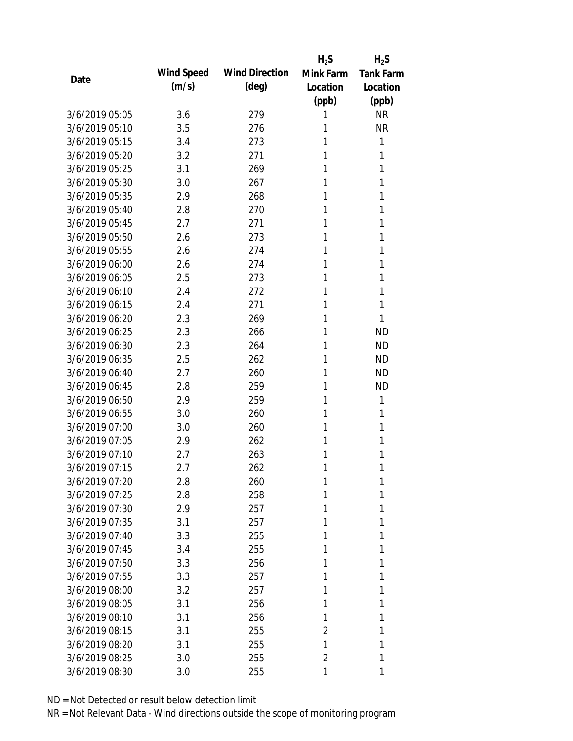|                |            |                       | $H_2S$         | $H_2S$           |
|----------------|------------|-----------------------|----------------|------------------|
| Date           | Wind Speed | <b>Wind Direction</b> | Mink Farm      | <b>Tank Farm</b> |
|                | (m/s)      | (deg)                 | Location       | Location         |
|                |            |                       | (ppb)          | (ppb)            |
| 3/6/2019 05:05 | 3.6        | 279                   | 1              | <b>NR</b>        |
| 3/6/2019 05:10 | 3.5        | 276                   | 1              | <b>NR</b>        |
| 3/6/2019 05:15 | 3.4        | 273                   | 1              | 1                |
| 3/6/2019 05:20 | 3.2        | 271                   | 1              | 1                |
| 3/6/2019 05:25 | 3.1        | 269                   | 1              | 1                |
| 3/6/2019 05:30 | 3.0        | 267                   | 1              | 1                |
| 3/6/2019 05:35 | 2.9        | 268                   | 1              | 1                |
| 3/6/2019 05:40 | 2.8        | 270                   | 1              | 1                |
| 3/6/2019 05:45 | 2.7        | 271                   | 1              | 1                |
| 3/6/2019 05:50 | 2.6        | 273                   | 1              | 1                |
| 3/6/2019 05:55 | 2.6        | 274                   | 1              | 1                |
| 3/6/2019 06:00 | 2.6        | 274                   | 1              | 1                |
| 3/6/2019 06:05 | 2.5        | 273                   | 1              | 1                |
| 3/6/2019 06:10 | 2.4        | 272                   | 1              | 1                |
| 3/6/2019 06:15 | 2.4        | 271                   | 1              | 1                |
| 3/6/2019 06:20 | 2.3        | 269                   | 1              | 1                |
| 3/6/2019 06:25 | 2.3        | 266                   | 1              | <b>ND</b>        |
| 3/6/2019 06:30 | 2.3        | 264                   | 1              | <b>ND</b>        |
| 3/6/2019 06:35 | 2.5        | 262                   | 1              | <b>ND</b>        |
| 3/6/2019 06:40 | 2.7        | 260                   | 1              | <b>ND</b>        |
| 3/6/2019 06:45 | 2.8        | 259                   | 1              | <b>ND</b>        |
| 3/6/2019 06:50 | 2.9        | 259                   | 1              | 1                |
| 3/6/2019 06:55 | 3.0        | 260                   | 1              | 1                |
| 3/6/2019 07:00 | 3.0        | 260                   | 1              | 1                |
| 3/6/2019 07:05 | 2.9        | 262                   | 1              | 1                |
| 3/6/2019 07:10 | 2.7        | 263                   | 1              | 1                |
| 3/6/2019 07:15 | 2.7        | 262                   | 1              | 1                |
| 3/6/2019 07:20 | 2.8        | 260                   | 1              | 1                |
| 3/6/2019 07:25 | 2.8        | 258                   | 1              | 1                |
| 3/6/2019 07:30 | 2.9        | 257                   | 1              | 1                |
| 3/6/2019 07:35 | 3.1        | 257                   | 1              | 1                |
| 3/6/2019 07:40 | 3.3        | 255                   | 1              | 1                |
| 3/6/2019 07:45 | 3.4        | 255                   | 1              | 1                |
| 3/6/2019 07:50 | 3.3        | 256                   | 1              | 1                |
| 3/6/2019 07:55 | 3.3        | 257                   | 1              | 1                |
| 3/6/2019 08:00 | 3.2        | 257                   | 1              | 1                |
| 3/6/2019 08:05 | 3.1        | 256                   | 1              | 1                |
| 3/6/2019 08:10 | 3.1        | 256                   | 1              | 1                |
| 3/6/2019 08:15 | 3.1        | 255                   | $\overline{2}$ | 1                |
| 3/6/2019 08:20 | 3.1        | 255                   | 1              | 1                |
| 3/6/2019 08:25 | 3.0        | 255                   | $\overline{2}$ | 1                |
| 3/6/2019 08:30 | 3.0        | 255                   | 1              | 1                |
|                |            |                       |                |                  |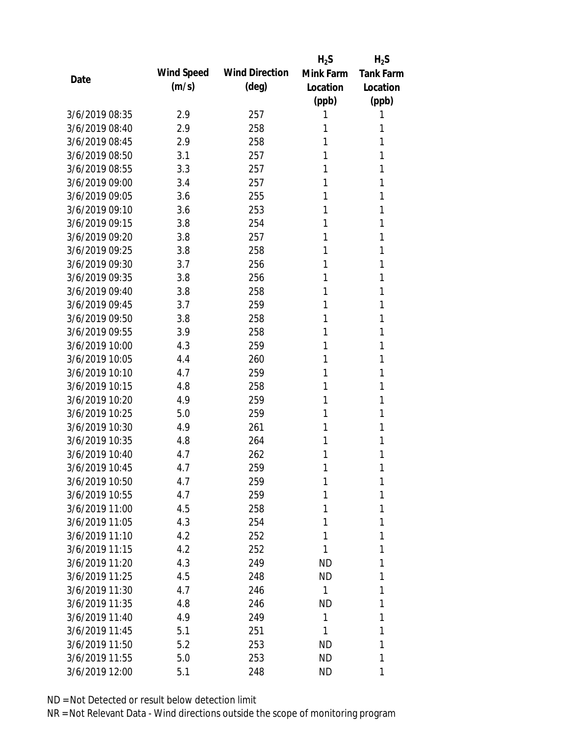|                |            |                       | $H_2S$    | $H_2S$           |
|----------------|------------|-----------------------|-----------|------------------|
| Date           | Wind Speed | <b>Wind Direction</b> | Mink Farm | <b>Tank Farm</b> |
|                | (m/s)      | (deg)                 | Location  | Location         |
|                |            |                       | (ppb)     | (ppb)            |
| 3/6/2019 08:35 | 2.9        | 257                   | 1         | 1                |
| 3/6/2019 08:40 | 2.9        | 258                   | 1         | 1                |
| 3/6/2019 08:45 | 2.9        | 258                   | 1         | 1                |
| 3/6/2019 08:50 | 3.1        | 257                   | 1         | 1                |
| 3/6/2019 08:55 | 3.3        | 257                   | 1         | 1                |
| 3/6/2019 09:00 | 3.4        | 257                   | 1         | 1                |
| 3/6/2019 09:05 | 3.6        | 255                   | 1         | 1                |
| 3/6/2019 09:10 | 3.6        | 253                   | 1         | 1                |
| 3/6/2019 09:15 | 3.8        | 254                   | 1         | 1                |
| 3/6/2019 09:20 | 3.8        | 257                   | 1         | 1                |
| 3/6/2019 09:25 | 3.8        | 258                   | 1         | 1                |
| 3/6/2019 09:30 | 3.7        | 256                   | 1         | 1                |
| 3/6/2019 09:35 | 3.8        | 256                   | 1         | 1                |
| 3/6/2019 09:40 | 3.8        | 258                   | 1         | 1                |
| 3/6/2019 09:45 | 3.7        | 259                   | 1         | 1                |
| 3/6/2019 09:50 | 3.8        | 258                   | 1         | 1                |
| 3/6/2019 09:55 | 3.9        | 258                   | 1         | 1                |
| 3/6/2019 10:00 | 4.3        | 259                   | 1         | 1                |
| 3/6/2019 10:05 | 4.4        | 260                   | 1         | 1                |
| 3/6/2019 10:10 | 4.7        | 259                   | 1         | 1                |
| 3/6/2019 10:15 | 4.8        | 258                   | 1         | 1                |
| 3/6/2019 10:20 | 4.9        | 259                   | 1         | 1                |
| 3/6/2019 10:25 | 5.0        | 259                   | 1         | 1                |
| 3/6/2019 10:30 | 4.9        | 261                   | 1         | 1                |
| 3/6/2019 10:35 | 4.8        | 264                   | 1         | 1                |
| 3/6/2019 10:40 | 4.7        | 262                   | 1         | 1                |
| 3/6/2019 10:45 | 4.7        | 259                   | 1         | 1                |
| 3/6/2019 10:50 | 4.7        | 259                   | 1         | 1                |
| 3/6/2019 10:55 | 4.7        | 259                   | 1         | 1                |
| 3/6/2019 11:00 | 4.5        | 258                   | 1         | 1                |
| 3/6/2019 11:05 | 4.3        | 254                   | 1         | 1                |
| 3/6/2019 11:10 | 4.2        | 252                   | 1         | 1                |
| 3/6/2019 11:15 | 4.2        | 252                   | 1         | 1                |
| 3/6/2019 11:20 | 4.3        | 249                   | <b>ND</b> | 1                |
| 3/6/2019 11:25 | 4.5        | 248                   | <b>ND</b> | 1                |
| 3/6/2019 11:30 | 4.7        | 246                   | 1         | 1                |
| 3/6/2019 11:35 | 4.8        | 246                   | <b>ND</b> | 1                |
| 3/6/2019 11:40 | 4.9        | 249                   | 1         | 1                |
| 3/6/2019 11:45 | 5.1        | 251                   | 1         | 1                |
| 3/6/2019 11:50 | 5.2        | 253                   | <b>ND</b> | 1                |
| 3/6/2019 11:55 | 5.0        | 253                   | <b>ND</b> | 1                |
|                |            |                       |           |                  |
| 3/6/2019 12:00 | 5.1        | 248                   | ND        | 1                |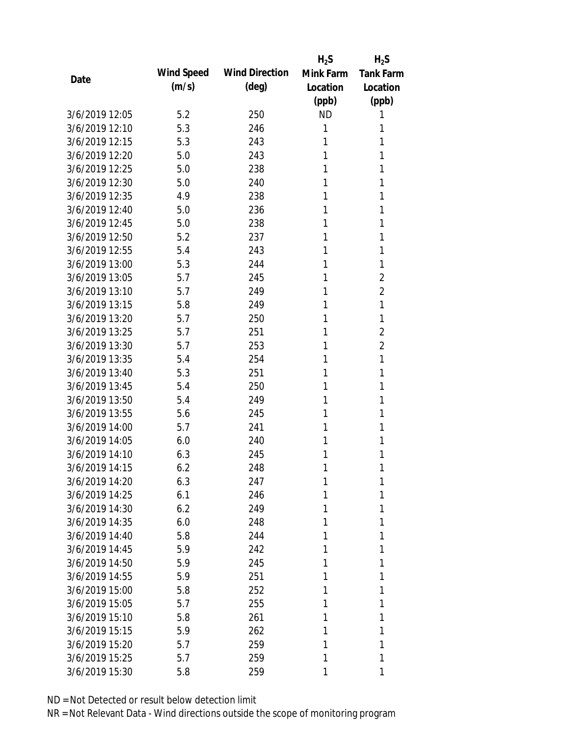|                |            |                       | $H_2S$    | $H_2S$           |
|----------------|------------|-----------------------|-----------|------------------|
| Date           | Wind Speed | <b>Wind Direction</b> | Mink Farm | <b>Tank Farm</b> |
|                | (m/s)      | (deg)                 | Location  | Location         |
|                |            |                       | (ppb)     | (ppb)            |
| 3/6/2019 12:05 | 5.2        | 250                   | <b>ND</b> | 1                |
| 3/6/2019 12:10 | 5.3        | 246                   | 1         | 1                |
| 3/6/2019 12:15 | 5.3        | 243                   | 1         | 1                |
| 3/6/2019 12:20 | 5.0        | 243                   | 1         | 1                |
| 3/6/2019 12:25 | 5.0        | 238                   | 1         | 1                |
| 3/6/2019 12:30 | 5.0        | 240                   | 1         | 1                |
| 3/6/2019 12:35 | 4.9        | 238                   | 1         | 1                |
| 3/6/2019 12:40 | 5.0        | 236                   | 1         | 1                |
| 3/6/2019 12:45 | 5.0        | 238                   | 1         | 1                |
| 3/6/2019 12:50 | 5.2        | 237                   | 1         | 1                |
| 3/6/2019 12:55 | 5.4        | 243                   | 1         | 1                |
| 3/6/2019 13:00 | 5.3        | 244                   | 1         | 1                |
| 3/6/2019 13:05 | 5.7        | 245                   | 1         | $\overline{2}$   |
| 3/6/2019 13:10 | 5.7        | 249                   | 1         | $\overline{2}$   |
| 3/6/2019 13:15 | 5.8        | 249                   | 1         | 1                |
| 3/6/2019 13:20 | 5.7        | 250                   | 1         | 1                |
| 3/6/2019 13:25 | 5.7        | 251                   | 1         | $\overline{2}$   |
| 3/6/2019 13:30 | 5.7        | 253                   | 1         | $\overline{2}$   |
| 3/6/2019 13:35 | 5.4        | 254                   | 1         | 1                |
| 3/6/2019 13:40 | 5.3        | 251                   | 1         | 1                |
| 3/6/2019 13:45 | 5.4        | 250                   | 1         | 1                |
| 3/6/2019 13:50 | 5.4        | 249                   | 1         | 1                |
| 3/6/2019 13:55 | 5.6        | 245                   | 1         | 1                |
| 3/6/2019 14:00 | 5.7        | 241                   | 1         | 1                |
| 3/6/2019 14:05 | 6.0        | 240                   | 1         | 1                |
| 3/6/2019 14:10 | 6.3        | 245                   | 1         | 1                |
| 3/6/2019 14:15 | 6.2        | 248                   | 1         | 1                |
| 3/6/2019 14:20 | 6.3        | 247                   | 1         | 1                |
| 3/6/2019 14:25 | 6.1        | 246                   | 1         | 1                |
| 3/6/2019 14:30 | 6.2        | 249                   | 1         | 1                |
| 3/6/2019 14:35 | 6.0        | 248                   | 1         | 1                |
| 3/6/2019 14:40 | 5.8        | 244                   | 1         | 1                |
| 3/6/2019 14:45 | 5.9        | 242                   | 1         | 1                |
| 3/6/2019 14:50 | 5.9        | 245                   | 1         | 1                |
| 3/6/2019 14:55 | 5.9        | 251                   | 1         | 1                |
| 3/6/2019 15:00 | 5.8        | 252                   | 1         | 1                |
| 3/6/2019 15:05 | 5.7        | 255                   | 1         | 1                |
| 3/6/2019 15:10 | 5.8        | 261                   | 1         | 1                |
| 3/6/2019 15:15 | 5.9        | 262                   | 1         | 1                |
| 3/6/2019 15:20 | 5.7        | 259                   | 1         | 1                |
| 3/6/2019 15:25 | 5.7        | 259                   | 1         | 1                |
| 3/6/2019 15:30 | 5.8        | 259                   | 1         | 1                |
|                |            |                       |           |                  |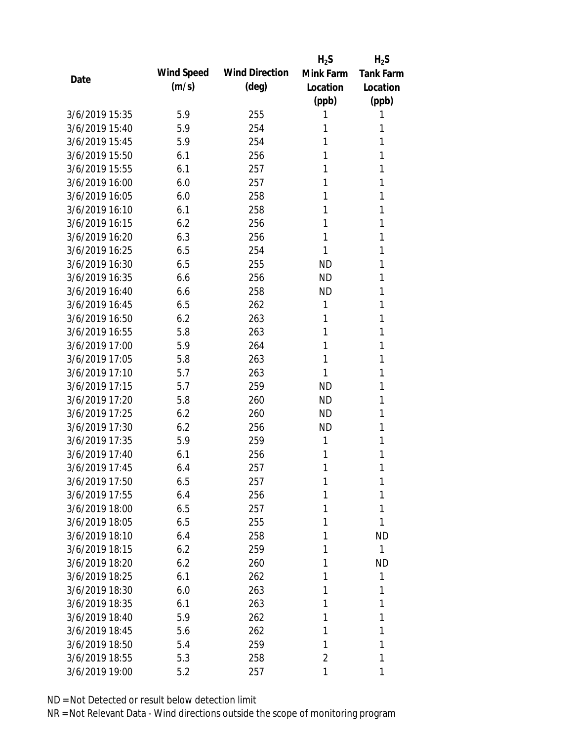|                |            |                       | $H_2S$         | $H_2S$           |
|----------------|------------|-----------------------|----------------|------------------|
| Date           | Wind Speed | <b>Wind Direction</b> | Mink Farm      | <b>Tank Farm</b> |
|                | (m/s)      | $(\text{deg})$        | Location       | Location         |
|                |            |                       | (ppb)          | (ppb)            |
| 3/6/2019 15:35 | 5.9        | 255                   | 1              | 1                |
| 3/6/2019 15:40 | 5.9        | 254                   | 1              | 1                |
| 3/6/2019 15:45 | 5.9        | 254                   | 1              | 1                |
| 3/6/2019 15:50 | 6.1        | 256                   | 1              | 1                |
| 3/6/2019 15:55 | 6.1        | 257                   | 1              | 1                |
| 3/6/2019 16:00 | 6.0        | 257                   | 1              | 1                |
| 3/6/2019 16:05 | 6.0        | 258                   | 1              | 1                |
| 3/6/2019 16:10 | 6.1        | 258                   | 1              | 1                |
| 3/6/2019 16:15 | 6.2        | 256                   | 1              | 1                |
| 3/6/2019 16:20 | 6.3        | 256                   | 1              | 1                |
| 3/6/2019 16:25 | 6.5        | 254                   | 1              | 1                |
| 3/6/2019 16:30 | 6.5        | 255                   | <b>ND</b>      | 1                |
| 3/6/2019 16:35 | 6.6        | 256                   | <b>ND</b>      | 1                |
| 3/6/2019 16:40 | 6.6        | 258                   | <b>ND</b>      | 1                |
| 3/6/2019 16:45 | 6.5        | 262                   | 1              | 1                |
| 3/6/2019 16:50 | 6.2        | 263                   | 1              | 1                |
| 3/6/2019 16:55 | 5.8        | 263                   | 1              | 1                |
| 3/6/2019 17:00 | 5.9        | 264                   | 1              | 1                |
| 3/6/2019 17:05 | 5.8        | 263                   | 1              | 1                |
| 3/6/2019 17:10 | 5.7        | 263                   | 1              | 1                |
| 3/6/2019 17:15 | 5.7        | 259                   | <b>ND</b>      | 1                |
| 3/6/2019 17:20 | 5.8        | 260                   | <b>ND</b>      | 1                |
| 3/6/2019 17:25 | 6.2        | 260                   | <b>ND</b>      | 1                |
| 3/6/2019 17:30 | 6.2        | 256                   | <b>ND</b>      | 1                |
| 3/6/2019 17:35 | 5.9        | 259                   | 1              | 1                |
| 3/6/2019 17:40 | 6.1        | 256                   | 1              | 1                |
| 3/6/2019 17:45 | 6.4        | 257                   | 1              | 1                |
| 3/6/2019 17:50 | 6.5        | 257                   | 1              | 1                |
| 3/6/2019 17:55 | 6.4        | 256                   | 1              | 1                |
| 3/6/2019 18:00 | 6.5        | 257                   | 1              | 1                |
| 3/6/2019 18:05 | 6.5        | 255                   | 1              | 1                |
| 3/6/2019 18:10 | 6.4        | 258                   | 1              | <b>ND</b>        |
| 3/6/2019 18:15 | 6.2        | 259                   | 1              | $\mathbf{1}$     |
| 3/6/2019 18:20 | 6.2        | 260                   | 1              | <b>ND</b>        |
| 3/6/2019 18:25 | 6.1        | 262                   | 1              | 1                |
| 3/6/2019 18:30 | 6.0        | 263                   | 1              | 1                |
| 3/6/2019 18:35 | 6.1        | 263                   | 1              | 1                |
| 3/6/2019 18:40 | 5.9        | 262                   | 1              | 1                |
| 3/6/2019 18:45 | 5.6        | 262                   | 1              | 1                |
| 3/6/2019 18:50 | 5.4        | 259                   | 1              | 1                |
| 3/6/2019 18:55 | 5.3        | 258                   | $\overline{2}$ | 1                |
| 3/6/2019 19:00 | 5.2        | 257                   | 1              | 1                |
|                |            |                       |                |                  |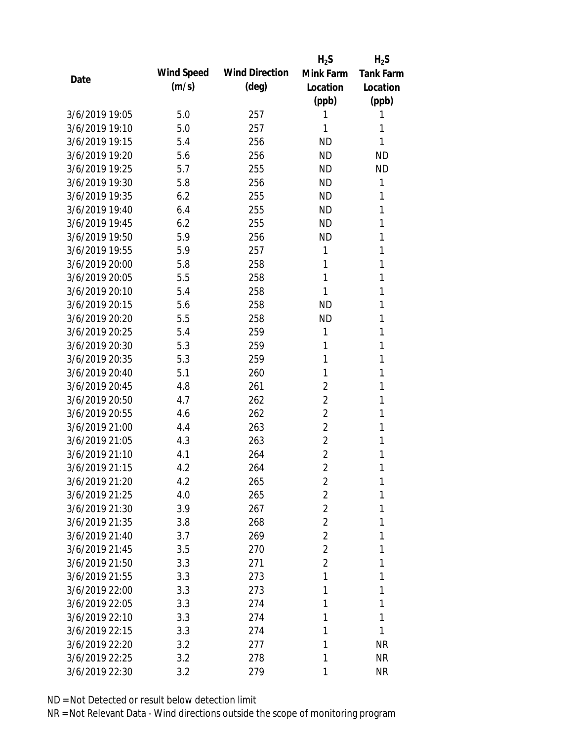|                |            |                       | $H_2S$         | $H_2S$           |
|----------------|------------|-----------------------|----------------|------------------|
| Date           | Wind Speed | <b>Wind Direction</b> | Mink Farm      | <b>Tank Farm</b> |
|                | (m/s)      | $(\text{deg})$        | Location       | Location         |
|                |            |                       | (ppb)          | (ppb)            |
| 3/6/2019 19:05 | 5.0        | 257                   | 1              | 1                |
| 3/6/2019 19:10 | 5.0        | 257                   | 1              | 1                |
| 3/6/2019 19:15 | 5.4        | 256                   | <b>ND</b>      | 1                |
| 3/6/2019 19:20 | 5.6        | 256                   | <b>ND</b>      | <b>ND</b>        |
| 3/6/2019 19:25 | 5.7        | 255                   | <b>ND</b>      | <b>ND</b>        |
| 3/6/2019 19:30 | 5.8        | 256                   | <b>ND</b>      | 1                |
| 3/6/2019 19:35 | 6.2        | 255                   | <b>ND</b>      | 1                |
| 3/6/2019 19:40 | 6.4        | 255                   | <b>ND</b>      | 1                |
| 3/6/2019 19:45 | 6.2        | 255                   | <b>ND</b>      | 1                |
| 3/6/2019 19:50 | 5.9        | 256                   | <b>ND</b>      | 1                |
| 3/6/2019 19:55 | 5.9        | 257                   | 1              | 1                |
| 3/6/2019 20:00 | 5.8        | 258                   | 1              | 1                |
| 3/6/2019 20:05 | 5.5        | 258                   | 1              | 1                |
| 3/6/2019 20:10 | 5.4        | 258                   | 1              | 1                |
| 3/6/2019 20:15 | 5.6        | 258                   | <b>ND</b>      | 1                |
| 3/6/2019 20:20 | 5.5        | 258                   | <b>ND</b>      | 1                |
| 3/6/2019 20:25 | 5.4        | 259                   | 1              | 1                |
| 3/6/2019 20:30 | 5.3        | 259                   | 1              | 1                |
| 3/6/2019 20:35 | 5.3        | 259                   | 1              | 1                |
| 3/6/2019 20:40 | 5.1        | 260                   | 1              | 1                |
| 3/6/2019 20:45 | 4.8        | 261                   | $\overline{2}$ | 1                |
| 3/6/2019 20:50 | 4.7        | 262                   | $\overline{2}$ | 1                |
| 3/6/2019 20:55 | 4.6        | 262                   | $\overline{2}$ | 1                |
| 3/6/2019 21:00 | 4.4        | 263                   | $\overline{2}$ | 1                |
| 3/6/2019 21:05 | 4.3        | 263                   | $\overline{2}$ | 1                |
| 3/6/2019 21:10 | 4.1        | 264                   | $\overline{2}$ | 1                |
| 3/6/2019 21:15 | 4.2        | 264                   | $\overline{2}$ | 1                |
| 3/6/2019 21:20 | 4.2        | 265                   | $\overline{2}$ | 1                |
| 3/6/2019 21:25 | 4.0        | 265                   | $\overline{2}$ | 1                |
| 3/6/2019 21:30 | 3.9        | 267                   | $\overline{2}$ | 1                |
| 3/6/2019 21:35 | 3.8        | 268                   | $\overline{2}$ | 1                |
| 3/6/2019 21:40 | 3.7        | 269                   | $\overline{2}$ | 1                |
| 3/6/2019 21:45 | 3.5        | 270                   | $\overline{2}$ | 1                |
| 3/6/2019 21:50 | 3.3        | 271                   | $\overline{2}$ | 1                |
| 3/6/2019 21:55 | 3.3        | 273                   | 1              | 1                |
| 3/6/2019 22:00 | 3.3        | 273                   | 1              | 1                |
| 3/6/2019 22:05 | 3.3        | 274                   | 1              | 1                |
| 3/6/2019 22:10 | 3.3        | 274                   | 1              | 1                |
| 3/6/2019 22:15 | 3.3        | 274                   | 1              | 1                |
| 3/6/2019 22:20 | 3.2        | 277                   | 1              | <b>NR</b>        |
| 3/6/2019 22:25 | 3.2        | 278                   | 1              | <b>NR</b>        |
| 3/6/2019 22:30 | 3.2        | 279                   | 1              | <b>NR</b>        |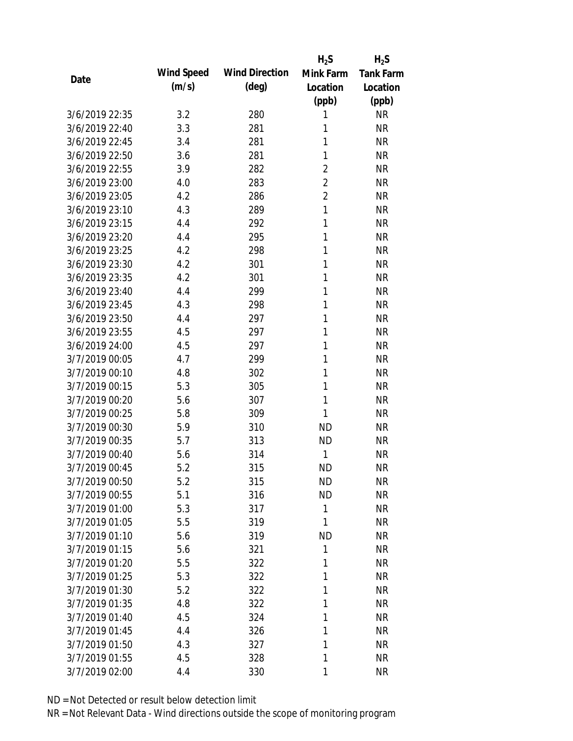|                |            |                       | $H_2S$         | $H_2S$           |
|----------------|------------|-----------------------|----------------|------------------|
| Date           | Wind Speed | <b>Wind Direction</b> | Mink Farm      | <b>Tank Farm</b> |
|                | (m/s)      | $(\text{deg})$        | Location       | Location         |
|                |            |                       | (ppb)          | (ppb)            |
| 3/6/2019 22:35 | 3.2        | 280                   | 1              | <b>NR</b>        |
| 3/6/2019 22:40 | 3.3        | 281                   | 1              | <b>NR</b>        |
| 3/6/2019 22:45 | 3.4        | 281                   | 1              | <b>NR</b>        |
| 3/6/2019 22:50 | 3.6        | 281                   | 1              | <b>NR</b>        |
| 3/6/2019 22:55 | 3.9        | 282                   | $\overline{2}$ | <b>NR</b>        |
| 3/6/2019 23:00 | 4.0        | 283                   | $\overline{2}$ | <b>NR</b>        |
| 3/6/2019 23:05 | 4.2        | 286                   | $\overline{2}$ | <b>NR</b>        |
| 3/6/2019 23:10 | 4.3        | 289                   | $\mathbf{1}$   | <b>NR</b>        |
| 3/6/2019 23:15 | 4.4        | 292                   | 1              | <b>NR</b>        |
| 3/6/2019 23:20 | 4.4        | 295                   | 1              | <b>NR</b>        |
| 3/6/2019 23:25 | 4.2        | 298                   | 1              | <b>NR</b>        |
| 3/6/2019 23:30 | 4.2        | 301                   | 1              | <b>NR</b>        |
| 3/6/2019 23:35 | 4.2        | 301                   | 1              | <b>NR</b>        |
| 3/6/2019 23:40 | 4.4        | 299                   | 1              | <b>NR</b>        |
| 3/6/2019 23:45 | 4.3        | 298                   | 1              | <b>NR</b>        |
| 3/6/2019 23:50 | 4.4        | 297                   | 1              | <b>NR</b>        |
| 3/6/2019 23:55 | 4.5        | 297                   | 1              | <b>NR</b>        |
| 3/6/2019 24:00 | 4.5        | 297                   | 1              | <b>NR</b>        |
| 3/7/2019 00:05 | 4.7        | 299                   | 1              | <b>NR</b>        |
| 3/7/2019 00:10 | 4.8        | 302                   | 1              | <b>NR</b>        |
| 3/7/2019 00:15 | 5.3        | 305                   | 1              | <b>NR</b>        |
| 3/7/2019 00:20 | 5.6        | 307                   | 1              | <b>NR</b>        |
| 3/7/2019 00:25 | 5.8        | 309                   | 1              | <b>NR</b>        |
| 3/7/2019 00:30 | 5.9        | 310                   | <b>ND</b>      | <b>NR</b>        |
| 3/7/2019 00:35 | 5.7        | 313                   | <b>ND</b>      | <b>NR</b>        |
| 3/7/2019 00:40 | 5.6        | 314                   | 1              | <b>NR</b>        |
| 3/7/2019 00:45 | 5.2        | 315                   | <b>ND</b>      | <b>NR</b>        |
| 3/7/2019 00:50 | 5.2        | 315                   | <b>ND</b>      | <b>NR</b>        |
| 3/7/2019 00:55 | 5.1        | 316                   | <b>ND</b>      | <b>NR</b>        |
| 3/7/2019 01:00 | 5.3        | 317                   | $\mathbf{1}$   | <b>NR</b>        |
| 3/7/2019 01:05 | 5.5        | 319                   | 1              | <b>NR</b>        |
| 3/7/2019 01:10 | 5.6        | 319                   | <b>ND</b>      | <b>NR</b>        |
| 3/7/2019 01:15 | 5.6        | 321                   | 1              | <b>NR</b>        |
| 3/7/2019 01:20 | 5.5        | 322                   | 1              | <b>NR</b>        |
| 3/7/2019 01:25 | 5.3        | 322                   | 1              | <b>NR</b>        |
| 3/7/2019 01:30 | 5.2        | 322                   | 1              | <b>NR</b>        |
| 3/7/2019 01:35 | 4.8        | 322                   | 1              | <b>NR</b>        |
| 3/7/2019 01:40 | 4.5        | 324                   | 1              | <b>NR</b>        |
| 3/7/2019 01:45 | 4.4        | 326                   | 1              | <b>NR</b>        |
| 3/7/2019 01:50 | 4.3        | 327                   | 1              | <b>NR</b>        |
| 3/7/2019 01:55 | 4.5        | 328                   | 1              | <b>NR</b>        |
| 3/7/2019 02:00 | 4.4        | 330                   | 1              | <b>NR</b>        |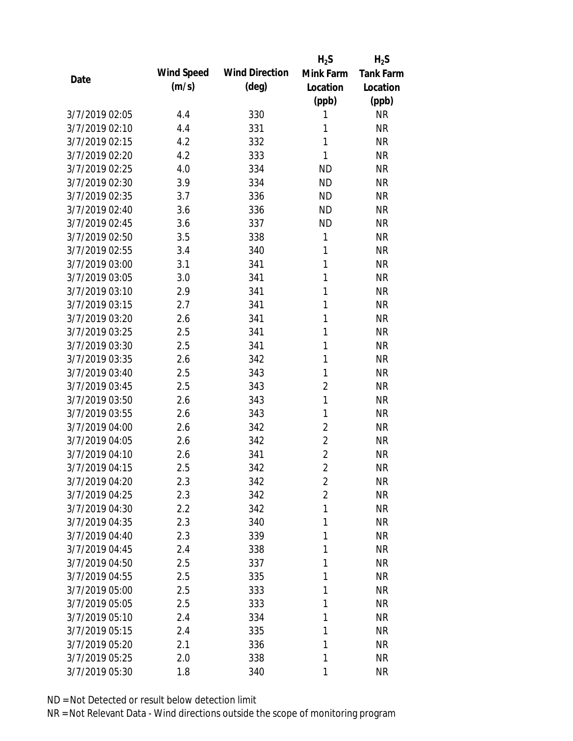|                |            |                       | $H_2S$         | $H_2S$           |
|----------------|------------|-----------------------|----------------|------------------|
| Date           | Wind Speed | <b>Wind Direction</b> | Mink Farm      | <b>Tank Farm</b> |
|                | (m/s)      | $(\text{deg})$        | Location       | Location         |
|                |            |                       | (ppb)          | (ppb)            |
| 3/7/2019 02:05 | 4.4        | 330                   | 1              | <b>NR</b>        |
| 3/7/2019 02:10 | 4.4        | 331                   | 1              | <b>NR</b>        |
| 3/7/2019 02:15 | 4.2        | 332                   | $\mathbf{1}$   | <b>NR</b>        |
| 3/7/2019 02:20 | 4.2        | 333                   | 1              | <b>NR</b>        |
| 3/7/2019 02:25 | 4.0        | 334                   | <b>ND</b>      | <b>NR</b>        |
| 3/7/2019 02:30 | 3.9        | 334                   | <b>ND</b>      | <b>NR</b>        |
| 3/7/2019 02:35 | 3.7        | 336                   | <b>ND</b>      | <b>NR</b>        |
| 3/7/2019 02:40 | 3.6        | 336                   | <b>ND</b>      | <b>NR</b>        |
| 3/7/2019 02:45 | 3.6        | 337                   | <b>ND</b>      | <b>NR</b>        |
| 3/7/2019 02:50 | 3.5        | 338                   | 1              | <b>NR</b>        |
| 3/7/2019 02:55 | 3.4        | 340                   | 1              | <b>NR</b>        |
| 3/7/2019 03:00 | 3.1        | 341                   | $\mathbf{1}$   | <b>NR</b>        |
| 3/7/2019 03:05 | 3.0        | 341                   | 1              | <b>NR</b>        |
| 3/7/2019 03:10 | 2.9        | 341                   | 1              | <b>NR</b>        |
| 3/7/2019 03:15 | 2.7        | 341                   | $\mathbf{1}$   | <b>NR</b>        |
| 3/7/2019 03:20 | 2.6        | 341                   | 1              | <b>NR</b>        |
| 3/7/2019 03:25 | 2.5        | 341                   | 1              | <b>NR</b>        |
| 3/7/2019 03:30 | 2.5        | 341                   | 1              | <b>NR</b>        |
| 3/7/2019 03:35 | 2.6        | 342                   | 1              | <b>NR</b>        |
| 3/7/2019 03:40 | 2.5        | 343                   | 1              | <b>NR</b>        |
| 3/7/2019 03:45 | 2.5        | 343                   | $\overline{2}$ | <b>NR</b>        |
| 3/7/2019 03:50 | 2.6        | 343                   | $\mathbf{1}$   | <b>NR</b>        |
| 3/7/2019 03:55 | 2.6        | 343                   | 1              | <b>NR</b>        |
| 3/7/2019 04:00 | 2.6        | 342                   | $\overline{2}$ | <b>NR</b>        |
| 3/7/2019 04:05 | 2.6        | 342                   | $\overline{2}$ | <b>NR</b>        |
| 3/7/2019 04:10 | 2.6        | 341                   | $\overline{2}$ | <b>NR</b>        |
| 3/7/2019 04:15 | 2.5        | 342                   | $\overline{2}$ | <b>NR</b>        |
| 3/7/2019 04:20 | 2.3        | 342                   | $\overline{2}$ | <b>NR</b>        |
| 3/7/2019 04:25 | 2.3        | 342                   | $\overline{2}$ | <b>NR</b>        |
| 3/7/2019 04:30 | 2.2        | 342                   | 1              | <b>NR</b>        |
| 3/7/2019 04:35 | 2.3        | 340                   | 1              | <b>NR</b>        |
| 3/7/2019 04:40 | 2.3        | 339                   | 1              | <b>NR</b>        |
| 3/7/2019 04:45 | 2.4        | 338                   | 1              | <b>NR</b>        |
| 3/7/2019 04:50 | 2.5        | 337                   | 1              | <b>NR</b>        |
| 3/7/2019 04:55 | 2.5        | 335                   | 1              | <b>NR</b>        |
| 3/7/2019 05:00 | 2.5        | 333                   | 1              | <b>NR</b>        |
| 3/7/2019 05:05 | 2.5        | 333                   | 1              | <b>NR</b>        |
| 3/7/2019 05:10 | 2.4        | 334                   | 1              | <b>NR</b>        |
| 3/7/2019 05:15 | 2.4        | 335                   | 1              | <b>NR</b>        |
| 3/7/2019 05:20 | 2.1        | 336                   | 1              | <b>NR</b>        |
| 3/7/2019 05:25 | 2.0        | 338                   | 1              | <b>NR</b>        |
| 3/7/2019 05:30 | 1.8        | 340                   | 1              | <b>NR</b>        |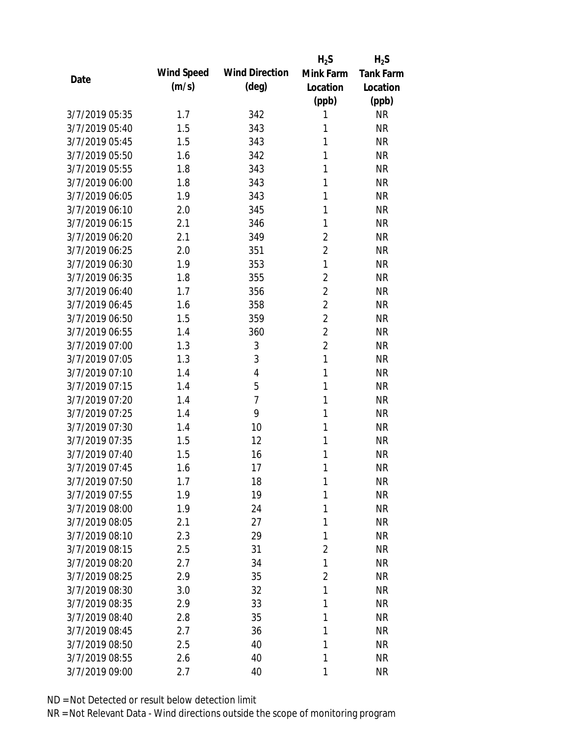|                |            |                       | $H_2S$         | $H_2S$           |
|----------------|------------|-----------------------|----------------|------------------|
| Date           | Wind Speed | <b>Wind Direction</b> | Mink Farm      | <b>Tank Farm</b> |
|                | (m/s)      | $(\text{deg})$        | Location       | Location         |
|                |            |                       | (ppb)          | (ppb)            |
| 3/7/2019 05:35 | 1.7        | 342                   | 1              | <b>NR</b>        |
| 3/7/2019 05:40 | 1.5        | 343                   | 1              | <b>NR</b>        |
| 3/7/2019 05:45 | 1.5        | 343                   | 1              | <b>NR</b>        |
| 3/7/2019 05:50 | 1.6        | 342                   | 1              | <b>NR</b>        |
| 3/7/2019 05:55 | 1.8        | 343                   | 1              | <b>NR</b>        |
| 3/7/2019 06:00 | 1.8        | 343                   | 1              | <b>NR</b>        |
| 3/7/2019 06:05 | 1.9        | 343                   | 1              | <b>NR</b>        |
| 3/7/2019 06:10 | 2.0        | 345                   | 1              | <b>NR</b>        |
| 3/7/2019 06:15 | 2.1        | 346                   | 1              | <b>NR</b>        |
| 3/7/2019 06:20 | 2.1        | 349                   | $\overline{2}$ | <b>NR</b>        |
| 3/7/2019 06:25 | 2.0        | 351                   | $\overline{2}$ | <b>NR</b>        |
| 3/7/2019 06:30 | 1.9        | 353                   | $\mathbf{1}$   | <b>NR</b>        |
| 3/7/2019 06:35 | 1.8        | 355                   | $\overline{2}$ | <b>NR</b>        |
| 3/7/2019 06:40 | 1.7        | 356                   | $\overline{2}$ | <b>NR</b>        |
| 3/7/2019 06:45 | 1.6        | 358                   | $\overline{2}$ | <b>NR</b>        |
| 3/7/2019 06:50 | 1.5        | 359                   | $\overline{2}$ | <b>NR</b>        |
| 3/7/2019 06:55 | 1.4        | 360                   | $\overline{2}$ | <b>NR</b>        |
| 3/7/2019 07:00 | 1.3        | 3                     | $\overline{2}$ | <b>NR</b>        |
| 3/7/2019 07:05 | 1.3        | 3                     | $\mathbf{1}$   | <b>NR</b>        |
| 3/7/2019 07:10 | 1.4        | 4                     | 1              | <b>NR</b>        |
| 3/7/2019 07:15 | 1.4        | 5                     | 1              | <b>NR</b>        |
| 3/7/2019 07:20 | 1.4        | $\overline{7}$        | 1              | <b>NR</b>        |
| 3/7/2019 07:25 | 1.4        | 9                     | 1              | <b>NR</b>        |
| 3/7/2019 07:30 | 1.4        | 10                    | 1              | <b>NR</b>        |
| 3/7/2019 07:35 | 1.5        | 12                    | 1              | <b>NR</b>        |
| 3/7/2019 07:40 | 1.5        | 16                    | 1              | <b>NR</b>        |
| 3/7/2019 07:45 | 1.6        | 17                    | 1              | <b>NR</b>        |
| 3/7/2019 07:50 | 1.7        | 18                    | 1              | <b>NR</b>        |
| 3/7/2019 07:55 | 1.9        | 19                    | 1              | <b>NR</b>        |
| 3/7/2019 08:00 | 1.9        | 24                    | 1              | <b>NR</b>        |
| 3/7/2019 08:05 | 2.1        | 27                    | 1              | <b>NR</b>        |
| 3/7/2019 08:10 | 2.3        | 29                    | 1              | <b>NR</b>        |
| 3/7/2019 08:15 | 2.5        | 31                    | 2              | <b>NR</b>        |
| 3/7/2019 08:20 | 2.7        | 34                    | 1              | <b>NR</b>        |
| 3/7/2019 08:25 | 2.9        | 35                    | $\overline{2}$ | <b>NR</b>        |
| 3/7/2019 08:30 | 3.0        | 32                    | 1              | <b>NR</b>        |
| 3/7/2019 08:35 | 2.9        | 33                    | 1              | <b>NR</b>        |
| 3/7/2019 08:40 | 2.8        | 35                    | 1              | <b>NR</b>        |
| 3/7/2019 08:45 | 2.7        | 36                    | 1              | <b>NR</b>        |
| 3/7/2019 08:50 | 2.5        | 40                    | 1              | <b>NR</b>        |
| 3/7/2019 08:55 | 2.6        | 40                    | 1              | <b>NR</b>        |
|                |            |                       |                |                  |
| 3/7/2019 09:00 | 2.7        | 40                    | 1              | <b>NR</b>        |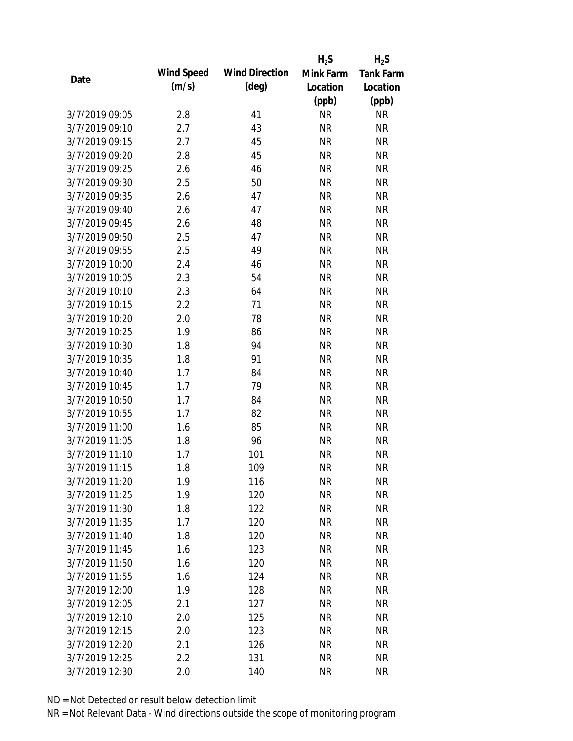|                |            |                       | $H_2S$    | $H_2S$           |
|----------------|------------|-----------------------|-----------|------------------|
| Date           | Wind Speed | <b>Wind Direction</b> | Mink Farm | <b>Tank Farm</b> |
|                | (m/s)      | $(\text{deg})$        | Location  | Location         |
|                |            |                       | (ppb)     | (ppb)            |
| 3/7/2019 09:05 | 2.8        | 41                    | <b>NR</b> | <b>NR</b>        |
| 3/7/2019 09:10 | 2.7        | 43                    | <b>NR</b> | <b>NR</b>        |
| 3/7/2019 09:15 | 2.7        | 45                    | <b>NR</b> | <b>NR</b>        |
| 3/7/2019 09:20 | 2.8        | 45                    | <b>NR</b> | <b>NR</b>        |
| 3/7/2019 09:25 | 2.6        | 46                    | <b>NR</b> | <b>NR</b>        |
| 3/7/2019 09:30 | 2.5        | 50                    | <b>NR</b> | <b>NR</b>        |
| 3/7/2019 09:35 | 2.6        | 47                    | <b>NR</b> | <b>NR</b>        |
| 3/7/2019 09:40 | 2.6        | 47                    | <b>NR</b> | <b>NR</b>        |
| 3/7/2019 09:45 | 2.6        | 48                    | <b>NR</b> | <b>NR</b>        |
| 3/7/2019 09:50 | 2.5        | 47                    | <b>NR</b> | <b>NR</b>        |
| 3/7/2019 09:55 | 2.5        | 49                    | <b>NR</b> | <b>NR</b>        |
| 3/7/2019 10:00 | 2.4        | 46                    | <b>NR</b> | <b>NR</b>        |
| 3/7/2019 10:05 | 2.3        | 54                    | <b>NR</b> | <b>NR</b>        |
| 3/7/2019 10:10 | 2.3        | 64                    | <b>NR</b> | <b>NR</b>        |
| 3/7/2019 10:15 | 2.2        | 71                    | <b>NR</b> | <b>NR</b>        |
| 3/7/2019 10:20 | 2.0        | 78                    | <b>NR</b> | <b>NR</b>        |
| 3/7/2019 10:25 | 1.9        | 86                    | <b>NR</b> | <b>NR</b>        |
| 3/7/2019 10:30 | 1.8        | 94                    | <b>NR</b> | <b>NR</b>        |
| 3/7/2019 10:35 | 1.8        | 91                    | <b>NR</b> | <b>NR</b>        |
| 3/7/2019 10:40 | 1.7        | 84                    | <b>NR</b> | <b>NR</b>        |
| 3/7/2019 10:45 | 1.7        | 79                    | <b>NR</b> | <b>NR</b>        |
| 3/7/2019 10:50 | 1.7        | 84                    | <b>NR</b> | <b>NR</b>        |
| 3/7/2019 10:55 | 1.7        | 82                    | <b>NR</b> | <b>NR</b>        |
| 3/7/2019 11:00 | 1.6        | 85                    | <b>NR</b> | <b>NR</b>        |
| 3/7/2019 11:05 | 1.8        | 96                    | <b>NR</b> | <b>NR</b>        |
| 3/7/2019 11:10 | 1.7        | 101                   | <b>NR</b> | <b>NR</b>        |
| 3/7/2019 11:15 | 1.8        | 109                   | <b>NR</b> | <b>NR</b>        |
| 3/7/2019 11:20 | 1.9        | 116                   | <b>NR</b> | <b>NR</b>        |
| 3/7/2019 11:25 | 1.9        | 120                   | <b>NR</b> | <b>NR</b>        |
| 3/7/2019 11:30 | 1.8        | 122                   | <b>NR</b> | <b>NR</b>        |
| 3/7/2019 11:35 | 1.7        | 120                   | <b>NR</b> | <b>NR</b>        |
| 3/7/2019 11:40 | 1.8        | 120                   | <b>NR</b> | <b>NR</b>        |
| 3/7/2019 11:45 | 1.6        | 123                   | <b>NR</b> | <b>NR</b>        |
| 3/7/2019 11:50 | 1.6        | 120                   | <b>NR</b> | <b>NR</b>        |
| 3/7/2019 11:55 | 1.6        | 124                   | <b>NR</b> | <b>NR</b>        |
| 3/7/2019 12:00 | 1.9        | 128                   | <b>NR</b> | <b>NR</b>        |
| 3/7/2019 12:05 | 2.1        | 127                   | <b>NR</b> | <b>NR</b>        |
| 3/7/2019 12:10 | 2.0        | 125                   | NR        | <b>NR</b>        |
| 3/7/2019 12:15 | 2.0        | 123                   | <b>NR</b> | <b>NR</b>        |
| 3/7/2019 12:20 | 2.1        | 126                   | <b>NR</b> | <b>NR</b>        |
| 3/7/2019 12:25 | 2.2        | 131                   | <b>NR</b> | <b>NR</b>        |
| 3/7/2019 12:30 | 2.0        | 140                   | <b>NR</b> | <b>NR</b>        |
|                |            |                       |           |                  |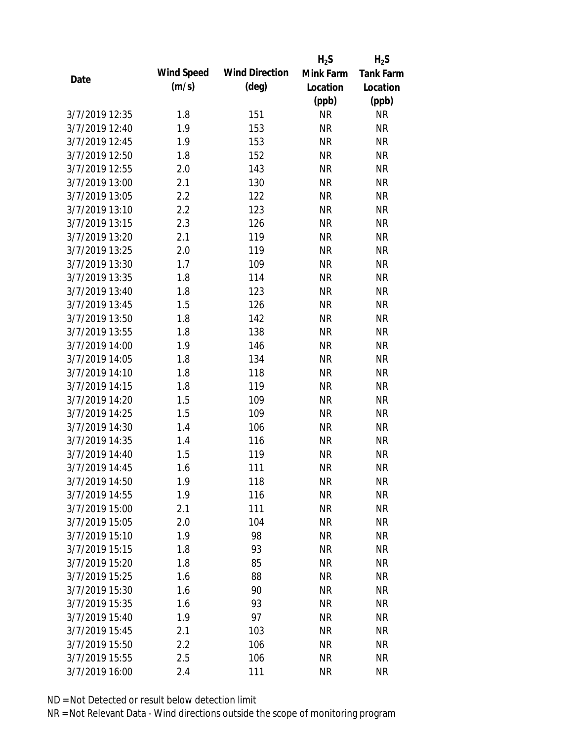|                |            |                       | $H_2S$    | $H_2S$           |
|----------------|------------|-----------------------|-----------|------------------|
| Date           | Wind Speed | <b>Wind Direction</b> | Mink Farm | <b>Tank Farm</b> |
|                | (m/s)      | $(\text{deg})$        | Location  | Location         |
|                |            |                       | (ppb)     | (ppb)            |
| 3/7/2019 12:35 | 1.8        | 151                   | <b>NR</b> | <b>NR</b>        |
| 3/7/2019 12:40 | 1.9        | 153                   | <b>NR</b> | <b>NR</b>        |
| 3/7/2019 12:45 | 1.9        | 153                   | <b>NR</b> | <b>NR</b>        |
| 3/7/2019 12:50 | 1.8        | 152                   | <b>NR</b> | <b>NR</b>        |
| 3/7/2019 12:55 | 2.0        | 143                   | <b>NR</b> | <b>NR</b>        |
| 3/7/2019 13:00 | 2.1        | 130                   | <b>NR</b> | <b>NR</b>        |
| 3/7/2019 13:05 | 2.2        | 122                   | <b>NR</b> | <b>NR</b>        |
| 3/7/2019 13:10 | 2.2        | 123                   | <b>NR</b> | <b>NR</b>        |
| 3/7/2019 13:15 | 2.3        | 126                   | <b>NR</b> | <b>NR</b>        |
| 3/7/2019 13:20 | 2.1        | 119                   | <b>NR</b> | <b>NR</b>        |
| 3/7/2019 13:25 | 2.0        | 119                   | <b>NR</b> | <b>NR</b>        |
| 3/7/2019 13:30 | 1.7        | 109                   | <b>NR</b> | <b>NR</b>        |
| 3/7/2019 13:35 | 1.8        | 114                   | <b>NR</b> | <b>NR</b>        |
| 3/7/2019 13:40 | 1.8        | 123                   | <b>NR</b> | <b>NR</b>        |
| 3/7/2019 13:45 | 1.5        | 126                   | <b>NR</b> | <b>NR</b>        |
| 3/7/2019 13:50 | 1.8        | 142                   | <b>NR</b> | <b>NR</b>        |
| 3/7/2019 13:55 | 1.8        | 138                   | <b>NR</b> | <b>NR</b>        |
| 3/7/2019 14:00 | 1.9        | 146                   | <b>NR</b> | <b>NR</b>        |
| 3/7/2019 14:05 | 1.8        | 134                   | <b>NR</b> | <b>NR</b>        |
| 3/7/2019 14:10 | 1.8        | 118                   | <b>NR</b> | <b>NR</b>        |
| 3/7/2019 14:15 | 1.8        | 119                   | <b>NR</b> | <b>NR</b>        |
| 3/7/2019 14:20 | 1.5        | 109                   | <b>NR</b> | <b>NR</b>        |
| 3/7/2019 14:25 | 1.5        | 109                   | <b>NR</b> | <b>NR</b>        |
| 3/7/2019 14:30 | 1.4        | 106                   | <b>NR</b> | <b>NR</b>        |
| 3/7/2019 14:35 | 1.4        | 116                   | <b>NR</b> | <b>NR</b>        |
| 3/7/2019 14:40 | 1.5        | 119                   | <b>NR</b> | <b>NR</b>        |
| 3/7/2019 14:45 | 1.6        | 111                   | <b>NR</b> | <b>NR</b>        |
| 3/7/2019 14:50 | 1.9        | 118                   | <b>NR</b> | <b>NR</b>        |
| 3/7/2019 14:55 | 1.9        | 116                   | <b>NR</b> | <b>NR</b>        |
| 3/7/2019 15:00 | 2.1        | 111                   | <b>NR</b> | <b>NR</b>        |
| 3/7/2019 15:05 | 2.0        | 104                   | <b>NR</b> | <b>NR</b>        |
| 3/7/2019 15:10 | 1.9        | 98                    | <b>NR</b> | <b>NR</b>        |
| 3/7/2019 15:15 | 1.8        | 93                    | <b>NR</b> | <b>NR</b>        |
| 3/7/2019 15:20 | 1.8        | 85                    | <b>NR</b> | <b>NR</b>        |
| 3/7/2019 15:25 | 1.6        | 88                    | <b>NR</b> | <b>NR</b>        |
| 3/7/2019 15:30 | 1.6        | 90                    | <b>NR</b> | <b>NR</b>        |
| 3/7/2019 15:35 | 1.6        | 93                    | <b>NR</b> | <b>NR</b>        |
| 3/7/2019 15:40 | 1.9        | 97                    | <b>NR</b> | <b>NR</b>        |
| 3/7/2019 15:45 | 2.1        | 103                   | <b>NR</b> | <b>NR</b>        |
| 3/7/2019 15:50 | 2.2        | 106                   | <b>NR</b> | <b>NR</b>        |
| 3/7/2019 15:55 | 2.5        | 106                   | <b>NR</b> | <b>NR</b>        |
| 3/7/2019 16:00 | 2.4        | 111                   | <b>NR</b> | <b>NR</b>        |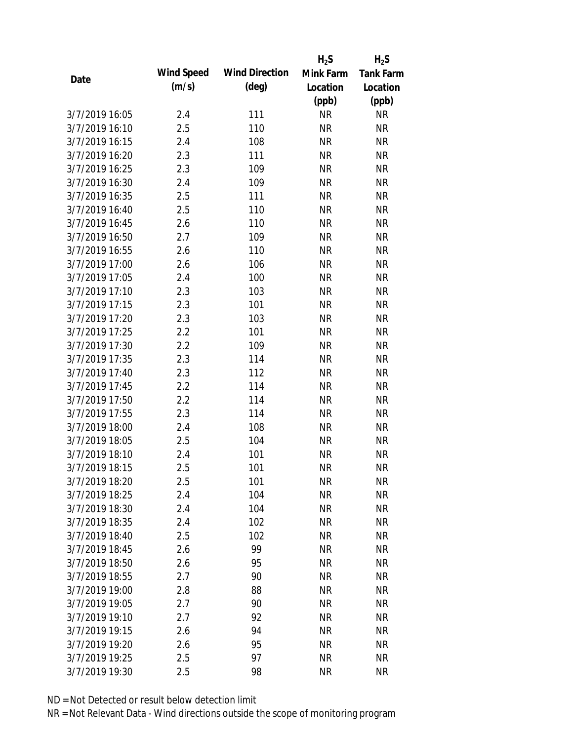|                |            |                       | $H_2S$    | $H_2S$           |
|----------------|------------|-----------------------|-----------|------------------|
| Date           | Wind Speed | <b>Wind Direction</b> | Mink Farm | <b>Tank Farm</b> |
|                | (m/s)      | $(\text{deg})$        | Location  | Location         |
|                |            |                       | (ppb)     | (ppb)            |
| 3/7/2019 16:05 | 2.4        | 111                   | <b>NR</b> | <b>NR</b>        |
| 3/7/2019 16:10 | 2.5        | 110                   | <b>NR</b> | <b>NR</b>        |
| 3/7/2019 16:15 | 2.4        | 108                   | <b>NR</b> | <b>NR</b>        |
| 3/7/2019 16:20 | 2.3        | 111                   | <b>NR</b> | <b>NR</b>        |
| 3/7/2019 16:25 | 2.3        | 109                   | <b>NR</b> | <b>NR</b>        |
| 3/7/2019 16:30 | 2.4        | 109                   | <b>NR</b> | <b>NR</b>        |
| 3/7/2019 16:35 | 2.5        | 111                   | <b>NR</b> | <b>NR</b>        |
| 3/7/2019 16:40 | 2.5        | 110                   | <b>NR</b> | <b>NR</b>        |
| 3/7/2019 16:45 | 2.6        | 110                   | <b>NR</b> | <b>NR</b>        |
| 3/7/2019 16:50 | 2.7        | 109                   | <b>NR</b> | <b>NR</b>        |
| 3/7/2019 16:55 | 2.6        | 110                   | <b>NR</b> | <b>NR</b>        |
| 3/7/2019 17:00 | 2.6        | 106                   | <b>NR</b> | <b>NR</b>        |
| 3/7/2019 17:05 | 2.4        | 100                   | <b>NR</b> | <b>NR</b>        |
| 3/7/2019 17:10 | 2.3        | 103                   | <b>NR</b> | <b>NR</b>        |
| 3/7/2019 17:15 | 2.3        | 101                   | <b>NR</b> | <b>NR</b>        |
| 3/7/2019 17:20 | 2.3        | 103                   | <b>NR</b> | <b>NR</b>        |
| 3/7/2019 17:25 | 2.2        | 101                   | <b>NR</b> | <b>NR</b>        |
| 3/7/2019 17:30 | 2.2        | 109                   | <b>NR</b> | <b>NR</b>        |
| 3/7/2019 17:35 | 2.3        | 114                   | <b>NR</b> | <b>NR</b>        |
| 3/7/2019 17:40 | 2.3        | 112                   | <b>NR</b> | <b>NR</b>        |
| 3/7/2019 17:45 | 2.2        | 114                   | <b>NR</b> | <b>NR</b>        |
| 3/7/2019 17:50 | 2.2        | 114                   | <b>NR</b> | <b>NR</b>        |
| 3/7/2019 17:55 | 2.3        | 114                   | <b>NR</b> | <b>NR</b>        |
| 3/7/2019 18:00 | 2.4        | 108                   | <b>NR</b> | <b>NR</b>        |
| 3/7/2019 18:05 | 2.5        | 104                   | <b>NR</b> | <b>NR</b>        |
| 3/7/2019 18:10 | 2.4        | 101                   | <b>NR</b> | <b>NR</b>        |
| 3/7/2019 18:15 | 2.5        | 101                   | <b>NR</b> | <b>NR</b>        |
| 3/7/2019 18:20 | 2.5        | 101                   | <b>NR</b> | <b>NR</b>        |
| 3/7/2019 18:25 | 2.4        | 104                   | <b>NR</b> | <b>NR</b>        |
| 3/7/2019 18:30 | 2.4        | 104                   | <b>NR</b> | <b>NR</b>        |
| 3/7/2019 18:35 | 2.4        | 102                   | <b>NR</b> | <b>NR</b>        |
| 3/7/2019 18:40 | 2.5        | 102                   | <b>NR</b> | <b>NR</b>        |
| 3/7/2019 18:45 | 2.6        | 99                    | <b>NR</b> | <b>NR</b>        |
| 3/7/2019 18:50 | 2.6        | 95                    | <b>NR</b> | <b>NR</b>        |
| 3/7/2019 18:55 | 2.7        | 90                    | <b>NR</b> | <b>NR</b>        |
| 3/7/2019 19:00 | 2.8        | 88                    | <b>NR</b> | <b>NR</b>        |
| 3/7/2019 19:05 | 2.7        | 90                    | <b>NR</b> | <b>NR</b>        |
| 3/7/2019 19:10 | 2.7        | 92                    | <b>NR</b> | <b>NR</b>        |
| 3/7/2019 19:15 | 2.6        | 94                    | <b>NR</b> | <b>NR</b>        |
| 3/7/2019 19:20 | 2.6        | 95                    | <b>NR</b> | <b>NR</b>        |
| 3/7/2019 19:25 | 2.5        | 97                    | <b>NR</b> | <b>NR</b>        |
| 3/7/2019 19:30 | 2.5        | 98                    | <b>NR</b> | <b>NR</b>        |
|                |            |                       |           |                  |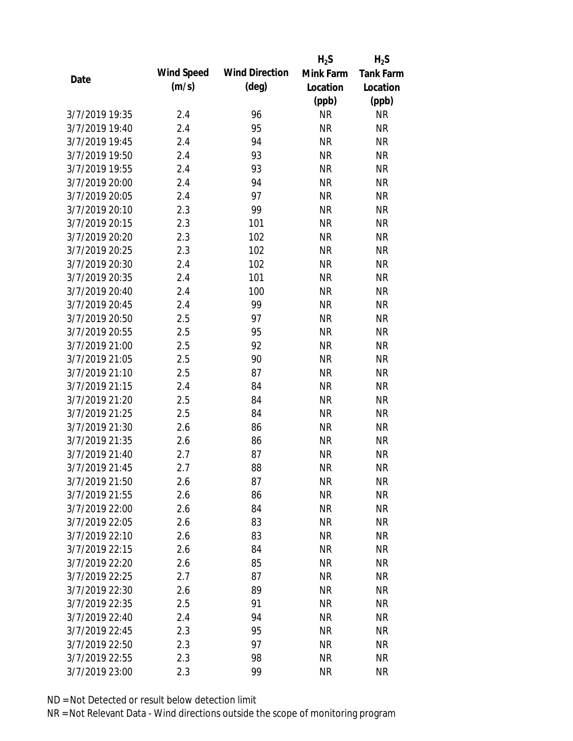|                |            |                       | $H_2S$    | $H_2S$           |
|----------------|------------|-----------------------|-----------|------------------|
| Date           | Wind Speed | <b>Wind Direction</b> | Mink Farm | <b>Tank Farm</b> |
|                | (m/s)      | $(\text{deg})$        | Location  | Location         |
|                |            |                       | (ppb)     | (ppb)            |
| 3/7/2019 19:35 | 2.4        | 96                    | <b>NR</b> | <b>NR</b>        |
| 3/7/2019 19:40 | 2.4        | 95                    | <b>NR</b> | <b>NR</b>        |
| 3/7/2019 19:45 | 2.4        | 94                    | <b>NR</b> | <b>NR</b>        |
| 3/7/2019 19:50 | 2.4        | 93                    | <b>NR</b> | <b>NR</b>        |
| 3/7/2019 19:55 | 2.4        | 93                    | <b>NR</b> | <b>NR</b>        |
| 3/7/2019 20:00 | 2.4        | 94                    | <b>NR</b> | <b>NR</b>        |
| 3/7/2019 20:05 | 2.4        | 97                    | <b>NR</b> | <b>NR</b>        |
| 3/7/2019 20:10 | 2.3        | 99                    | <b>NR</b> | <b>NR</b>        |
| 3/7/2019 20:15 | 2.3        | 101                   | <b>NR</b> | <b>NR</b>        |
| 3/7/2019 20:20 | 2.3        | 102                   | <b>NR</b> | <b>NR</b>        |
| 3/7/2019 20:25 | 2.3        | 102                   | <b>NR</b> | <b>NR</b>        |
| 3/7/2019 20:30 | 2.4        | 102                   | <b>NR</b> | <b>NR</b>        |
| 3/7/2019 20:35 | 2.4        | 101                   | <b>NR</b> | <b>NR</b>        |
| 3/7/2019 20:40 | 2.4        | 100                   | <b>NR</b> | <b>NR</b>        |
| 3/7/2019 20:45 | 2.4        | 99                    | <b>NR</b> | <b>NR</b>        |
| 3/7/2019 20:50 | 2.5        | 97                    | <b>NR</b> | <b>NR</b>        |
| 3/7/2019 20:55 | 2.5        | 95                    | <b>NR</b> | <b>NR</b>        |
| 3/7/2019 21:00 | 2.5        | 92                    | <b>NR</b> | <b>NR</b>        |
| 3/7/2019 21:05 | 2.5        | 90                    | <b>NR</b> | <b>NR</b>        |
| 3/7/2019 21:10 | 2.5        | 87                    | <b>NR</b> | <b>NR</b>        |
| 3/7/2019 21:15 | 2.4        | 84                    | <b>NR</b> | <b>NR</b>        |
| 3/7/2019 21:20 | 2.5        | 84                    | <b>NR</b> | <b>NR</b>        |
| 3/7/2019 21:25 | 2.5        | 84                    | <b>NR</b> | <b>NR</b>        |
| 3/7/2019 21:30 | 2.6        | 86                    | <b>NR</b> | <b>NR</b>        |
| 3/7/2019 21:35 | 2.6        | 86                    | <b>NR</b> | <b>NR</b>        |
| 3/7/2019 21:40 | 2.7        | 87                    | <b>NR</b> | <b>NR</b>        |
| 3/7/2019 21:45 | 2.7        | 88                    | <b>NR</b> | <b>NR</b>        |
| 3/7/2019 21:50 | 2.6        | 87                    | <b>NR</b> | <b>NR</b>        |
| 3/7/2019 21:55 | 2.6        | 86                    | <b>NR</b> | <b>NR</b>        |
| 3/7/2019 22:00 | 2.6        | 84                    | <b>NR</b> | <b>NR</b>        |
| 3/7/2019 22:05 | 2.6        | 83                    | <b>NR</b> | <b>NR</b>        |
| 3/7/2019 22:10 | 2.6        | 83                    | <b>NR</b> | <b>NR</b>        |
| 3/7/2019 22:15 | 2.6        | 84                    | <b>NR</b> | <b>NR</b>        |
| 3/7/2019 22:20 | 2.6        | 85                    | <b>NR</b> | <b>NR</b>        |
| 3/7/2019 22:25 | 2.7        | 87                    | <b>NR</b> | <b>NR</b>        |
| 3/7/2019 22:30 | 2.6        | 89                    | <b>NR</b> | <b>NR</b>        |
| 3/7/2019 22:35 | 2.5        | 91                    | <b>NR</b> | <b>NR</b>        |
| 3/7/2019 22:40 | 2.4        | 94                    | NR        | <b>NR</b>        |
| 3/7/2019 22:45 | 2.3        | 95                    | <b>NR</b> | <b>NR</b>        |
| 3/7/2019 22:50 | 2.3        | 97                    | <b>NR</b> | NR               |
| 3/7/2019 22:55 | 2.3        | 98                    | <b>NR</b> | <b>NR</b>        |
| 3/7/2019 23:00 |            | 99                    | <b>NR</b> | <b>NR</b>        |
|                | 2.3        |                       |           |                  |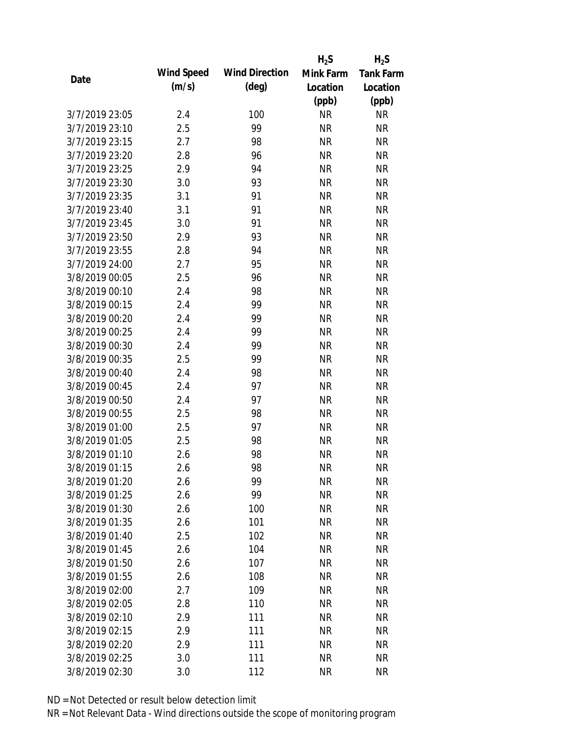|                |            |                       | $H_2S$    | $H_2S$           |
|----------------|------------|-----------------------|-----------|------------------|
|                | Wind Speed | <b>Wind Direction</b> | Mink Farm | <b>Tank Farm</b> |
| Date           | (m/s)      | $(\text{deg})$        | Location  | Location         |
|                |            |                       | (ppb)     | (ppb)            |
| 3/7/2019 23:05 | 2.4        | 100                   | <b>NR</b> | <b>NR</b>        |
| 3/7/2019 23:10 | 2.5        | 99                    | <b>NR</b> | <b>NR</b>        |
| 3/7/2019 23:15 | 2.7        | 98                    | <b>NR</b> | <b>NR</b>        |
| 3/7/2019 23:20 | 2.8        | 96                    | <b>NR</b> | <b>NR</b>        |
| 3/7/2019 23:25 | 2.9        | 94                    | <b>NR</b> | <b>NR</b>        |
| 3/7/2019 23:30 | 3.0        | 93                    | <b>NR</b> | <b>NR</b>        |
| 3/7/2019 23:35 | 3.1        | 91                    | <b>NR</b> | <b>NR</b>        |
| 3/7/2019 23:40 | 3.1        | 91                    | <b>NR</b> | <b>NR</b>        |
| 3/7/2019 23:45 | 3.0        | 91                    | <b>NR</b> | <b>NR</b>        |
| 3/7/2019 23:50 | 2.9        | 93                    | <b>NR</b> | <b>NR</b>        |
| 3/7/2019 23:55 | 2.8        | 94                    | <b>NR</b> | <b>NR</b>        |
| 3/7/2019 24:00 | 2.7        | 95                    | <b>NR</b> | <b>NR</b>        |
| 3/8/2019 00:05 | 2.5        | 96                    | <b>NR</b> | <b>NR</b>        |
| 3/8/2019 00:10 | 2.4        | 98                    | <b>NR</b> | <b>NR</b>        |
| 3/8/2019 00:15 | 2.4        | 99                    | <b>NR</b> | <b>NR</b>        |
| 3/8/2019 00:20 | 2.4        | 99                    | <b>NR</b> | <b>NR</b>        |
| 3/8/2019 00:25 | 2.4        | 99                    | <b>NR</b> | <b>NR</b>        |
| 3/8/2019 00:30 | 2.4        | 99                    | <b>NR</b> | <b>NR</b>        |
| 3/8/2019 00:35 | 2.5        | 99                    | <b>NR</b> | <b>NR</b>        |
| 3/8/2019 00:40 | 2.4        | 98                    | <b>NR</b> | <b>NR</b>        |
| 3/8/2019 00:45 | 2.4        | 97                    | <b>NR</b> | <b>NR</b>        |
| 3/8/2019 00:50 | 2.4        | 97                    | <b>NR</b> | <b>NR</b>        |
| 3/8/2019 00:55 | 2.5        | 98                    | <b>NR</b> | <b>NR</b>        |
| 3/8/2019 01:00 | 2.5        | 97                    | <b>NR</b> | <b>NR</b>        |
| 3/8/2019 01:05 | 2.5        | 98                    | <b>NR</b> | <b>NR</b>        |
| 3/8/2019 01:10 | 2.6        | 98                    | <b>NR</b> | <b>NR</b>        |
| 3/8/2019 01:15 | 2.6        | 98                    | <b>NR</b> | <b>NR</b>        |
| 3/8/2019 01:20 | 2.6        | 99                    | <b>NR</b> | <b>NR</b>        |
| 3/8/2019 01:25 | 2.6        | 99                    | <b>NR</b> | <b>NR</b>        |
| 3/8/2019 01:30 | 2.6        | 100                   | <b>NR</b> | <b>NR</b>        |
| 3/8/2019 01:35 | 2.6        | 101                   | <b>NR</b> | <b>NR</b>        |
| 3/8/2019 01:40 | 2.5        | 102                   | <b>NR</b> | <b>NR</b>        |
| 3/8/2019 01:45 | 2.6        | 104                   | <b>NR</b> | <b>NR</b>        |
| 3/8/2019 01:50 | 2.6        | 107                   | <b>NR</b> | <b>NR</b>        |
| 3/8/2019 01:55 | 2.6        | 108                   | <b>NR</b> | <b>NR</b>        |
| 3/8/2019 02:00 | 2.7        | 109                   | <b>NR</b> | <b>NR</b>        |
| 3/8/2019 02:05 | 2.8        | 110                   | <b>NR</b> | <b>NR</b>        |
| 3/8/2019 02:10 | 2.9        | 111                   | <b>NR</b> | <b>NR</b>        |
| 3/8/2019 02:15 | 2.9        | 111                   | <b>NR</b> | <b>NR</b>        |
| 3/8/2019 02:20 | 2.9        | 111                   | <b>NR</b> | <b>NR</b>        |
| 3/8/2019 02:25 | 3.0        | 111                   | <b>NR</b> | <b>NR</b>        |
| 3/8/2019 02:30 | 3.0        | 112                   | <b>NR</b> | <b>NR</b>        |
|                |            |                       |           |                  |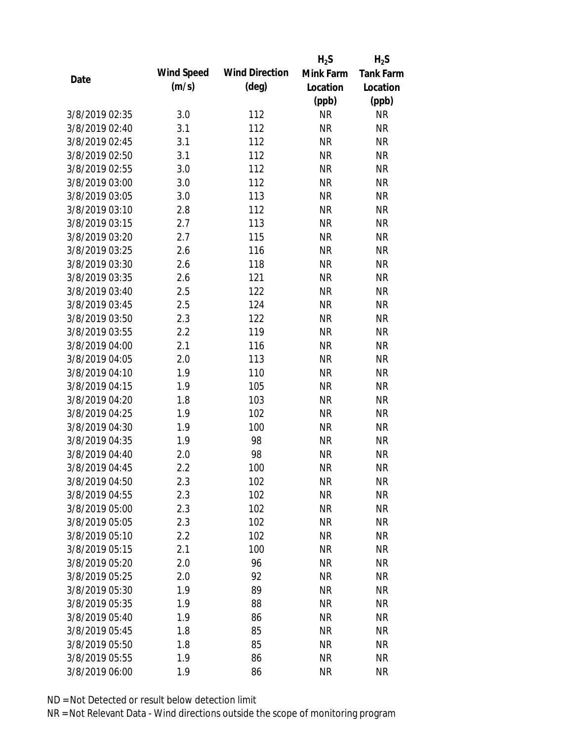|                |            |                       | $H_2S$    | $H_2S$           |
|----------------|------------|-----------------------|-----------|------------------|
|                | Wind Speed | <b>Wind Direction</b> | Mink Farm | <b>Tank Farm</b> |
| Date           | (m/s)      | $(\text{deg})$        | Location  | Location         |
|                |            |                       | (ppb)     | (ppb)            |
| 3/8/2019 02:35 | 3.0        | 112                   | <b>NR</b> | <b>NR</b>        |
| 3/8/2019 02:40 | 3.1        | 112                   | <b>NR</b> | <b>NR</b>        |
| 3/8/2019 02:45 | 3.1        | 112                   | <b>NR</b> | <b>NR</b>        |
| 3/8/2019 02:50 | 3.1        | 112                   | <b>NR</b> | <b>NR</b>        |
| 3/8/2019 02:55 | 3.0        | 112                   | <b>NR</b> | <b>NR</b>        |
| 3/8/2019 03:00 | 3.0        | 112                   | <b>NR</b> | <b>NR</b>        |
| 3/8/2019 03:05 | 3.0        | 113                   | <b>NR</b> | <b>NR</b>        |
| 3/8/2019 03:10 | 2.8        | 112                   | <b>NR</b> | <b>NR</b>        |
| 3/8/2019 03:15 | 2.7        | 113                   | <b>NR</b> | <b>NR</b>        |
| 3/8/2019 03:20 | 2.7        | 115                   | <b>NR</b> | <b>NR</b>        |
| 3/8/2019 03:25 | 2.6        | 116                   | <b>NR</b> | <b>NR</b>        |
| 3/8/2019 03:30 | 2.6        | 118                   | <b>NR</b> | <b>NR</b>        |
| 3/8/2019 03:35 | 2.6        | 121                   | <b>NR</b> | <b>NR</b>        |
| 3/8/2019 03:40 | 2.5        | 122                   | <b>NR</b> | <b>NR</b>        |
| 3/8/2019 03:45 | 2.5        | 124                   | <b>NR</b> | <b>NR</b>        |
| 3/8/2019 03:50 | 2.3        | 122                   | <b>NR</b> | <b>NR</b>        |
| 3/8/2019 03:55 | 2.2        | 119                   | <b>NR</b> | <b>NR</b>        |
| 3/8/2019 04:00 | 2.1        | 116                   | <b>NR</b> | <b>NR</b>        |
| 3/8/2019 04:05 | 2.0        | 113                   | <b>NR</b> | <b>NR</b>        |
| 3/8/2019 04:10 | 1.9        | 110                   | <b>NR</b> | <b>NR</b>        |
| 3/8/2019 04:15 | 1.9        | 105                   | <b>NR</b> | <b>NR</b>        |
| 3/8/2019 04:20 | 1.8        | 103                   | <b>NR</b> | <b>NR</b>        |
| 3/8/2019 04:25 | 1.9        | 102                   | <b>NR</b> | <b>NR</b>        |
| 3/8/2019 04:30 | 1.9        | 100                   | <b>NR</b> | <b>NR</b>        |
| 3/8/2019 04:35 | 1.9        | 98                    | <b>NR</b> | <b>NR</b>        |
| 3/8/2019 04:40 | 2.0        | 98                    | <b>NR</b> | <b>NR</b>        |
| 3/8/2019 04:45 | 2.2        | 100                   | <b>NR</b> | <b>NR</b>        |
| 3/8/2019 04:50 | 2.3        | 102                   | <b>NR</b> | <b>NR</b>        |
| 3/8/2019 04:55 | 2.3        | 102                   | <b>NR</b> | <b>NR</b>        |
| 3/8/2019 05:00 | 2.3        | 102                   | <b>NR</b> | <b>NR</b>        |
| 3/8/2019 05:05 | 2.3        | 102                   | <b>NR</b> | <b>NR</b>        |
| 3/8/2019 05:10 | 2.2        | 102                   | <b>NR</b> | <b>NR</b>        |
| 3/8/2019 05:15 | 2.1        | 100                   | <b>NR</b> | <b>NR</b>        |
| 3/8/2019 05:20 | 2.0        | 96                    | <b>NR</b> | <b>NR</b>        |
| 3/8/2019 05:25 | 2.0        | 92                    | <b>NR</b> | <b>NR</b>        |
| 3/8/2019 05:30 | 1.9        | 89                    | <b>NR</b> | <b>NR</b>        |
| 3/8/2019 05:35 | 1.9        | 88                    | <b>NR</b> | <b>NR</b>        |
| 3/8/2019 05:40 | 1.9        | 86                    | <b>NR</b> | <b>NR</b>        |
| 3/8/2019 05:45 | 1.8        | 85                    | <b>NR</b> | <b>NR</b>        |
| 3/8/2019 05:50 | 1.8        | 85                    | <b>NR</b> | <b>NR</b>        |
| 3/8/2019 05:55 | 1.9        | 86                    | <b>NR</b> | <b>NR</b>        |
| 3/8/2019 06:00 | 1.9        | 86                    | <b>NR</b> | <b>NR</b>        |
|                |            |                       |           |                  |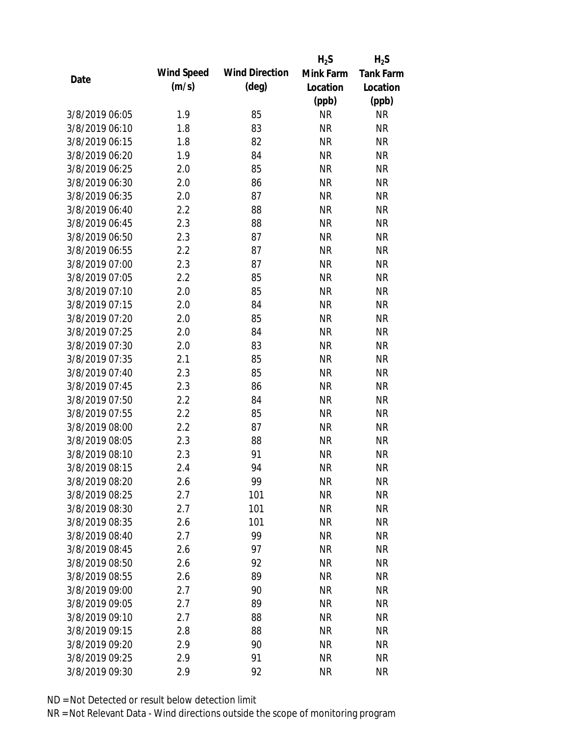|                |            |                       | $H_2S$    | $H_2S$           |
|----------------|------------|-----------------------|-----------|------------------|
| Date           | Wind Speed | <b>Wind Direction</b> | Mink Farm | <b>Tank Farm</b> |
|                | (m/s)      | $(\text{deg})$        | Location  | Location         |
|                |            |                       | (ppb)     | (ppb)            |
| 3/8/2019 06:05 | 1.9        | 85                    | <b>NR</b> | <b>NR</b>        |
| 3/8/2019 06:10 | 1.8        | 83                    | <b>NR</b> | <b>NR</b>        |
| 3/8/2019 06:15 | 1.8        | 82                    | <b>NR</b> | <b>NR</b>        |
| 3/8/2019 06:20 | 1.9        | 84                    | <b>NR</b> | <b>NR</b>        |
| 3/8/2019 06:25 | 2.0        | 85                    | <b>NR</b> | <b>NR</b>        |
| 3/8/2019 06:30 | 2.0        | 86                    | <b>NR</b> | <b>NR</b>        |
| 3/8/2019 06:35 | 2.0        | 87                    | <b>NR</b> | <b>NR</b>        |
| 3/8/2019 06:40 | 2.2        | 88                    | <b>NR</b> | <b>NR</b>        |
| 3/8/2019 06:45 | 2.3        | 88                    | <b>NR</b> | <b>NR</b>        |
| 3/8/2019 06:50 | 2.3        | 87                    | <b>NR</b> | <b>NR</b>        |
| 3/8/2019 06:55 | 2.2        | 87                    | <b>NR</b> | <b>NR</b>        |
| 3/8/2019 07:00 | 2.3        | 87                    | <b>NR</b> | <b>NR</b>        |
| 3/8/2019 07:05 | 2.2        | 85                    | <b>NR</b> | <b>NR</b>        |
| 3/8/2019 07:10 | 2.0        | 85                    | <b>NR</b> | <b>NR</b>        |
| 3/8/2019 07:15 | 2.0        | 84                    | <b>NR</b> | <b>NR</b>        |
| 3/8/2019 07:20 | 2.0        | 85                    | <b>NR</b> | <b>NR</b>        |
| 3/8/2019 07:25 | 2.0        | 84                    | <b>NR</b> | <b>NR</b>        |
| 3/8/2019 07:30 | 2.0        | 83                    | <b>NR</b> | <b>NR</b>        |
| 3/8/2019 07:35 | 2.1        | 85                    | <b>NR</b> | <b>NR</b>        |
| 3/8/2019 07:40 | 2.3        | 85                    | <b>NR</b> | <b>NR</b>        |
| 3/8/2019 07:45 | 2.3        | 86                    | <b>NR</b> | <b>NR</b>        |
| 3/8/2019 07:50 | 2.2        | 84                    | <b>NR</b> | <b>NR</b>        |
| 3/8/2019 07:55 | 2.2        | 85                    | <b>NR</b> | <b>NR</b>        |
| 3/8/2019 08:00 | 2.2        | 87                    | <b>NR</b> | <b>NR</b>        |
| 3/8/2019 08:05 | 2.3        | 88                    | <b>NR</b> | <b>NR</b>        |
| 3/8/2019 08:10 | 2.3        | 91                    | <b>NR</b> | <b>NR</b>        |
| 3/8/2019 08:15 | 2.4        | 94                    | <b>NR</b> | <b>NR</b>        |
| 3/8/2019 08:20 | 2.6        | 99                    | <b>NR</b> | <b>NR</b>        |
| 3/8/2019 08:25 | 2.7        | 101                   | <b>NR</b> | <b>NR</b>        |
| 3/8/2019 08:30 | 2.7        | 101                   | <b>NR</b> | <b>NR</b>        |
| 3/8/2019 08:35 | 2.6        | 101                   | <b>NR</b> | <b>NR</b>        |
| 3/8/2019 08:40 | 2.7        | 99                    | <b>NR</b> | <b>NR</b>        |
| 3/8/2019 08:45 | 2.6        | 97                    | <b>NR</b> | <b>NR</b>        |
| 3/8/2019 08:50 | 2.6        | 92                    | <b>NR</b> | <b>NR</b>        |
| 3/8/2019 08:55 | 2.6        | 89                    | <b>NR</b> | <b>NR</b>        |
| 3/8/2019 09:00 | 2.7        | 90                    | <b>NR</b> | <b>NR</b>        |
| 3/8/2019 09:05 | 2.7        | 89                    | <b>NR</b> | <b>NR</b>        |
| 3/8/2019 09:10 | 2.7        | 88                    | <b>NR</b> | <b>NR</b>        |
| 3/8/2019 09:15 | 2.8        | 88                    | <b>NR</b> | <b>NR</b>        |
| 3/8/2019 09:20 | 2.9        | 90                    | <b>NR</b> | <b>NR</b>        |
| 3/8/2019 09:25 | 2.9        | 91                    | <b>NR</b> | <b>NR</b>        |
| 3/8/2019 09:30 | 2.9        | 92                    | <b>NR</b> | <b>NR</b>        |
|                |            |                       |           |                  |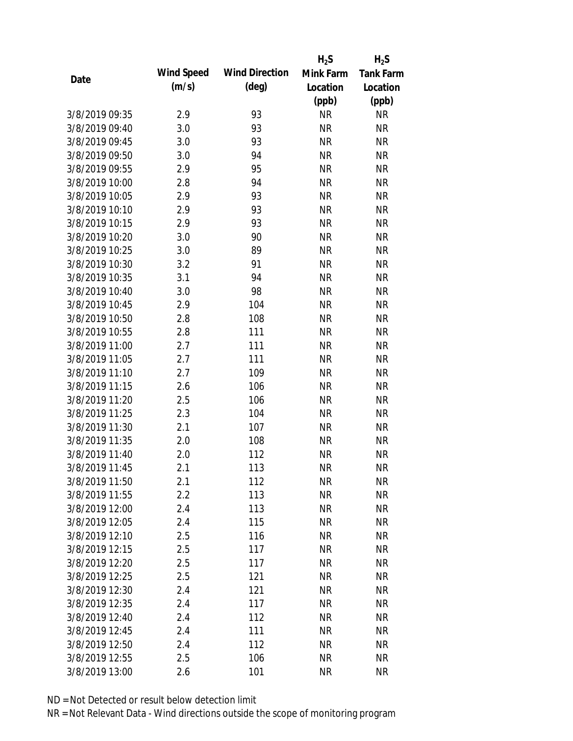|                |            |                       | $H_2S$    | $H_2S$           |
|----------------|------------|-----------------------|-----------|------------------|
|                | Wind Speed | <b>Wind Direction</b> | Mink Farm | <b>Tank Farm</b> |
| Date           | (m/s)      | $(\text{deg})$        | Location  | Location         |
|                |            |                       | (ppb)     | (ppb)            |
| 3/8/2019 09:35 | 2.9        | 93                    | <b>NR</b> | <b>NR</b>        |
| 3/8/2019 09:40 | 3.0        | 93                    | <b>NR</b> | <b>NR</b>        |
| 3/8/2019 09:45 | 3.0        | 93                    | <b>NR</b> | <b>NR</b>        |
| 3/8/2019 09:50 | 3.0        | 94                    | <b>NR</b> | <b>NR</b>        |
| 3/8/2019 09:55 | 2.9        | 95                    | <b>NR</b> | <b>NR</b>        |
| 3/8/2019 10:00 | 2.8        | 94                    | <b>NR</b> | <b>NR</b>        |
| 3/8/2019 10:05 | 2.9        | 93                    | <b>NR</b> | <b>NR</b>        |
| 3/8/2019 10:10 | 2.9        | 93                    | <b>NR</b> | <b>NR</b>        |
| 3/8/2019 10:15 | 2.9        | 93                    | <b>NR</b> | <b>NR</b>        |
| 3/8/2019 10:20 | 3.0        | 90                    | <b>NR</b> | <b>NR</b>        |
| 3/8/2019 10:25 | 3.0        | 89                    | <b>NR</b> | <b>NR</b>        |
| 3/8/2019 10:30 | 3.2        | 91                    | <b>NR</b> | <b>NR</b>        |
| 3/8/2019 10:35 | 3.1        | 94                    | <b>NR</b> | <b>NR</b>        |
| 3/8/2019 10:40 | 3.0        | 98                    | <b>NR</b> | <b>NR</b>        |
| 3/8/2019 10:45 | 2.9        | 104                   | <b>NR</b> | <b>NR</b>        |
| 3/8/2019 10:50 | 2.8        | 108                   | <b>NR</b> | <b>NR</b>        |
| 3/8/2019 10:55 | 2.8        | 111                   | <b>NR</b> | <b>NR</b>        |
| 3/8/2019 11:00 | 2.7        | 111                   | <b>NR</b> | <b>NR</b>        |
| 3/8/2019 11:05 | 2.7        | 111                   | <b>NR</b> | <b>NR</b>        |
| 3/8/2019 11:10 | 2.7        | 109                   | <b>NR</b> | <b>NR</b>        |
| 3/8/2019 11:15 | 2.6        | 106                   | <b>NR</b> | <b>NR</b>        |
| 3/8/2019 11:20 | 2.5        | 106                   | <b>NR</b> | <b>NR</b>        |
| 3/8/2019 11:25 | 2.3        | 104                   | <b>NR</b> | <b>NR</b>        |
| 3/8/2019 11:30 | 2.1        | 107                   | <b>NR</b> | <b>NR</b>        |
| 3/8/2019 11:35 | 2.0        | 108                   | <b>NR</b> | <b>NR</b>        |
| 3/8/2019 11:40 | 2.0        | 112                   | <b>NR</b> | <b>NR</b>        |
| 3/8/2019 11:45 | 2.1        | 113                   | <b>NR</b> | <b>NR</b>        |
| 3/8/2019 11:50 | 2.1        | 112                   | <b>NR</b> | <b>NR</b>        |
| 3/8/2019 11:55 | 2.2        | 113                   | <b>NR</b> | <b>NR</b>        |
| 3/8/2019 12:00 | 2.4        | 113                   | <b>NR</b> | <b>NR</b>        |
| 3/8/2019 12:05 | 2.4        | 115                   | <b>NR</b> | <b>NR</b>        |
| 3/8/2019 12:10 | 2.5        | 116                   | <b>NR</b> | <b>NR</b>        |
| 3/8/2019 12:15 | 2.5        | 117                   | <b>NR</b> | <b>NR</b>        |
| 3/8/2019 12:20 | 2.5        | 117                   | <b>NR</b> | <b>NR</b>        |
| 3/8/2019 12:25 | 2.5        | 121                   | <b>NR</b> | <b>NR</b>        |
| 3/8/2019 12:30 | 2.4        | 121                   | <b>NR</b> | <b>NR</b>        |
| 3/8/2019 12:35 | 2.4        | 117                   | <b>NR</b> | <b>NR</b>        |
| 3/8/2019 12:40 | 2.4        | 112                   | <b>NR</b> | <b>NR</b>        |
| 3/8/2019 12:45 | 2.4        | 111                   | <b>NR</b> | <b>NR</b>        |
| 3/8/2019 12:50 | 2.4        | 112                   | <b>NR</b> | <b>NR</b>        |
| 3/8/2019 12:55 | 2.5        | 106                   | <b>NR</b> | <b>NR</b>        |
| 3/8/2019 13:00 | 2.6        | 101                   | <b>NR</b> | <b>NR</b>        |
|                |            |                       |           |                  |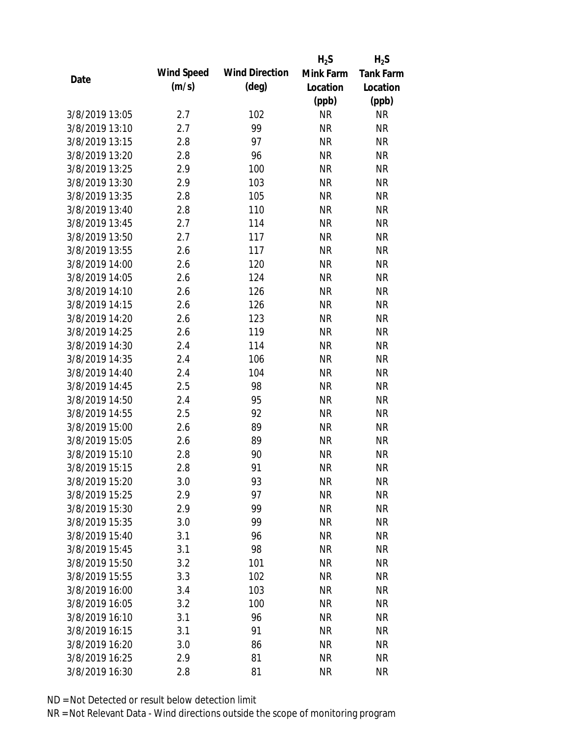|                |            |                       | $H_2S$    | $H_2S$           |
|----------------|------------|-----------------------|-----------|------------------|
| Date           | Wind Speed | <b>Wind Direction</b> | Mink Farm | <b>Tank Farm</b> |
|                | (m/s)      | $(\text{deg})$        | Location  | Location         |
|                |            |                       | (ppb)     | (ppb)            |
| 3/8/2019 13:05 | 2.7        | 102                   | <b>NR</b> | <b>NR</b>        |
| 3/8/2019 13:10 | 2.7        | 99                    | <b>NR</b> | <b>NR</b>        |
| 3/8/2019 13:15 | 2.8        | 97                    | <b>NR</b> | <b>NR</b>        |
| 3/8/2019 13:20 | 2.8        | 96                    | <b>NR</b> | <b>NR</b>        |
| 3/8/2019 13:25 | 2.9        | 100                   | <b>NR</b> | <b>NR</b>        |
| 3/8/2019 13:30 | 2.9        | 103                   | <b>NR</b> | <b>NR</b>        |
| 3/8/2019 13:35 | 2.8        | 105                   | <b>NR</b> | <b>NR</b>        |
| 3/8/2019 13:40 | 2.8        | 110                   | <b>NR</b> | <b>NR</b>        |
| 3/8/2019 13:45 | 2.7        | 114                   | <b>NR</b> | <b>NR</b>        |
| 3/8/2019 13:50 | 2.7        | 117                   | <b>NR</b> | <b>NR</b>        |
| 3/8/2019 13:55 | 2.6        | 117                   | <b>NR</b> | <b>NR</b>        |
| 3/8/2019 14:00 | 2.6        | 120                   | <b>NR</b> | <b>NR</b>        |
| 3/8/2019 14:05 | 2.6        | 124                   | <b>NR</b> | <b>NR</b>        |
| 3/8/2019 14:10 | 2.6        | 126                   | <b>NR</b> | <b>NR</b>        |
| 3/8/2019 14:15 | 2.6        | 126                   | <b>NR</b> | <b>NR</b>        |
| 3/8/2019 14:20 | 2.6        | 123                   | <b>NR</b> | <b>NR</b>        |
| 3/8/2019 14:25 | 2.6        | 119                   | <b>NR</b> | <b>NR</b>        |
| 3/8/2019 14:30 | 2.4        | 114                   | <b>NR</b> | <b>NR</b>        |
| 3/8/2019 14:35 | 2.4        | 106                   | <b>NR</b> | <b>NR</b>        |
| 3/8/2019 14:40 | 2.4        | 104                   | <b>NR</b> | <b>NR</b>        |
| 3/8/2019 14:45 | 2.5        | 98                    | <b>NR</b> | <b>NR</b>        |
| 3/8/2019 14:50 | 2.4        | 95                    | <b>NR</b> | <b>NR</b>        |
| 3/8/2019 14:55 | 2.5        | 92                    | <b>NR</b> | <b>NR</b>        |
| 3/8/2019 15:00 | 2.6        | 89                    | <b>NR</b> | <b>NR</b>        |
| 3/8/2019 15:05 | 2.6        | 89                    | <b>NR</b> | <b>NR</b>        |
| 3/8/2019 15:10 | 2.8        | 90                    | <b>NR</b> | <b>NR</b>        |
| 3/8/2019 15:15 | 2.8        | 91                    | <b>NR</b> | <b>NR</b>        |
| 3/8/2019 15:20 | 3.0        | 93                    | <b>NR</b> | <b>NR</b>        |
| 3/8/2019 15:25 | 2.9        | 97                    | <b>NR</b> | <b>NR</b>        |
| 3/8/2019 15:30 | 2.9        | 99                    | <b>NR</b> | <b>NR</b>        |
| 3/8/2019 15:35 | 3.0        | 99                    | <b>NR</b> | <b>NR</b>        |
| 3/8/2019 15:40 | 3.1        | 96                    | <b>NR</b> | <b>NR</b>        |
| 3/8/2019 15:45 | 3.1        | 98                    | <b>NR</b> | <b>NR</b>        |
| 3/8/2019 15:50 | 3.2        | 101                   | <b>NR</b> | <b>NR</b>        |
| 3/8/2019 15:55 | 3.3        | 102                   | <b>NR</b> | <b>NR</b>        |
| 3/8/2019 16:00 | 3.4        | 103                   | <b>NR</b> | <b>NR</b>        |
| 3/8/2019 16:05 | 3.2        | 100                   | <b>NR</b> | <b>NR</b>        |
| 3/8/2019 16:10 | 3.1        | 96                    | <b>NR</b> | <b>NR</b>        |
| 3/8/2019 16:15 | 3.1        | 91                    | <b>NR</b> | <b>NR</b>        |
| 3/8/2019 16:20 | 3.0        | 86                    | <b>NR</b> | <b>NR</b>        |
| 3/8/2019 16:25 | 2.9        | 81                    | <b>NR</b> | <b>NR</b>        |
| 3/8/2019 16:30 | 2.8        | 81                    | <b>NR</b> | <b>NR</b>        |
|                |            |                       |           |                  |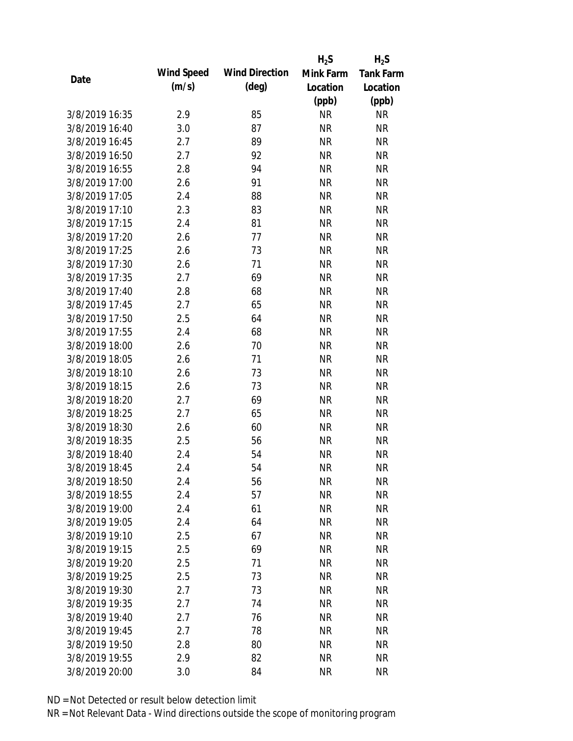|                |            |                       | $H_2S$    | $H_2S$           |
|----------------|------------|-----------------------|-----------|------------------|
| Date           | Wind Speed | <b>Wind Direction</b> | Mink Farm | <b>Tank Farm</b> |
|                | (m/s)      | $(\text{deg})$        | Location  | Location         |
|                |            |                       | (ppb)     | (ppb)            |
| 3/8/2019 16:35 | 2.9        | 85                    | <b>NR</b> | NR               |
| 3/8/2019 16:40 | 3.0        | 87                    | <b>NR</b> | <b>NR</b>        |
| 3/8/2019 16:45 | 2.7        | 89                    | <b>NR</b> | <b>NR</b>        |
| 3/8/2019 16:50 | 2.7        | 92                    | <b>NR</b> | <b>NR</b>        |
| 3/8/2019 16:55 | 2.8        | 94                    | <b>NR</b> | <b>NR</b>        |
| 3/8/2019 17:00 | 2.6        | 91                    | <b>NR</b> | <b>NR</b>        |
| 3/8/2019 17:05 | 2.4        | 88                    | <b>NR</b> | <b>NR</b>        |
| 3/8/2019 17:10 | 2.3        | 83                    | <b>NR</b> | <b>NR</b>        |
| 3/8/2019 17:15 | 2.4        | 81                    | <b>NR</b> | <b>NR</b>        |
| 3/8/2019 17:20 | 2.6        | 77                    | <b>NR</b> | <b>NR</b>        |
| 3/8/2019 17:25 | 2.6        | 73                    | <b>NR</b> | <b>NR</b>        |
| 3/8/2019 17:30 | 2.6        | 71                    | <b>NR</b> | <b>NR</b>        |
| 3/8/2019 17:35 | 2.7        | 69                    | <b>NR</b> | <b>NR</b>        |
| 3/8/2019 17:40 | 2.8        | 68                    | <b>NR</b> | <b>NR</b>        |
| 3/8/2019 17:45 | 2.7        | 65                    | <b>NR</b> | <b>NR</b>        |
| 3/8/2019 17:50 | 2.5        | 64                    | <b>NR</b> | <b>NR</b>        |
| 3/8/2019 17:55 | 2.4        | 68                    | <b>NR</b> | <b>NR</b>        |
| 3/8/2019 18:00 | 2.6        | 70                    | <b>NR</b> | <b>NR</b>        |
| 3/8/2019 18:05 | 2.6        | 71                    | <b>NR</b> | <b>NR</b>        |
| 3/8/2019 18:10 | 2.6        | 73                    | <b>NR</b> | <b>NR</b>        |
| 3/8/2019 18:15 | 2.6        | 73                    | <b>NR</b> | <b>NR</b>        |
| 3/8/2019 18:20 | 2.7        | 69                    | <b>NR</b> | <b>NR</b>        |
| 3/8/2019 18:25 | 2.7        | 65                    | <b>NR</b> | <b>NR</b>        |
| 3/8/2019 18:30 | 2.6        | 60                    | <b>NR</b> | <b>NR</b>        |
| 3/8/2019 18:35 | 2.5        | 56                    | <b>NR</b> | <b>NR</b>        |
| 3/8/2019 18:40 | 2.4        | 54                    | <b>NR</b> | <b>NR</b>        |
| 3/8/2019 18:45 | 2.4        | 54                    | <b>NR</b> | <b>NR</b>        |
| 3/8/2019 18:50 | 2.4        | 56                    | <b>NR</b> | <b>NR</b>        |
| 3/8/2019 18:55 | 2.4        | 57                    | <b>NR</b> | <b>NR</b>        |
| 3/8/2019 19:00 | 2.4        | 61                    | <b>NR</b> | <b>NR</b>        |
| 3/8/2019 19:05 | 2.4        | 64                    | <b>NR</b> | <b>NR</b>        |
| 3/8/2019 19:10 | 2.5        | 67                    | <b>NR</b> | <b>NR</b>        |
| 3/8/2019 19:15 | 2.5        | 69                    | <b>NR</b> | <b>NR</b>        |
| 3/8/2019 19:20 | 2.5        | 71                    | <b>NR</b> | <b>NR</b>        |
| 3/8/2019 19:25 | 2.5        | 73                    | <b>NR</b> | <b>NR</b>        |
| 3/8/2019 19:30 | 2.7        | 73                    | <b>NR</b> | <b>NR</b>        |
| 3/8/2019 19:35 | 2.7        | 74                    | <b>NR</b> | <b>NR</b>        |
| 3/8/2019 19:40 | 2.7        | 76                    | NR        | <b>NR</b>        |
| 3/8/2019 19:45 | 2.7        | 78                    | <b>NR</b> | <b>NR</b>        |
| 3/8/2019 19:50 | 2.8        | 80                    | <b>NR</b> | <b>NR</b>        |
| 3/8/2019 19:55 | 2.9        | 82                    | <b>NR</b> | <b>NR</b>        |
|                |            | 84                    |           |                  |
| 3/8/2019 20:00 | 3.0        |                       | <b>NR</b> | <b>NR</b>        |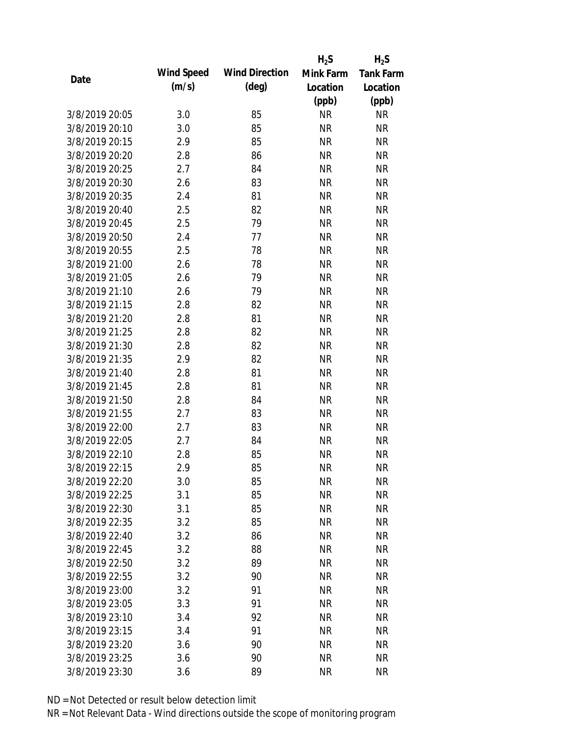|                |            |                       | $H_2S$    | $H_2S$           |
|----------------|------------|-----------------------|-----------|------------------|
|                | Wind Speed | <b>Wind Direction</b> | Mink Farm | <b>Tank Farm</b> |
| Date           | (m/s)      | $(\text{deg})$        | Location  | Location         |
|                |            |                       | (ppb)     | (ppb)            |
| 3/8/2019 20:05 | 3.0        | 85                    | <b>NR</b> | <b>NR</b>        |
| 3/8/2019 20:10 | 3.0        | 85                    | <b>NR</b> | <b>NR</b>        |
| 3/8/2019 20:15 | 2.9        | 85                    | <b>NR</b> | <b>NR</b>        |
| 3/8/2019 20:20 | 2.8        | 86                    | <b>NR</b> | <b>NR</b>        |
| 3/8/2019 20:25 | 2.7        | 84                    | <b>NR</b> | <b>NR</b>        |
| 3/8/2019 20:30 | 2.6        | 83                    | <b>NR</b> | <b>NR</b>        |
| 3/8/2019 20:35 | 2.4        | 81                    | <b>NR</b> | <b>NR</b>        |
| 3/8/2019 20:40 | 2.5        | 82                    | <b>NR</b> | <b>NR</b>        |
| 3/8/2019 20:45 | 2.5        | 79                    | <b>NR</b> | <b>NR</b>        |
| 3/8/2019 20:50 | 2.4        | 77                    | <b>NR</b> | <b>NR</b>        |
| 3/8/2019 20:55 | 2.5        | 78                    | <b>NR</b> | <b>NR</b>        |
| 3/8/2019 21:00 | 2.6        | 78                    | <b>NR</b> | <b>NR</b>        |
| 3/8/2019 21:05 | 2.6        | 79                    | <b>NR</b> | <b>NR</b>        |
| 3/8/2019 21:10 | 2.6        | 79                    | <b>NR</b> | <b>NR</b>        |
| 3/8/2019 21:15 | 2.8        | 82                    | <b>NR</b> | <b>NR</b>        |
| 3/8/2019 21:20 | 2.8        | 81                    | <b>NR</b> | <b>NR</b>        |
| 3/8/2019 21:25 | 2.8        | 82                    | <b>NR</b> | <b>NR</b>        |
| 3/8/2019 21:30 | 2.8        | 82                    | <b>NR</b> | <b>NR</b>        |
| 3/8/2019 21:35 | 2.9        | 82                    | <b>NR</b> | <b>NR</b>        |
| 3/8/2019 21:40 | 2.8        | 81                    | <b>NR</b> | <b>NR</b>        |
| 3/8/2019 21:45 | 2.8        | 81                    | <b>NR</b> | <b>NR</b>        |
| 3/8/2019 21:50 | 2.8        | 84                    | <b>NR</b> | <b>NR</b>        |
| 3/8/2019 21:55 | 2.7        | 83                    | <b>NR</b> | <b>NR</b>        |
| 3/8/2019 22:00 | 2.7        | 83                    | <b>NR</b> | <b>NR</b>        |
| 3/8/2019 22:05 | 2.7        | 84                    | <b>NR</b> | <b>NR</b>        |
| 3/8/2019 22:10 | 2.8        | 85                    | <b>NR</b> | <b>NR</b>        |
| 3/8/2019 22:15 | 2.9        | 85                    | <b>NR</b> | <b>NR</b>        |
| 3/8/2019 22:20 | 3.0        | 85                    | <b>NR</b> | <b>NR</b>        |
| 3/8/2019 22:25 | 3.1        | 85                    | <b>NR</b> | <b>NR</b>        |
| 3/8/2019 22:30 | 3.1        | 85                    | <b>NR</b> | <b>NR</b>        |
| 3/8/2019 22:35 | 3.2        | 85                    | <b>NR</b> | <b>NR</b>        |
| 3/8/2019 22:40 | 3.2        | 86                    | <b>NR</b> | <b>NR</b>        |
| 3/8/2019 22:45 | 3.2        | 88                    | <b>NR</b> | <b>NR</b>        |
| 3/8/2019 22:50 | 3.2        | 89                    | <b>NR</b> | <b>NR</b>        |
| 3/8/2019 22:55 | 3.2        | 90                    | <b>NR</b> | <b>NR</b>        |
| 3/8/2019 23:00 | 3.2        | 91                    | <b>NR</b> | <b>NR</b>        |
| 3/8/2019 23:05 | 3.3        | 91                    | <b>NR</b> | <b>NR</b>        |
| 3/8/2019 23:10 | 3.4        | 92                    | <b>NR</b> | <b>NR</b>        |
| 3/8/2019 23:15 | 3.4        | 91                    | <b>NR</b> | <b>NR</b>        |
| 3/8/2019 23:20 | 3.6        | 90                    | <b>NR</b> | <b>NR</b>        |
| 3/8/2019 23:25 | 3.6        | 90                    | <b>NR</b> | <b>NR</b>        |
| 3/8/2019 23:30 | 3.6        | 89                    | <b>NR</b> | <b>NR</b>        |
|                |            |                       |           |                  |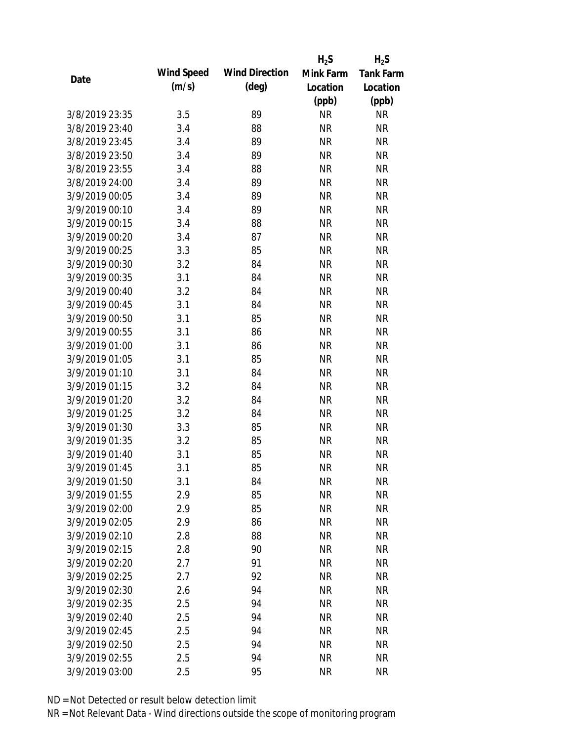|                |            |                       | $H_2S$    | $H_2S$           |
|----------------|------------|-----------------------|-----------|------------------|
|                | Wind Speed | <b>Wind Direction</b> | Mink Farm | <b>Tank Farm</b> |
| Date           | (m/s)      | $(\text{deg})$        | Location  | Location         |
|                |            |                       | (ppb)     | (ppb)            |
| 3/8/2019 23:35 | 3.5        | 89                    | <b>NR</b> | <b>NR</b>        |
| 3/8/2019 23:40 | 3.4        | 88                    | <b>NR</b> | <b>NR</b>        |
| 3/8/2019 23:45 | 3.4        | 89                    | <b>NR</b> | <b>NR</b>        |
| 3/8/2019 23:50 | 3.4        | 89                    | <b>NR</b> | <b>NR</b>        |
| 3/8/2019 23:55 | 3.4        | 88                    | <b>NR</b> | <b>NR</b>        |
| 3/8/2019 24:00 | 3.4        | 89                    | <b>NR</b> | <b>NR</b>        |
| 3/9/2019 00:05 | 3.4        | 89                    | <b>NR</b> | <b>NR</b>        |
| 3/9/2019 00:10 | 3.4        | 89                    | <b>NR</b> | <b>NR</b>        |
| 3/9/2019 00:15 | 3.4        | 88                    | <b>NR</b> | <b>NR</b>        |
| 3/9/2019 00:20 | 3.4        | 87                    | <b>NR</b> | <b>NR</b>        |
| 3/9/2019 00:25 | 3.3        | 85                    | <b>NR</b> | <b>NR</b>        |
| 3/9/2019 00:30 | 3.2        | 84                    | <b>NR</b> | <b>NR</b>        |
| 3/9/2019 00:35 | 3.1        | 84                    | <b>NR</b> | <b>NR</b>        |
| 3/9/2019 00:40 | 3.2        | 84                    | <b>NR</b> | <b>NR</b>        |
| 3/9/2019 00:45 | 3.1        | 84                    | <b>NR</b> | <b>NR</b>        |
| 3/9/2019 00:50 | 3.1        | 85                    | <b>NR</b> | <b>NR</b>        |
| 3/9/2019 00:55 | 3.1        | 86                    | <b>NR</b> | <b>NR</b>        |
| 3/9/2019 01:00 | 3.1        | 86                    | <b>NR</b> | <b>NR</b>        |
| 3/9/2019 01:05 | 3.1        | 85                    | <b>NR</b> | <b>NR</b>        |
| 3/9/2019 01:10 | 3.1        | 84                    | <b>NR</b> | <b>NR</b>        |
| 3/9/2019 01:15 | 3.2        | 84                    | <b>NR</b> | <b>NR</b>        |
| 3/9/2019 01:20 | 3.2        | 84                    | <b>NR</b> | <b>NR</b>        |
| 3/9/2019 01:25 | 3.2        | 84                    | <b>NR</b> | <b>NR</b>        |
| 3/9/2019 01:30 | 3.3        | 85                    | <b>NR</b> | <b>NR</b>        |
| 3/9/2019 01:35 | 3.2        | 85                    | <b>NR</b> | <b>NR</b>        |
| 3/9/2019 01:40 | 3.1        | 85                    | <b>NR</b> | <b>NR</b>        |
| 3/9/2019 01:45 | 3.1        | 85                    | <b>NR</b> | <b>NR</b>        |
| 3/9/2019 01:50 | 3.1        | 84                    | <b>NR</b> | <b>NR</b>        |
| 3/9/2019 01:55 | 2.9        | 85                    | <b>NR</b> | <b>NR</b>        |
| 3/9/2019 02:00 | 2.9        | 85                    | <b>NR</b> | <b>NR</b>        |
| 3/9/2019 02:05 | 2.9        | 86                    | <b>NR</b> | <b>NR</b>        |
| 3/9/2019 02:10 | 2.8        | 88                    | <b>NR</b> | <b>NR</b>        |
| 3/9/2019 02:15 | 2.8        | 90                    | <b>NR</b> | <b>NR</b>        |
| 3/9/2019 02:20 | 2.7        | 91                    | <b>NR</b> | <b>NR</b>        |
| 3/9/2019 02:25 | 2.7        | 92                    | <b>NR</b> | <b>NR</b>        |
| 3/9/2019 02:30 | 2.6        | 94                    | <b>NR</b> | <b>NR</b>        |
| 3/9/2019 02:35 | 2.5        | 94                    | <b>NR</b> | <b>NR</b>        |
| 3/9/2019 02:40 | 2.5        | 94                    | <b>NR</b> | <b>NR</b>        |
| 3/9/2019 02:45 | 2.5        | 94                    | <b>NR</b> | <b>NR</b>        |
| 3/9/2019 02:50 | 2.5        | 94                    | <b>NR</b> | <b>NR</b>        |
| 3/9/2019 02:55 | 2.5        | 94                    | <b>NR</b> | <b>NR</b>        |
| 3/9/2019 03:00 | 2.5        | 95                    | <b>NR</b> | <b>NR</b>        |
|                |            |                       |           |                  |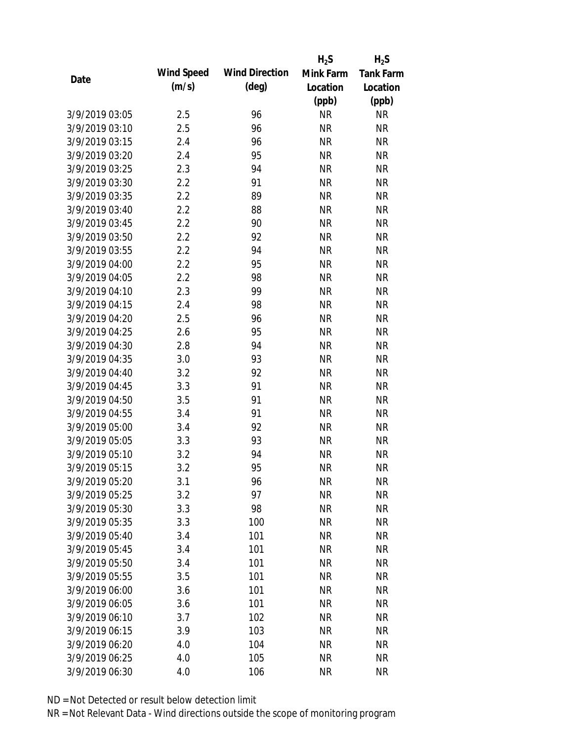|                |            |                       | $H_2S$    | $H_2S$           |
|----------------|------------|-----------------------|-----------|------------------|
| Date           | Wind Speed | <b>Wind Direction</b> | Mink Farm | <b>Tank Farm</b> |
|                | (m/s)      | $(\text{deg})$        | Location  | Location         |
|                |            |                       | (ppb)     | (ppb)            |
| 3/9/2019 03:05 | 2.5        | 96                    | <b>NR</b> | <b>NR</b>        |
| 3/9/2019 03:10 | 2.5        | 96                    | <b>NR</b> | <b>NR</b>        |
| 3/9/2019 03:15 | 2.4        | 96                    | <b>NR</b> | <b>NR</b>        |
| 3/9/2019 03:20 | 2.4        | 95                    | <b>NR</b> | <b>NR</b>        |
| 3/9/2019 03:25 | 2.3        | 94                    | <b>NR</b> | <b>NR</b>        |
| 3/9/2019 03:30 | 2.2        | 91                    | <b>NR</b> | <b>NR</b>        |
| 3/9/2019 03:35 | 2.2        | 89                    | <b>NR</b> | <b>NR</b>        |
| 3/9/2019 03:40 | 2.2        | 88                    | <b>NR</b> | <b>NR</b>        |
| 3/9/2019 03:45 | 2.2        | 90                    | <b>NR</b> | <b>NR</b>        |
| 3/9/2019 03:50 | 2.2        | 92                    | <b>NR</b> | <b>NR</b>        |
| 3/9/2019 03:55 | 2.2        | 94                    | <b>NR</b> | <b>NR</b>        |
| 3/9/2019 04:00 | 2.2        | 95                    | <b>NR</b> | <b>NR</b>        |
| 3/9/2019 04:05 | 2.2        | 98                    | <b>NR</b> | <b>NR</b>        |
| 3/9/2019 04:10 | 2.3        | 99                    | <b>NR</b> | <b>NR</b>        |
| 3/9/2019 04:15 | 2.4        | 98                    | <b>NR</b> | <b>NR</b>        |
| 3/9/2019 04:20 | 2.5        | 96                    | <b>NR</b> | <b>NR</b>        |
| 3/9/2019 04:25 | 2.6        | 95                    | <b>NR</b> | <b>NR</b>        |
| 3/9/2019 04:30 | 2.8        | 94                    | <b>NR</b> | <b>NR</b>        |
| 3/9/2019 04:35 | 3.0        | 93                    | <b>NR</b> | <b>NR</b>        |
| 3/9/2019 04:40 | 3.2        | 92                    | <b>NR</b> | <b>NR</b>        |
| 3/9/2019 04:45 | 3.3        | 91                    | <b>NR</b> | <b>NR</b>        |
| 3/9/2019 04:50 | 3.5        | 91                    | <b>NR</b> | <b>NR</b>        |
| 3/9/2019 04:55 | 3.4        | 91                    | <b>NR</b> | <b>NR</b>        |
| 3/9/2019 05:00 | 3.4        | 92                    | <b>NR</b> | <b>NR</b>        |
| 3/9/2019 05:05 | 3.3        | 93                    | <b>NR</b> | <b>NR</b>        |
| 3/9/2019 05:10 | 3.2        | 94                    | <b>NR</b> | <b>NR</b>        |
| 3/9/2019 05:15 | 3.2        | 95                    | <b>NR</b> | <b>NR</b>        |
| 3/9/2019 05:20 | 3.1        | 96                    | <b>NR</b> | <b>NR</b>        |
| 3/9/2019 05:25 | 3.2        | 97                    | <b>NR</b> | <b>NR</b>        |
| 3/9/2019 05:30 | 3.3        | 98                    | <b>NR</b> | <b>NR</b>        |
| 3/9/2019 05:35 | 3.3        | 100                   | <b>NR</b> | <b>NR</b>        |
| 3/9/2019 05:40 | 3.4        | 101                   | <b>NR</b> | <b>NR</b>        |
| 3/9/2019 05:45 | 3.4        | 101                   | <b>NR</b> | <b>NR</b>        |
| 3/9/2019 05:50 | 3.4        | 101                   | <b>NR</b> | <b>NR</b>        |
| 3/9/2019 05:55 | 3.5        | 101                   | <b>NR</b> | <b>NR</b>        |
| 3/9/2019 06:00 | 3.6        | 101                   | <b>NR</b> | <b>NR</b>        |
| 3/9/2019 06:05 | 3.6        | 101                   | <b>NR</b> | <b>NR</b>        |
| 3/9/2019 06:10 | 3.7        | 102                   | <b>NR</b> | <b>NR</b>        |
| 3/9/2019 06:15 | 3.9        | 103                   | <b>NR</b> | <b>NR</b>        |
| 3/9/2019 06:20 | 4.0        | 104                   | <b>NR</b> | <b>NR</b>        |
| 3/9/2019 06:25 | 4.0        | 105                   | <b>NR</b> | <b>NR</b>        |
| 3/9/2019 06:30 | $4.0\,$    | 106                   | <b>NR</b> | <b>NR</b>        |
|                |            |                       |           |                  |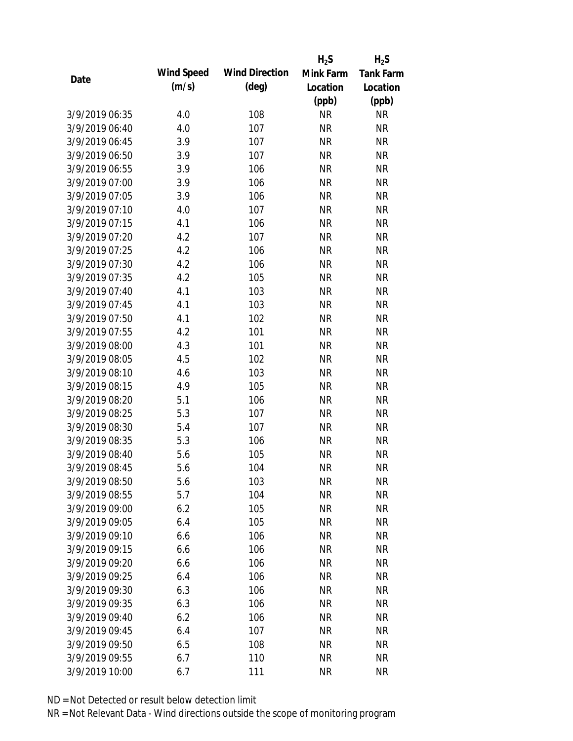|                |            |                       | $H_2S$    | $H_2S$           |
|----------------|------------|-----------------------|-----------|------------------|
| Date           | Wind Speed | <b>Wind Direction</b> | Mink Farm | <b>Tank Farm</b> |
|                | (m/s)      | $(\text{deg})$        | Location  | Location         |
|                |            |                       | (ppb)     | (ppb)            |
| 3/9/2019 06:35 | 4.0        | 108                   | <b>NR</b> | NR               |
| 3/9/2019 06:40 | 4.0        | 107                   | <b>NR</b> | <b>NR</b>        |
| 3/9/2019 06:45 | 3.9        | 107                   | <b>NR</b> | <b>NR</b>        |
| 3/9/2019 06:50 | 3.9        | 107                   | <b>NR</b> | <b>NR</b>        |
| 3/9/2019 06:55 | 3.9        | 106                   | <b>NR</b> | <b>NR</b>        |
| 3/9/2019 07:00 | 3.9        | 106                   | <b>NR</b> | <b>NR</b>        |
| 3/9/2019 07:05 | 3.9        | 106                   | <b>NR</b> | <b>NR</b>        |
| 3/9/2019 07:10 | 4.0        | 107                   | <b>NR</b> | <b>NR</b>        |
| 3/9/2019 07:15 | 4.1        | 106                   | <b>NR</b> | <b>NR</b>        |
| 3/9/2019 07:20 | 4.2        | 107                   | <b>NR</b> | <b>NR</b>        |
| 3/9/2019 07:25 | 4.2        | 106                   | <b>NR</b> | <b>NR</b>        |
| 3/9/2019 07:30 | 4.2        | 106                   | <b>NR</b> | <b>NR</b>        |
| 3/9/2019 07:35 | 4.2        | 105                   | <b>NR</b> | <b>NR</b>        |
| 3/9/2019 07:40 | 4.1        | 103                   | <b>NR</b> | <b>NR</b>        |
| 3/9/2019 07:45 | 4.1        | 103                   | <b>NR</b> | <b>NR</b>        |
| 3/9/2019 07:50 | 4.1        | 102                   | <b>NR</b> | <b>NR</b>        |
| 3/9/2019 07:55 | 4.2        | 101                   | <b>NR</b> | <b>NR</b>        |
| 3/9/2019 08:00 | 4.3        | 101                   | <b>NR</b> | <b>NR</b>        |
| 3/9/2019 08:05 | 4.5        | 102                   | <b>NR</b> | <b>NR</b>        |
| 3/9/2019 08:10 | 4.6        | 103                   | <b>NR</b> | <b>NR</b>        |
| 3/9/2019 08:15 | 4.9        | 105                   | <b>NR</b> | <b>NR</b>        |
| 3/9/2019 08:20 | 5.1        | 106                   | <b>NR</b> | <b>NR</b>        |
| 3/9/2019 08:25 | 5.3        | 107                   | <b>NR</b> | <b>NR</b>        |
| 3/9/2019 08:30 | 5.4        | 107                   | <b>NR</b> | <b>NR</b>        |
| 3/9/2019 08:35 | 5.3        | 106                   | <b>NR</b> | <b>NR</b>        |
| 3/9/2019 08:40 | 5.6        | 105                   | <b>NR</b> | <b>NR</b>        |
| 3/9/2019 08:45 | 5.6        | 104                   | <b>NR</b> | <b>NR</b>        |
| 3/9/2019 08:50 | 5.6        | 103                   | <b>NR</b> | <b>NR</b>        |
| 3/9/2019 08:55 | 5.7        | 104                   | <b>NR</b> | <b>NR</b>        |
| 3/9/2019 09:00 | 6.2        | 105                   | <b>NR</b> | <b>NR</b>        |
| 3/9/2019 09:05 | 6.4        | 105                   | <b>NR</b> | <b>NR</b>        |
| 3/9/2019 09:10 | 6.6        | 106                   | <b>NR</b> | <b>NR</b>        |
| 3/9/2019 09:15 | 6.6        | 106                   | <b>NR</b> | <b>NR</b>        |
| 3/9/2019 09:20 | 6.6        | 106                   | <b>NR</b> | <b>NR</b>        |
| 3/9/2019 09:25 | 6.4        | 106                   | <b>NR</b> | <b>NR</b>        |
| 3/9/2019 09:30 | 6.3        | 106                   | <b>NR</b> | <b>NR</b>        |
| 3/9/2019 09:35 | 6.3        | 106                   | <b>NR</b> | <b>NR</b>        |
| 3/9/2019 09:40 | 6.2        | 106                   | NR        | <b>NR</b>        |
| 3/9/2019 09:45 | 6.4        | 107                   | <b>NR</b> | <b>NR</b>        |
| 3/9/2019 09:50 | 6.5        | 108                   | <b>NR</b> | <b>NR</b>        |
| 3/9/2019 09:55 | 6.7        | 110                   | <b>NR</b> | <b>NR</b>        |
| 3/9/2019 10:00 | 6.7        | 111                   | <b>NR</b> | <b>NR</b>        |
|                |            |                       |           |                  |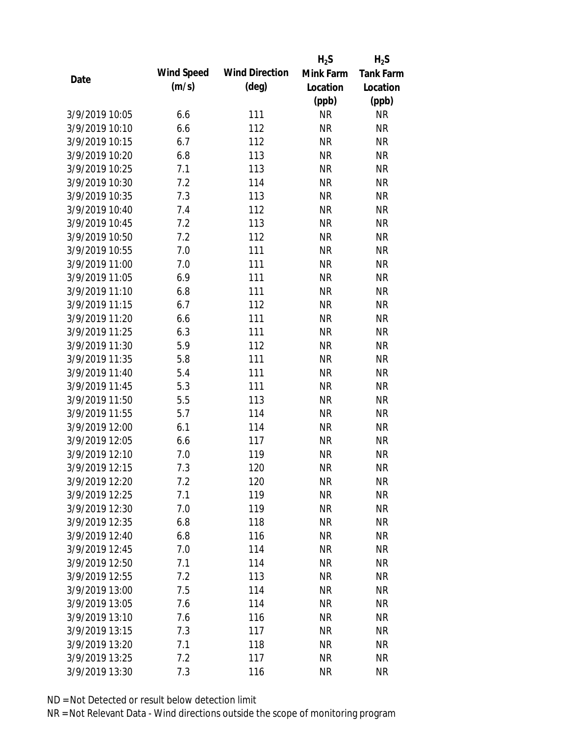|                |            |                       | $H_2S$    | $H_2S$           |
|----------------|------------|-----------------------|-----------|------------------|
|                | Wind Speed | <b>Wind Direction</b> | Mink Farm | <b>Tank Farm</b> |
| Date           | (m/s)      | $(\text{deg})$        | Location  | Location         |
|                |            |                       | (ppb)     | (ppb)            |
| 3/9/2019 10:05 | 6.6        | 111                   | <b>NR</b> | <b>NR</b>        |
| 3/9/2019 10:10 | 6.6        | 112                   | <b>NR</b> | <b>NR</b>        |
| 3/9/2019 10:15 | 6.7        | 112                   | <b>NR</b> | <b>NR</b>        |
| 3/9/2019 10:20 | 6.8        | 113                   | <b>NR</b> | <b>NR</b>        |
| 3/9/2019 10:25 | 7.1        | 113                   | <b>NR</b> | <b>NR</b>        |
| 3/9/2019 10:30 | 7.2        | 114                   | <b>NR</b> | <b>NR</b>        |
| 3/9/2019 10:35 | 7.3        | 113                   | <b>NR</b> | <b>NR</b>        |
| 3/9/2019 10:40 | 7.4        | 112                   | <b>NR</b> | <b>NR</b>        |
| 3/9/2019 10:45 | 7.2        | 113                   | <b>NR</b> | <b>NR</b>        |
| 3/9/2019 10:50 | 7.2        | 112                   | <b>NR</b> | <b>NR</b>        |
| 3/9/2019 10:55 | 7.0        | 111                   | <b>NR</b> | <b>NR</b>        |
| 3/9/2019 11:00 | 7.0        | 111                   | <b>NR</b> | <b>NR</b>        |
| 3/9/2019 11:05 | 6.9        | 111                   | <b>NR</b> | <b>NR</b>        |
| 3/9/2019 11:10 | 6.8        | 111                   | <b>NR</b> | <b>NR</b>        |
| 3/9/2019 11:15 | 6.7        | 112                   | <b>NR</b> | <b>NR</b>        |
| 3/9/2019 11:20 | 6.6        | 111                   | <b>NR</b> | <b>NR</b>        |
| 3/9/2019 11:25 | 6.3        | 111                   | <b>NR</b> | <b>NR</b>        |
| 3/9/2019 11:30 | 5.9        | 112                   | <b>NR</b> | <b>NR</b>        |
| 3/9/2019 11:35 | 5.8        | 111                   | <b>NR</b> | <b>NR</b>        |
| 3/9/2019 11:40 | 5.4        | 111                   | <b>NR</b> | <b>NR</b>        |
| 3/9/2019 11:45 | 5.3        | 111                   | <b>NR</b> | <b>NR</b>        |
| 3/9/2019 11:50 | 5.5        | 113                   | <b>NR</b> | <b>NR</b>        |
| 3/9/2019 11:55 | 5.7        | 114                   | <b>NR</b> | <b>NR</b>        |
| 3/9/2019 12:00 | 6.1        | 114                   | <b>NR</b> | <b>NR</b>        |
| 3/9/2019 12:05 | 6.6        | 117                   | <b>NR</b> | <b>NR</b>        |
| 3/9/2019 12:10 | 7.0        | 119                   | <b>NR</b> | <b>NR</b>        |
| 3/9/2019 12:15 | 7.3        | 120                   | <b>NR</b> | <b>NR</b>        |
| 3/9/2019 12:20 | 7.2        | 120                   | <b>NR</b> | <b>NR</b>        |
| 3/9/2019 12:25 | 7.1        | 119                   | <b>NR</b> | <b>NR</b>        |
| 3/9/2019 12:30 | 7.0        | 119                   | <b>NR</b> | <b>NR</b>        |
| 3/9/2019 12:35 | 6.8        | 118                   | <b>NR</b> | <b>NR</b>        |
| 3/9/2019 12:40 | 6.8        | 116                   | <b>NR</b> | <b>NR</b>        |
| 3/9/2019 12:45 | 7.0        | 114                   | <b>NR</b> | <b>NR</b>        |
| 3/9/2019 12:50 | 7.1        | 114                   | <b>NR</b> | <b>NR</b>        |
| 3/9/2019 12:55 | 7.2        | 113                   | <b>NR</b> | <b>NR</b>        |
| 3/9/2019 13:00 | 7.5        | 114                   | <b>NR</b> | <b>NR</b>        |
| 3/9/2019 13:05 | 7.6        | 114                   | <b>NR</b> | <b>NR</b>        |
| 3/9/2019 13:10 | 7.6        | 116                   | <b>NR</b> | <b>NR</b>        |
| 3/9/2019 13:15 | 7.3        | 117                   | <b>NR</b> | <b>NR</b>        |
| 3/9/2019 13:20 | 7.1        | 118                   | <b>NR</b> | <b>NR</b>        |
| 3/9/2019 13:25 | 7.2        | 117                   | <b>NR</b> | <b>NR</b>        |
| 3/9/2019 13:30 | 7.3        | 116                   | <b>NR</b> | <b>NR</b>        |
|                |            |                       |           |                  |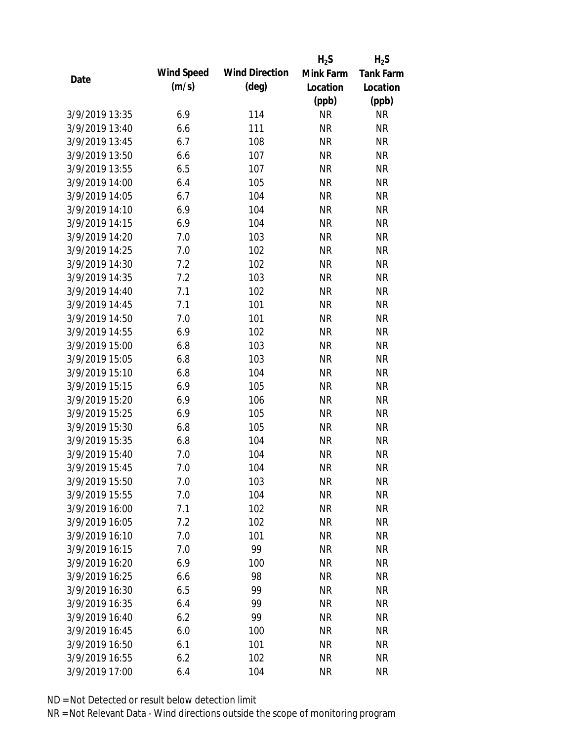|                |            |                       | $H_2S$    | $H_2S$           |
|----------------|------------|-----------------------|-----------|------------------|
| Date           | Wind Speed | <b>Wind Direction</b> | Mink Farm | <b>Tank Farm</b> |
|                | (m/s)      | $(\text{deg})$        | Location  | Location         |
|                |            |                       | (ppb)     | (ppb)            |
| 3/9/2019 13:35 | 6.9        | 114                   | <b>NR</b> | <b>NR</b>        |
| 3/9/2019 13:40 | 6.6        | 111                   | <b>NR</b> | <b>NR</b>        |
| 3/9/2019 13:45 | 6.7        | 108                   | <b>NR</b> | <b>NR</b>        |
| 3/9/2019 13:50 | 6.6        | 107                   | <b>NR</b> | <b>NR</b>        |
| 3/9/2019 13:55 | 6.5        | 107                   | <b>NR</b> | <b>NR</b>        |
| 3/9/2019 14:00 | 6.4        | 105                   | <b>NR</b> | <b>NR</b>        |
| 3/9/2019 14:05 | 6.7        | 104                   | <b>NR</b> | <b>NR</b>        |
| 3/9/2019 14:10 | 6.9        | 104                   | <b>NR</b> | <b>NR</b>        |
| 3/9/2019 14:15 | 6.9        | 104                   | <b>NR</b> | <b>NR</b>        |
| 3/9/2019 14:20 | 7.0        | 103                   | <b>NR</b> | <b>NR</b>        |
| 3/9/2019 14:25 | 7.0        | 102                   | <b>NR</b> | <b>NR</b>        |
| 3/9/2019 14:30 | 7.2        | 102                   | <b>NR</b> | <b>NR</b>        |
| 3/9/2019 14:35 | 7.2        | 103                   | <b>NR</b> | <b>NR</b>        |
| 3/9/2019 14:40 | 7.1        | 102                   | <b>NR</b> | <b>NR</b>        |
| 3/9/2019 14:45 | 7.1        | 101                   | <b>NR</b> | <b>NR</b>        |
| 3/9/2019 14:50 | 7.0        | 101                   | <b>NR</b> | <b>NR</b>        |
| 3/9/2019 14:55 | 6.9        | 102                   | <b>NR</b> | <b>NR</b>        |
| 3/9/2019 15:00 | 6.8        | 103                   | <b>NR</b> | <b>NR</b>        |
| 3/9/2019 15:05 | 6.8        | 103                   | <b>NR</b> | <b>NR</b>        |
| 3/9/2019 15:10 | 6.8        | 104                   | <b>NR</b> | <b>NR</b>        |
| 3/9/2019 15:15 | 6.9        | 105                   | <b>NR</b> | <b>NR</b>        |
| 3/9/2019 15:20 | 6.9        | 106                   | <b>NR</b> | <b>NR</b>        |
| 3/9/2019 15:25 | 6.9        | 105                   | <b>NR</b> | <b>NR</b>        |
| 3/9/2019 15:30 | 6.8        | 105                   | <b>NR</b> | <b>NR</b>        |
| 3/9/2019 15:35 | 6.8        | 104                   | <b>NR</b> | <b>NR</b>        |
| 3/9/2019 15:40 | 7.0        | 104                   | <b>NR</b> | <b>NR</b>        |
| 3/9/2019 15:45 | 7.0        | 104                   | <b>NR</b> | <b>NR</b>        |
| 3/9/2019 15:50 | 7.0        | 103                   | <b>NR</b> | <b>NR</b>        |
| 3/9/2019 15:55 | 7.0        | 104                   | <b>NR</b> | <b>NR</b>        |
| 3/9/2019 16:00 | 7.1        | 102                   | <b>NR</b> | <b>NR</b>        |
| 3/9/2019 16:05 | 7.2        | 102                   | <b>NR</b> | <b>NR</b>        |
| 3/9/2019 16:10 | 7.0        | 101                   | <b>NR</b> | <b>NR</b>        |
| 3/9/2019 16:15 | 7.0        | 99                    | <b>NR</b> | <b>NR</b>        |
| 3/9/2019 16:20 | 6.9        | 100                   | <b>NR</b> | <b>NR</b>        |
| 3/9/2019 16:25 | 6.6        | 98                    | <b>NR</b> | <b>NR</b>        |
| 3/9/2019 16:30 | 6.5        | 99                    | <b>NR</b> | <b>NR</b>        |
| 3/9/2019 16:35 | 6.4        | 99                    | <b>NR</b> | <b>NR</b>        |
| 3/9/2019 16:40 | 6.2        | 99                    | <b>NR</b> | <b>NR</b>        |
| 3/9/2019 16:45 | 6.0        | 100                   | <b>NR</b> | <b>NR</b>        |
| 3/9/2019 16:50 | 6.1        | 101                   | <b>NR</b> | <b>NR</b>        |
| 3/9/2019 16:55 | 6.2        | 102                   | <b>NR</b> | <b>NR</b>        |
| 3/9/2019 17:00 | 6.4        | 104                   | <b>NR</b> | <b>NR</b>        |
|                |            |                       |           |                  |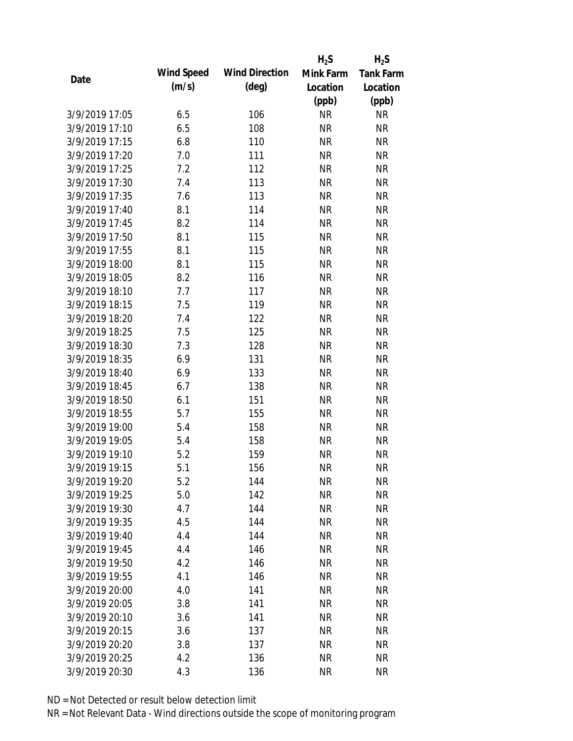|                |            |                       | $H_2S$    | $H_2S$           |
|----------------|------------|-----------------------|-----------|------------------|
|                | Wind Speed | <b>Wind Direction</b> | Mink Farm | <b>Tank Farm</b> |
| Date           | (m/s)      | $(\text{deg})$        | Location  | Location         |
|                |            |                       | (ppb)     | (ppb)            |
| 3/9/2019 17:05 | 6.5        | 106                   | <b>NR</b> | <b>NR</b>        |
| 3/9/2019 17:10 | 6.5        | 108                   | <b>NR</b> | <b>NR</b>        |
| 3/9/2019 17:15 | 6.8        | 110                   | <b>NR</b> | <b>NR</b>        |
| 3/9/2019 17:20 | 7.0        | 111                   | <b>NR</b> | <b>NR</b>        |
| 3/9/2019 17:25 | 7.2        | 112                   | <b>NR</b> | <b>NR</b>        |
| 3/9/2019 17:30 | 7.4        | 113                   | <b>NR</b> | <b>NR</b>        |
| 3/9/2019 17:35 | 7.6        | 113                   | <b>NR</b> | <b>NR</b>        |
| 3/9/2019 17:40 | 8.1        | 114                   | <b>NR</b> | <b>NR</b>        |
| 3/9/2019 17:45 | 8.2        | 114                   | <b>NR</b> | <b>NR</b>        |
| 3/9/2019 17:50 | 8.1        | 115                   | <b>NR</b> | <b>NR</b>        |
| 3/9/2019 17:55 | 8.1        | 115                   | <b>NR</b> | <b>NR</b>        |
| 3/9/2019 18:00 | 8.1        | 115                   | <b>NR</b> | <b>NR</b>        |
| 3/9/2019 18:05 | 8.2        | 116                   | <b>NR</b> | <b>NR</b>        |
| 3/9/2019 18:10 | 7.7        | 117                   | <b>NR</b> | <b>NR</b>        |
| 3/9/2019 18:15 | 7.5        | 119                   | <b>NR</b> | <b>NR</b>        |
| 3/9/2019 18:20 | 7.4        | 122                   | <b>NR</b> | <b>NR</b>        |
| 3/9/2019 18:25 | 7.5        | 125                   | <b>NR</b> | <b>NR</b>        |
| 3/9/2019 18:30 | 7.3        | 128                   | <b>NR</b> | <b>NR</b>        |
| 3/9/2019 18:35 | 6.9        | 131                   | <b>NR</b> | <b>NR</b>        |
| 3/9/2019 18:40 | 6.9        | 133                   | <b>NR</b> | <b>NR</b>        |
| 3/9/2019 18:45 | 6.7        | 138                   | <b>NR</b> | <b>NR</b>        |
| 3/9/2019 18:50 | 6.1        | 151                   | <b>NR</b> | <b>NR</b>        |
| 3/9/2019 18:55 | 5.7        | 155                   | <b>NR</b> | <b>NR</b>        |
| 3/9/2019 19:00 | 5.4        | 158                   | <b>NR</b> | <b>NR</b>        |
| 3/9/2019 19:05 | 5.4        | 158                   | <b>NR</b> | <b>NR</b>        |
| 3/9/2019 19:10 | 5.2        | 159                   | <b>NR</b> | <b>NR</b>        |
| 3/9/2019 19:15 | 5.1        | 156                   | <b>NR</b> | <b>NR</b>        |
| 3/9/2019 19:20 | 5.2        | 144                   | <b>NR</b> | <b>NR</b>        |
| 3/9/2019 19:25 | 5.0        | 142                   | <b>NR</b> | <b>NR</b>        |
| 3/9/2019 19:30 | 4.7        | 144                   | <b>NR</b> | <b>NR</b>        |
| 3/9/2019 19:35 | 4.5        | 144                   | <b>NR</b> | <b>NR</b>        |
| 3/9/2019 19:40 | 4.4        | 144                   | <b>NR</b> | <b>NR</b>        |
| 3/9/2019 19:45 | 4.4        | 146                   | <b>NR</b> | <b>NR</b>        |
| 3/9/2019 19:50 | 4.2        | 146                   | <b>NR</b> | <b>NR</b>        |
| 3/9/2019 19:55 | 4.1        | 146                   | <b>NR</b> | <b>NR</b>        |
| 3/9/2019 20:00 | 4.0        | 141                   | <b>NR</b> | <b>NR</b>        |
| 3/9/2019 20:05 | 3.8        | 141                   | <b>NR</b> | <b>NR</b>        |
| 3/9/2019 20:10 | 3.6        | 141                   | <b>NR</b> | <b>NR</b>        |
| 3/9/2019 20:15 | 3.6        | 137                   | <b>NR</b> | <b>NR</b>        |
| 3/9/2019 20:20 | 3.8        | 137                   | <b>NR</b> | NR               |
| 3/9/2019 20:25 | 4.2        | 136                   | <b>NR</b> | <b>NR</b>        |
| 3/9/2019 20:30 | 4.3        | 136                   | <b>NR</b> | <b>NR</b>        |
|                |            |                       |           |                  |